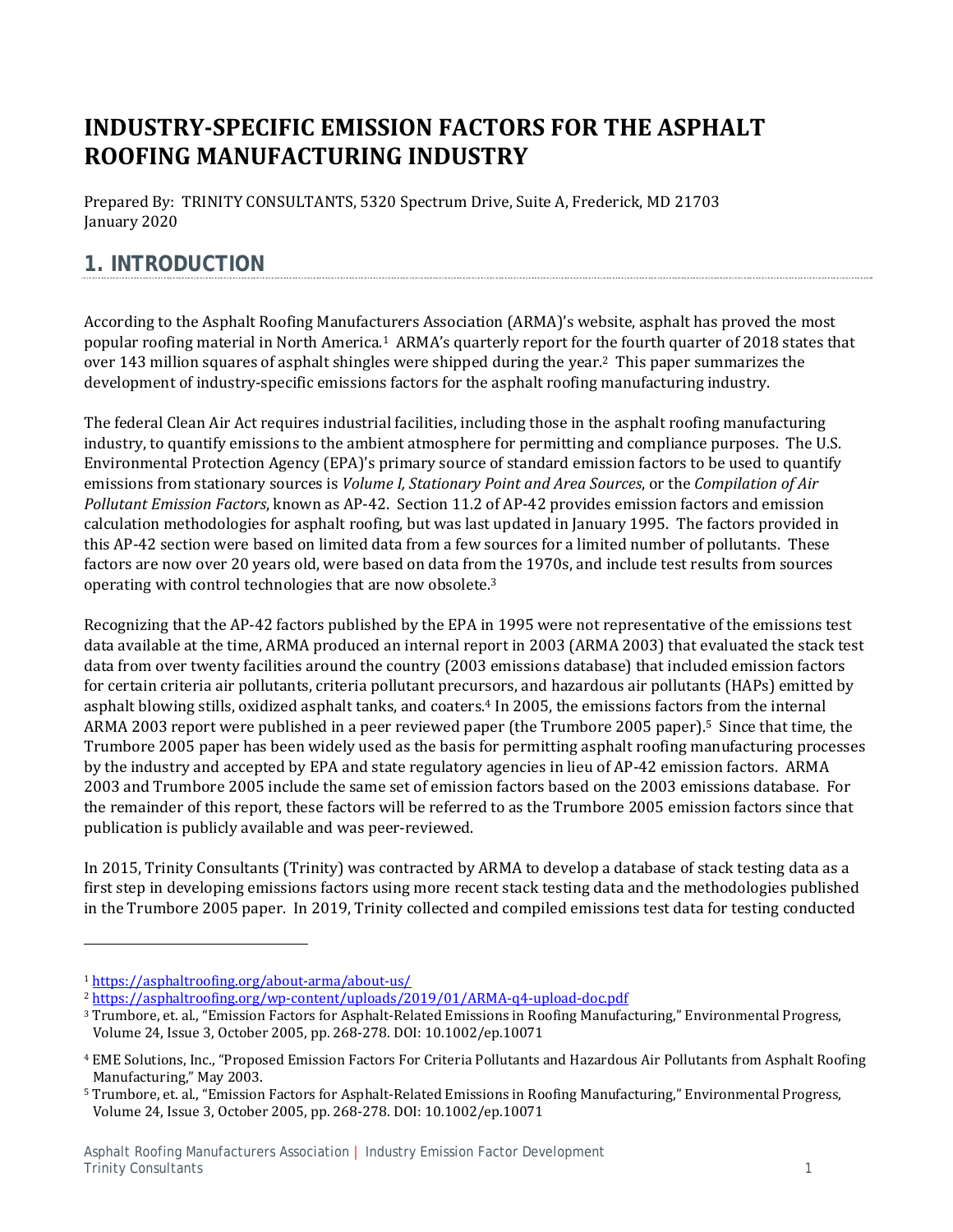# **INDUSTRY‐SPECIFIC EMISSION FACTORS FOR THE ASPHALT ROOFING MANUFACTURING INDUSTRY**

Prepared By: TRINITY CONSULTANTS, 5320 Spectrum Drive, Suite A, Frederick, MD 21703 January 2020

## **1. INTRODUCTION**

According to the Asphalt Roofing Manufacturers Association (ARMA)'s website, asphalt has proved the most popular roofing material in North America.<sup>1</sup> ARMA's quarterly report for the fourth quarter of 2018 states that over 143 million squares of asphalt shingles were shipped during the year.<sup>2</sup> This paper summarizes the development of industry-specific emissions factors for the asphalt roofing manufacturing industry.

The federal Clean Air Act requires industrial facilities, including those in the asphalt roofing manufacturing industry, to quantify emissions to the ambient atmosphere for permitting and compliance purposes. The U.S. Environmental Protection Agency (EPA)'s primary source of standard emission factors to be used to quantify emissions from stationary sources is *Volume I, Stationary Point and Area Sources*, or the *Compilation of Air Pollutant Emission Factors*, known as AP-42. Section 11.2 of AP-42 provides emission factors and emission calculation methodologies for asphalt roofing, but was last updated in January 1995. The factors provided in this AP-42 section were based on limited data from a few sources for a limited number of pollutants. These factors are now over 20 years old, were based on data from the 1970s, and include test results from sources operating with control technologies that are now obsolete. $3$ 

Recognizing that the AP-42 factors published by the EPA in 1995 were not representative of the emissions test data available at the time, ARMA produced an internal report in 2003 (ARMA 2003) that evaluated the stack test data from over twenty facilities around the country (2003 emissions database) that included emission factors for certain criteria air pollutants, criteria pollutant precursors, and hazardous air pollutants (HAPs) emitted by asphalt blowing stills, oxidized asphalt tanks, and coaters.<sup>4</sup> In 2005, the emissions factors from the internal ARMA 2003 report were published in a peer reviewed paper (the Trumbore 2005 paper).<sup>5</sup> Since that time, the Trumbore 2005 paper has been widely used as the basis for permitting asphalt roofing manufacturing processes by the industry and accepted by EPA and state regulatory agencies in lieu of AP-42 emission factors. ARMA 2003 and Trumbore 2005 include the same set of emission factors based on the 2003 emissions database. For the remainder of this report, these factors will be referred to as the Trumbore 2005 emission factors since that publication is publicly available and was peer-reviewed.

In 2015, Trinity Consultants (Trinity) was contracted by ARMA to develop a database of stack testing data as a first step in developing emissions factors using more recent stack testing data and the methodologies published in the Trumbore 2005 paper. In 2019, Trinity collected and compiled emissions test data for testing conducted

<sup>1</sup> https://asphaltroofing.org/about‐arma/about‐us/ 

<sup>2</sup> https://asphaltroofing.org/wp‐content/uploads/2019/01/ARMA‐q4‐upload‐doc.pdf 

<sup>&</sup>lt;sup>3</sup> Trumbore, et. al., "Emission Factors for Asphalt-Related Emissions in Roofing Manufacturing," Environmental Progress, Volume 24, Issue 3, October 2005, pp. 268-278. DOI: 10.1002/ep.10071

<sup>&</sup>lt;sup>4</sup> EME Solutions, Inc., "Proposed Emission Factors For Criteria Pollutants and Hazardous Air Pollutants from Asphalt Roofing Manufacturing," May 2003.

<sup>&</sup>lt;sup>5</sup> Trumbore, et. al., "Emission Factors for Asphalt-Related Emissions in Roofing Manufacturing," Environmental Progress, Volume 24, Issue 3, October 2005, pp. 268-278. DOI: 10.1002/ep.10071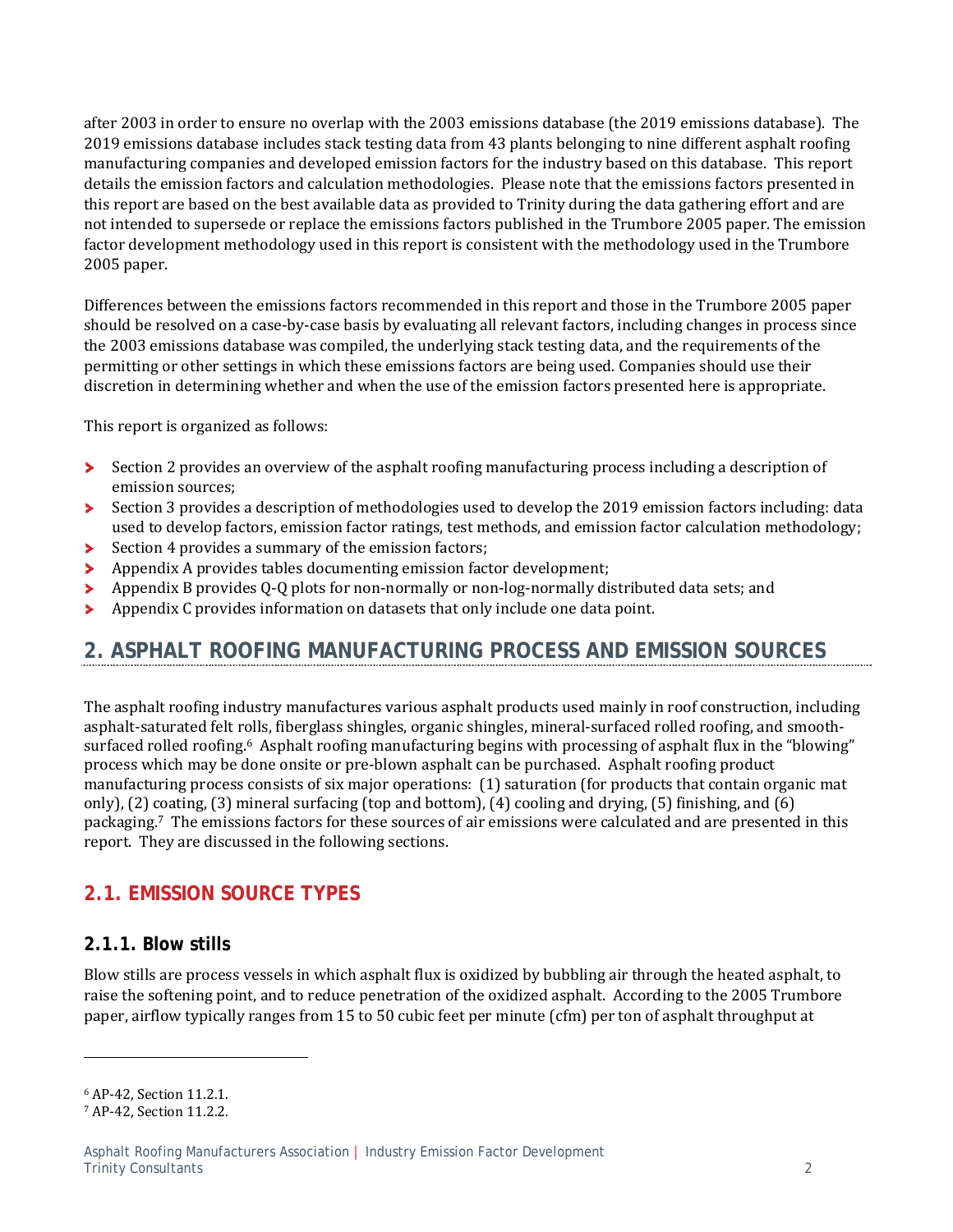after 2003 in order to ensure no overlap with the 2003 emissions database (the 2019 emissions database). The 2019 emissions database includes stack testing data from 43 plants belonging to nine different asphalt roofing manufacturing companies and developed emission factors for the industry based on this database. This report details the emission factors and calculation methodologies. Please note that the emissions factors presented in this report are based on the best available data as provided to Trinity during the data gathering effort and are not intended to supersede or replace the emissions factors published in the Trumbore 2005 paper. The emission factor development methodology used in this report is consistent with the methodology used in the Trumbore 2005 paper.

Differences between the emissions factors recommended in this report and those in the Trumbore 2005 paper should be resolved on a case-by-case basis by evaluating all relevant factors, including changes in process since the 2003 emissions database was compiled, the underlying stack testing data, and the requirements of the permitting or other settings in which these emissions factors are being used. Companies should use their discretion in determining whether and when the use of the emission factors presented here is appropriate.

This report is organized as follows:

- Section 2 provides an overview of the asphalt roofing manufacturing process including a description of emission sources;
- $\blacktriangleright$ Section 3 provides a description of methodologies used to develop the 2019 emission factors including: data used to develop factors, emission factor ratings, test methods, and emission factor calculation methodology;
- Section 4 provides a summary of the emission factors;  $\blacktriangleright$
- Appendix A provides tables documenting emission factor development; ×
- Appendix B provides Q-Q plots for non-normally or non-log-normally distributed data sets; and ь
- Appendix C provides information on datasets that only include one data point. У

## **2. ASPHALT ROOFING MANUFACTURING PROCESS AND EMISSION SOURCES**

The asphalt roofing industry manufactures various asphalt products used mainly in roof construction, including asphalt-saturated felt rolls, fiberglass shingles, organic shingles, mineral-surfaced rolled roofing, and smoothsurfaced rolled roofing.<sup>6</sup> Asphalt roofing manufacturing begins with processing of asphalt flux in the "blowing" process which may be done onsite or pre-blown asphalt can be purchased. Asphalt roofing product manufacturing process consists of six major operations: (1) saturation (for products that contain organic mat only), (2) coating, (3) mineral surfacing (top and bottom), (4) cooling and drying, (5) finishing, and (6) packaging.<sup>7</sup> The emissions factors for these sources of air emissions were calculated and are presented in this report. They are discussed in the following sections.

## **2.1. EMISSION SOURCE TYPES**

### **2.1.1. Blow stills**

Blow stills are process vessels in which asphalt flux is oxidized by bubbling air through the heated asphalt, to raise the softening point, and to reduce penetration of the oxidized asphalt. According to the 2005 Trumbore paper, airflow typically ranges from 15 to 50 cubic feet per minute (cfm) per ton of asphalt throughput at

<sup>6</sup> AP‐42, Section 11.2.1. 

<sup>7</sup> AP-42, Section 11.2.2.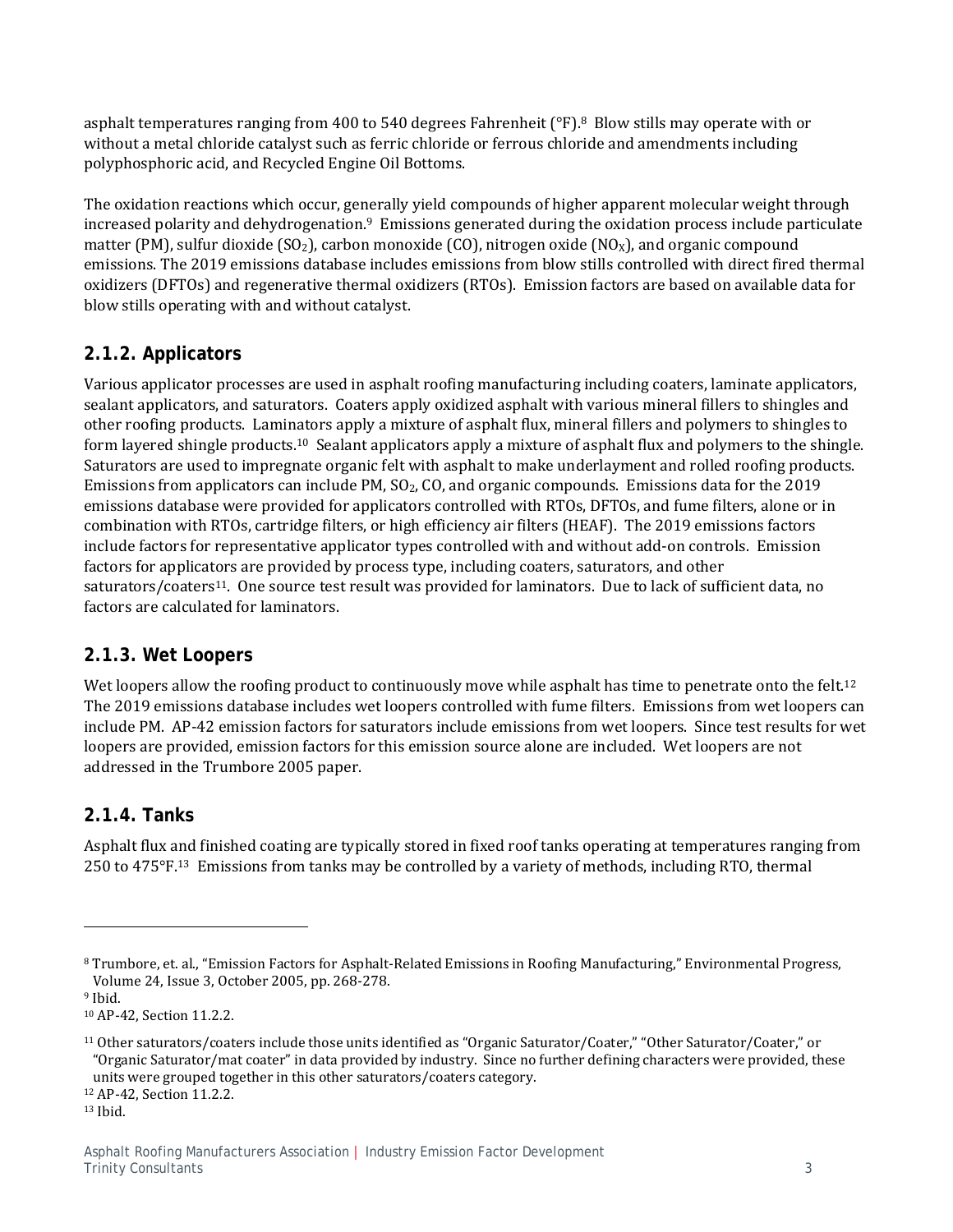asphalt temperatures ranging from 400 to 540 degrees Fahrenheit  $(^{\circ}F)$ .<sup>8</sup> Blow stills may operate with or without a metal chloride catalyst such as ferric chloride or ferrous chloride and amendments including polyphosphoric acid, and Recycled Engine Oil Bottoms.

The oxidation reactions which occur, generally yield compounds of higher apparent molecular weight through increased polarity and dehydrogenation.<sup>9</sup> Emissions generated during the oxidation process include particulate matter (PM), sulfur dioxide  $(SO_2)$ , carbon monoxide  $(CO)$ , nitrogen oxide  $(NO<sub>X</sub>)$ , and organic compound emissions. The 2019 emissions database includes emissions from blow stills controlled with direct fired thermal oxidizers (DFTOs) and regenerative thermal oxidizers (RTOs). Emission factors are based on available data for blow stills operating with and without catalyst.

### **2.1.2. Applicators**

Various applicator processes are used in asphalt roofing manufacturing including coaters, laminate applicators, sealant applicators, and saturators. Coaters apply oxidized asphalt with various mineral fillers to shingles and other roofing products. Laminators apply a mixture of asphalt flux, mineral fillers and polymers to shingles to form layered shingle products.<sup>10</sup> Sealant applicators apply a mixture of asphalt flux and polymers to the shingle. Saturators are used to impregnate organic felt with asphalt to make underlayment and rolled roofing products. Emissions from applicators can include PM,  $SO<sub>2</sub>$ , CO, and organic compounds. Emissions data for the 2019 emissions database were provided for applicators controlled with RTOs, DFTOs, and fume filters, alone or in combination with RTOs, cartridge filters, or high efficiency air filters (HEAF). The 2019 emissions factors include factors for representative applicator types controlled with and without add-on controls. Emission factors for applicators are provided by process type, including coaters, saturators, and other saturators/coaters<sup>11</sup>. One source test result was provided for laminators. Due to lack of sufficient data, no factors are calculated for laminators.

### **2.1.3. Wet Loopers**

Wet loopers allow the roofing product to continuously move while asphalt has time to penetrate onto the felt.<sup>12</sup> The 2019 emissions database includes wet loopers controlled with fume filters. Emissions from wet loopers can include PM. AP-42 emission factors for saturators include emissions from wet loopers. Since test results for wet loopers are provided, emission factors for this emission source alone are included. Wet loopers are not addressed in the Trumbore 2005 paper.

### **2.1.4. Tanks**

Asphalt flux and finished coating are typically stored in fixed roof tanks operating at temperatures ranging from 250 to 475°F.<sup>13</sup> Emissions from tanks may be controlled by a variety of methods, including RTO, thermal

<sup>9</sup> Ibid.

<sup>&</sup>lt;sup>8</sup> Trumbore, et. al., "Emission Factors for Asphalt-Related Emissions in Roofing Manufacturing," Environmental Progress, Volume 24, Issue 3, October 2005, pp. 268-278.

<sup>&</sup>lt;sup>10</sup> AP-42, Section 11.2.2.

 $11$  Other saturators/coaters include those units identified as "Organic Saturator/Coater," "Other Saturator/Coater," or "Organic Saturator/mat coater" in data provided by industry. Since no further defining characters were provided, these units were grouped together in this other saturators/coaters category.

<sup>12</sup> AP-42, Section 11.2.2.

<sup>13</sup> Ibid.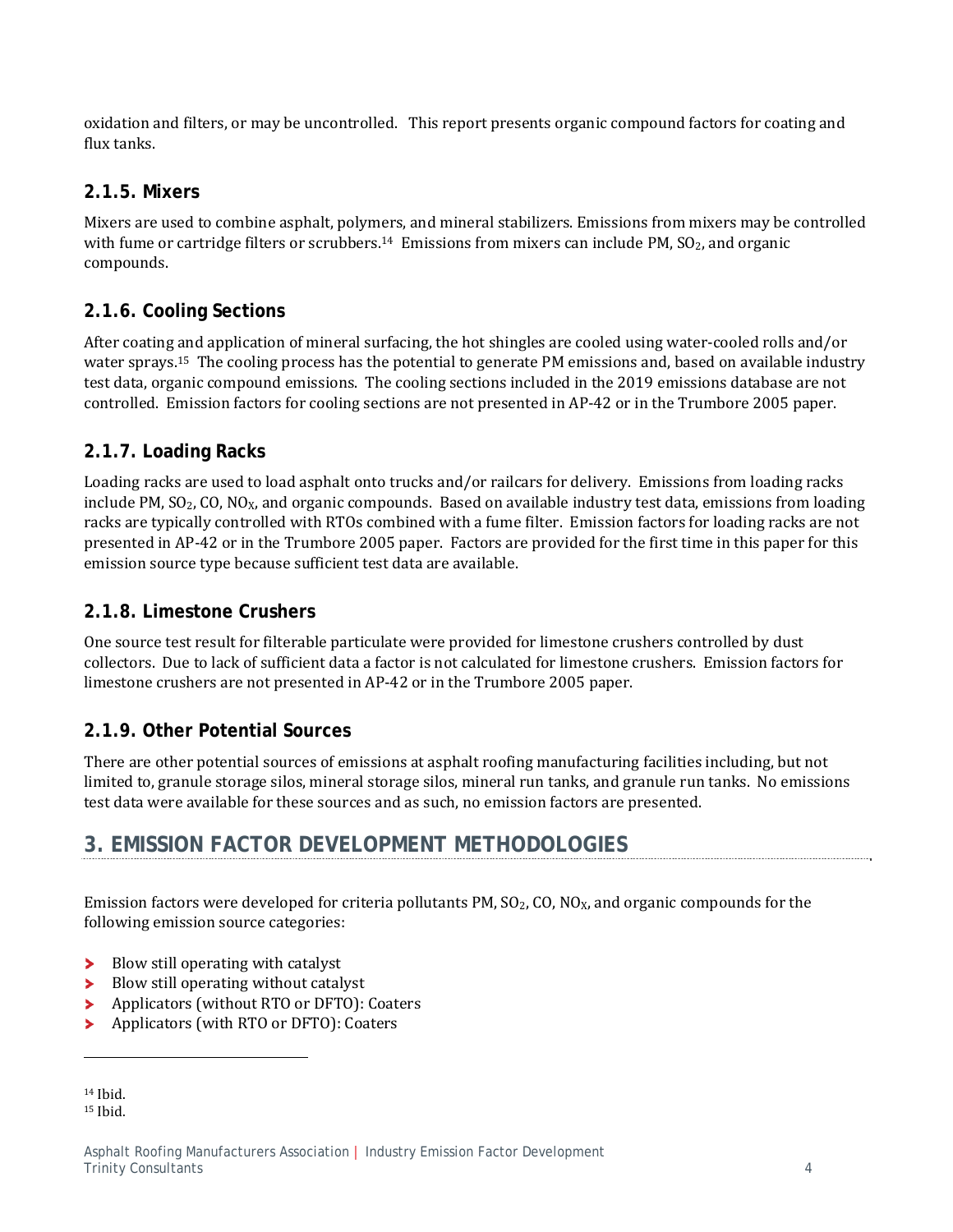oxidation and filters, or may be uncontrolled. This report presents organic compound factors for coating and flux tanks.

### **2.1.5. Mixers**

Mixers are used to combine asphalt, polymers, and mineral stabilizers. Emissions from mixers may be controlled with fume or cartridge filters or scrubbers.<sup>14</sup> Emissions from mixers can include PM,  $SO<sub>2</sub>$ , and organic compounds. 

### **2.1.6. Cooling Sections**

After coating and application of mineral surfacing, the hot shingles are cooled using water-cooled rolls and/or water sprays.<sup>15</sup> The cooling process has the potential to generate PM emissions and, based on available industry test data, organic compound emissions. The cooling sections included in the 2019 emissions database are not controlled. Emission factors for cooling sections are not presented in AP-42 or in the Trumbore 2005 paper.

### **2.1.7. Loading Racks**

Loading racks are used to load asphalt onto trucks and/or railcars for delivery. Emissions from loading racks include PM,  $SO_2$ , CO, NO<sub>X</sub>, and organic compounds. Based on available industry test data, emissions from loading racks are typically controlled with RTOs combined with a fume filter. Emission factors for loading racks are not presented in AP-42 or in the Trumbore 2005 paper. Factors are provided for the first time in this paper for this emission source type because sufficient test data are available.

### **2.1.8. Limestone Crushers**

One source test result for filterable particulate were provided for limestone crushers controlled by dust collectors. Due to lack of sufficient data a factor is not calculated for limestone crushers. Emission factors for limestone crushers are not presented in AP-42 or in the Trumbore 2005 paper.

### **2.1.9. Other Potential Sources**

There are other potential sources of emissions at asphalt roofing manufacturing facilities including, but not limited to, granule storage silos, mineral storage silos, mineral run tanks, and granule run tanks. No emissions test data were available for these sources and as such, no emission factors are presented.

## **3. EMISSION FACTOR DEVELOPMENT METHODOLOGIES**

Emission factors were developed for criteria pollutants PM,  $SO_2$ , CO, NO<sub>X</sub>, and organic compounds for the following emission source categories:

Blow still operating with catalyst ×

- Blow still operating without catalyst У
- Applicators (without RTO or DFTO): Coaters ×
- Applicators (with RTO or DFTO): Coaters У

 $14$  Ihid.

<sup>&</sup>lt;sup>15</sup> Ibid.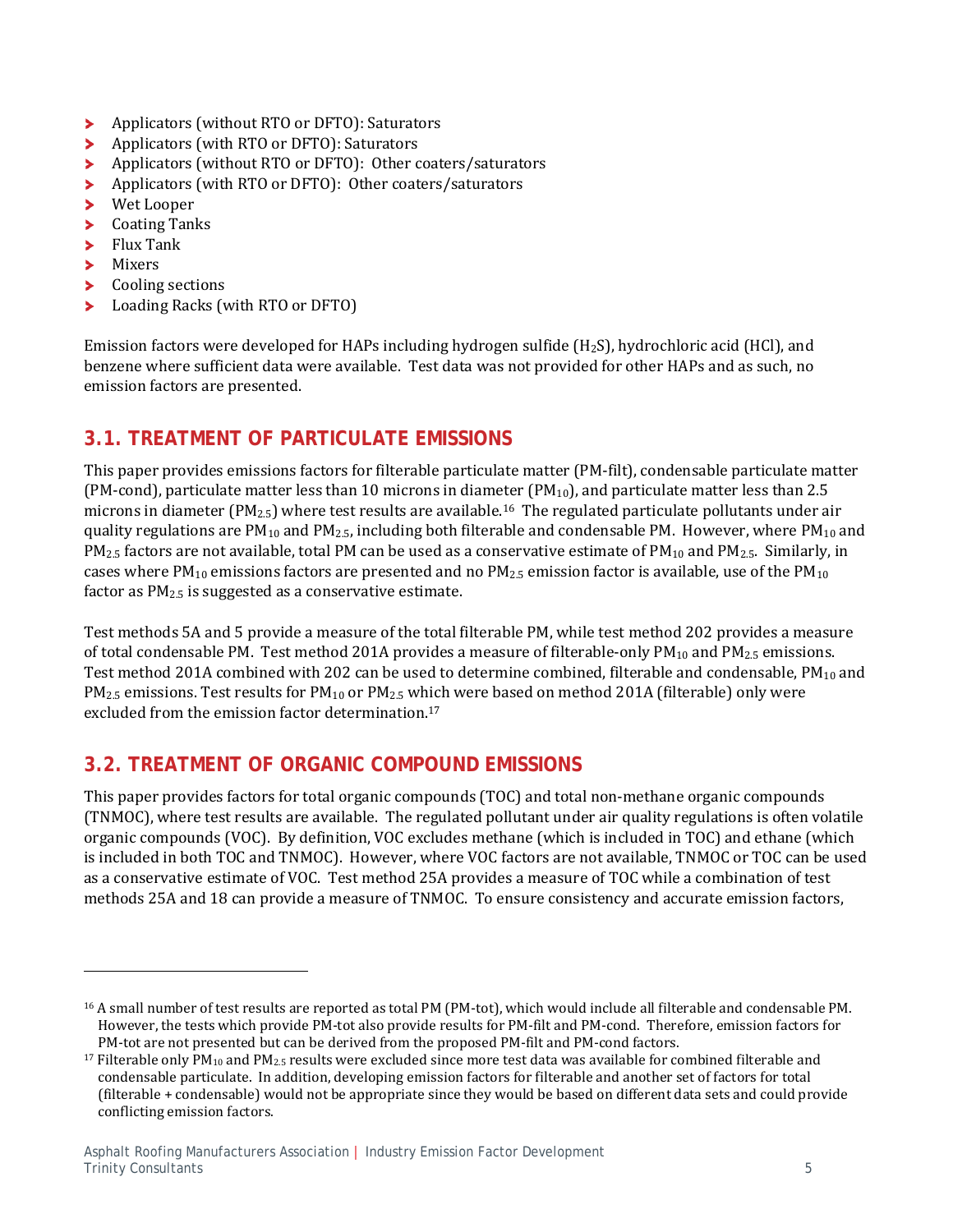- Applicators (without RTO or DFTO): Saturators ⋗
- У Applicators (with RTO or DFTO): Saturators
- Applicators (without RTO or DFTO): Other coaters/saturators ×
- Applicators (with RTO or DFTO): Other coaters/saturators ⋗
- × Wet Looper
- **Coating Tanks** ×
- Flux Tank У
- У Mixers
- × Cooling sections
- Loading Racks (with RTO or DFTO) У

 

Emission factors were developed for HAPs including hydrogen sulfide  $(H_2S)$ , hydrochloric acid (HCl), and benzene where sufficient data were available. Test data was not provided for other HAPs and as such, no emission factors are presented.

## **3.1. TREATMENT OF PARTICULATE EMISSIONS**

This paper provides emissions factors for filterable particulate matter (PM-filt), condensable particulate matter (PM-cond), particulate matter less than 10 microns in diameter (PM<sub>10</sub>), and particulate matter less than 2.5 microns in diameter  $(PM_{2.5})$  where test results are available.<sup>16</sup> The regulated particulate pollutants under air quality regulations are  $PM_{10}$  and  $PM_{2.5}$ , including both filterable and condensable PM. However, where PM<sub>10</sub> and  $PM_{2.5}$  factors are not available, total PM can be used as a conservative estimate of  $PM_{10}$  and  $PM_{2.5}$ . Similarly, in cases where  $PM_{10}$  emissions factors are presented and no  $PM_{2.5}$  emission factor is available, use of the  $PM_{10}$ factor as  $PM_{2.5}$  is suggested as a conservative estimate.

Test methods 5A and 5 provide a measure of the total filterable PM, while test method 202 provides a measure of total condensable PM. Test method 201A provides a measure of filterable-only PM<sub>10</sub> and PM<sub>2.5</sub> emissions. Test method 201A combined with 202 can be used to determine combined, filterable and condensable,  $PM_{10}$  and  $PM_{2.5}$  emissions. Test results for  $PM_{10}$  or  $PM_{2.5}$  which were based on method 201A (filterable) only were excluded from the emission factor determination.<sup>17</sup>

### **3.2. TREATMENT OF ORGANIC COMPOUND EMISSIONS**

This paper provides factors for total organic compounds (TOC) and total non-methane organic compounds (TNMOC), where test results are available. The regulated pollutant under air quality regulations is often volatile organic compounds (VOC). By definition, VOC excludes methane (which is included in TOC) and ethane (which is included in both TOC and TNMOC). However, where VOC factors are not available. TNMOC or TOC can be used as a conservative estimate of VOC. Test method 25A provides a measure of TOC while a combination of test methods 25A and 18 can provide a measure of TNMOC. To ensure consistency and accurate emission factors,

<sup>&</sup>lt;sup>16</sup> A small number of test results are reported as total PM (PM-tot), which would include all filterable and condensable PM. However, the tests which provide PM-tot also provide results for PM-filt and PM-cond. Therefore, emission factors for PM-tot are not presented but can be derived from the proposed PM-filt and PM-cond factors.

<sup>&</sup>lt;sup>17</sup> Filterable only PM<sub>10</sub> and PM<sub>2.5</sub> results were excluded since more test data was available for combined filterable and condensable particulate. In addition, developing emission factors for filterable and another set of factors for total (filterable + condensable) would not be appropriate since they would be based on different data sets and could provide conflicting emission factors.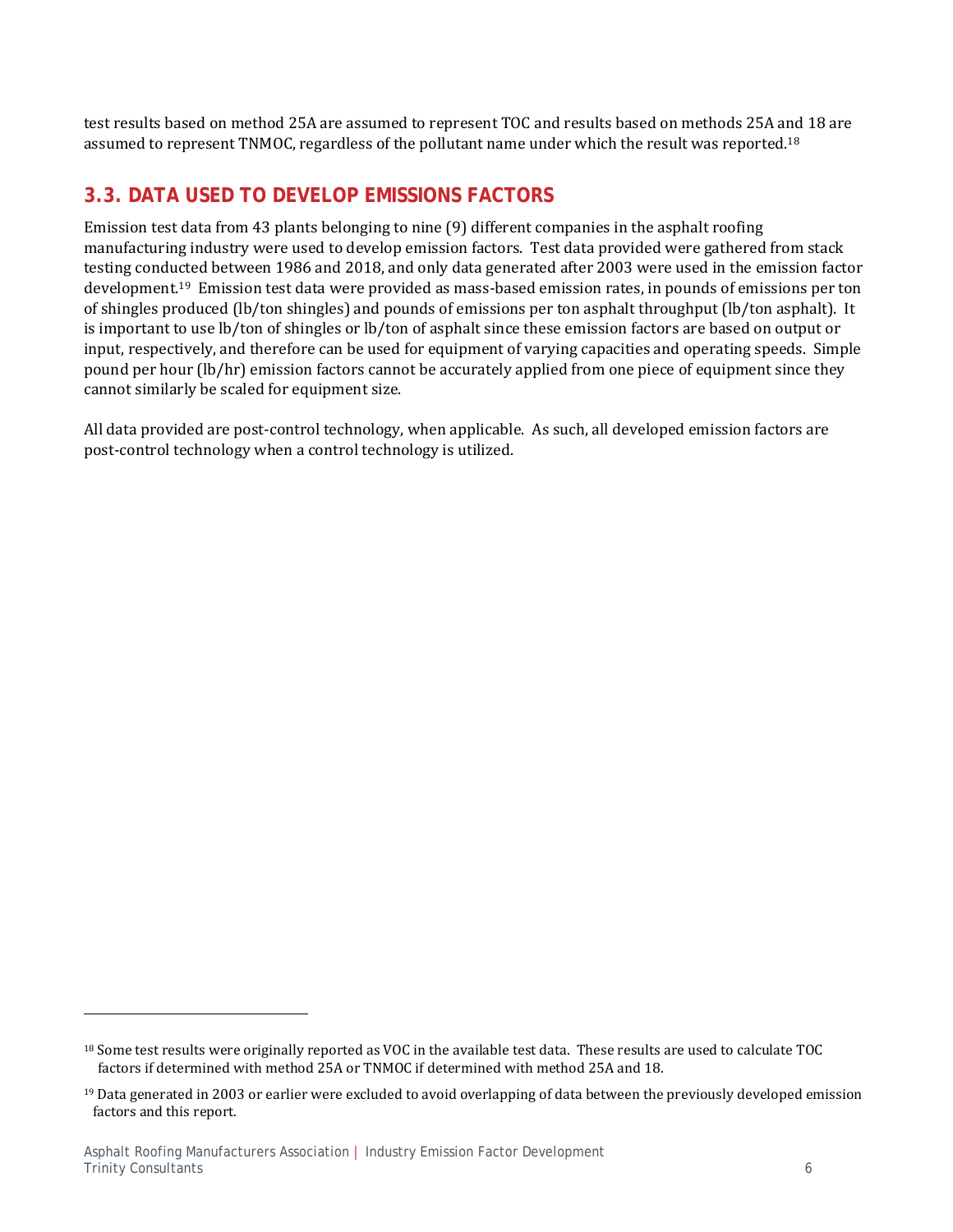test results based on method 25A are assumed to represent TOC and results based on methods 25A and 18 are assumed to represent TNMOC, regardless of the pollutant name under which the result was reported.<sup>18</sup>

### **3.3. DATA USED TO DEVELOP EMISSIONS FACTORS**

Emission test data from 43 plants belonging to nine  $(9)$  different companies in the asphalt roofing manufacturing industry were used to develop emission factors. Test data provided were gathered from stack testing conducted between 1986 and 2018, and only data generated after 2003 were used in the emission factor development.<sup>19</sup> Emission test data were provided as mass-based emission rates, in pounds of emissions per ton of shingles produced (lb/ton shingles) and pounds of emissions per ton asphalt throughput (lb/ton asphalt). It is important to use lb/ton of shingles or lb/ton of asphalt since these emission factors are based on output or input, respectively, and therefore can be used for equipment of varying capacities and operating speeds. Simple pound per hour (lb/hr) emission factors cannot be accurately applied from one piece of equipment since they cannot similarly be scaled for equipment size.

All data provided are post-control technology, when applicable. As such, all developed emission factors are post-control technology when a control technology is utilized.

<sup>&</sup>lt;sup>18</sup> Some test results were originally reported as VOC in the available test data. These results are used to calculate TOC factors if determined with method 25A or TNMOC if determined with method 25A and 18.

 $19$  Data generated in 2003 or earlier were excluded to avoid overlapping of data between the previously developed emission factors and this report.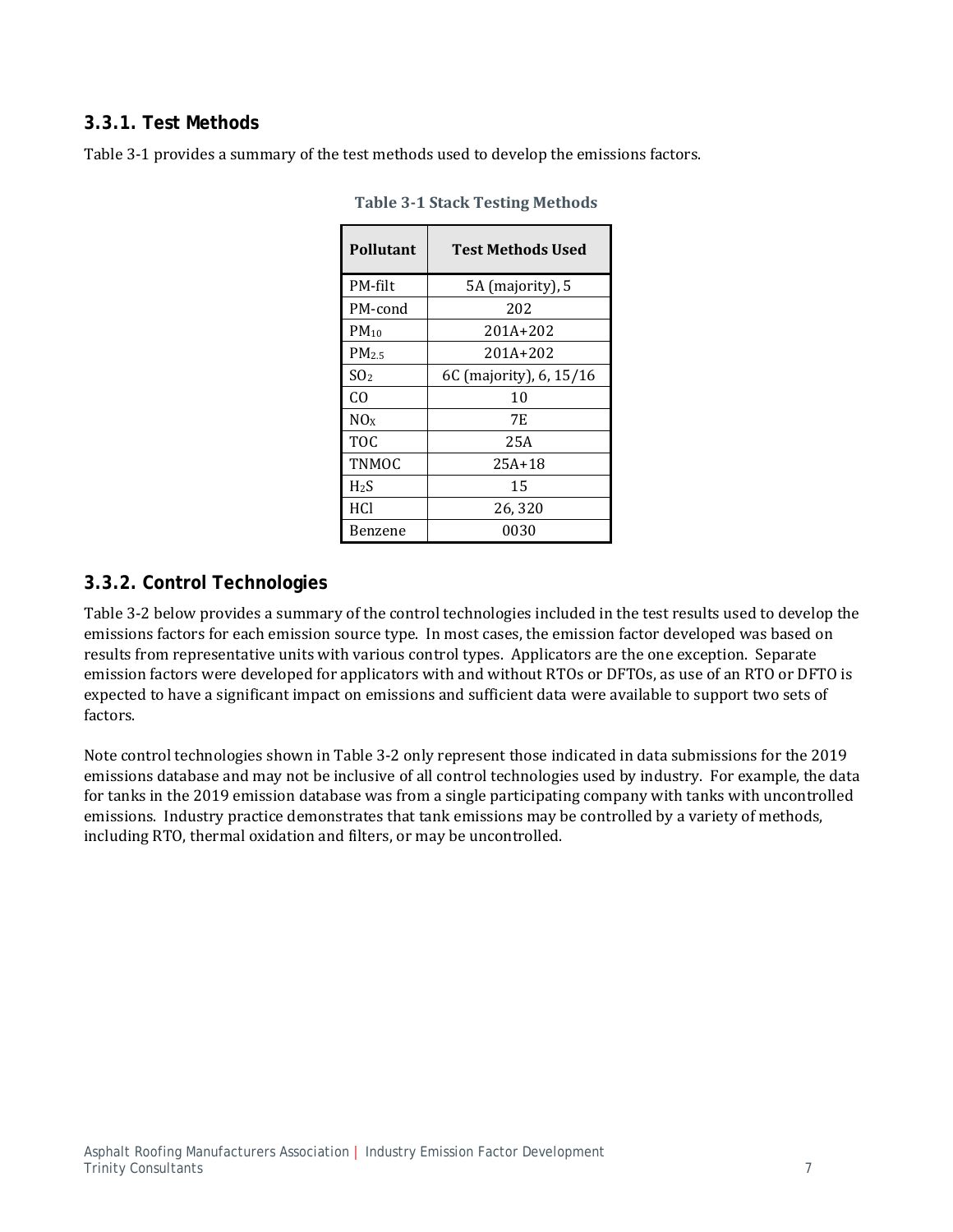### **3.3.1. Test Methods**

Table 3-1 provides a summary of the test methods used to develop the emissions factors.

| Pollutant        | Test Methods Used       |
|------------------|-------------------------|
| PM-filt          | 5A (majority), 5        |
| PM-cond          | 202                     |
| $PM_{10}$        | 201A+202                |
| PM <sub>25</sub> | $201A + 202$            |
| SO <sub>2</sub>  | 6C (majority), 6, 15/16 |
| CO               | 10                      |
| NOx              | 7F.                     |
| <b>TOC</b>       | 25A                     |
| <b>TNMOC</b>     | $25A+18$                |
| $H_2S$           | 15                      |
| <b>HCI</b>       | 26,320                  |
| Benzene          | 0030                    |

**Table 3‐1 Stack Testing Methods**

### **3.3.2. Control Technologies**

Table 3-2 below provides a summary of the control technologies included in the test results used to develop the emissions factors for each emission source type. In most cases, the emission factor developed was based on results from representative units with various control types. Applicators are the one exception. Separate emission factors were developed for applicators with and without RTOs or DFTOs, as use of an RTO or DFTO is expected to have a significant impact on emissions and sufficient data were available to support two sets of factors. 

Note control technologies shown in Table 3-2 only represent those indicated in data submissions for the 2019 emissions database and may not be inclusive of all control technologies used by industry. For example, the data for tanks in the 2019 emission database was from a single participating company with tanks with uncontrolled emissions. Industry practice demonstrates that tank emissions may be controlled by a variety of methods, including RTO, thermal oxidation and filters, or may be uncontrolled.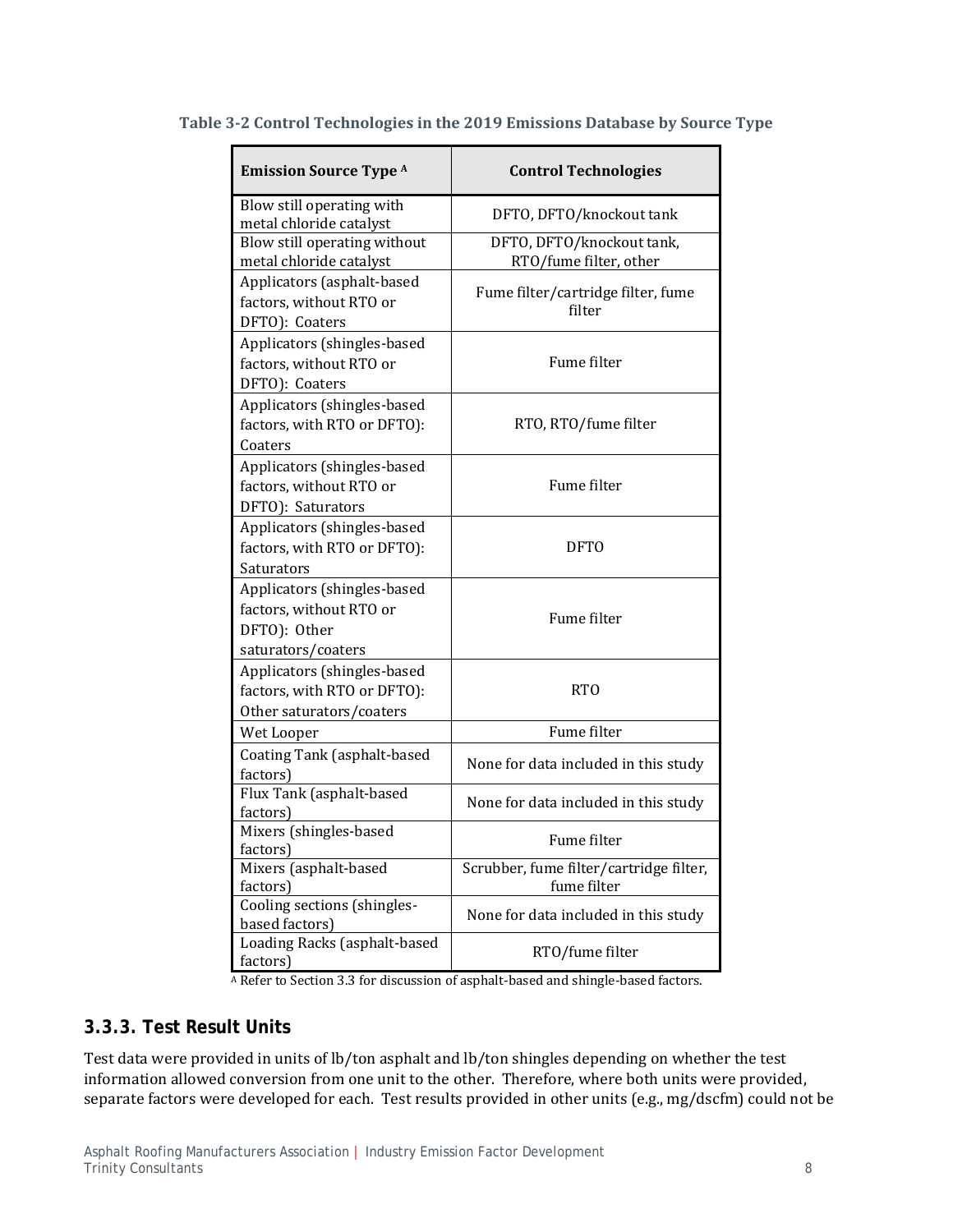| <b>Emission Source Type A</b>                                                                | <b>Control Technologies</b>                            |
|----------------------------------------------------------------------------------------------|--------------------------------------------------------|
| Blow still operating with<br>metal chloride catalyst                                         | DFTO, DFTO/knockout tank                               |
| Blow still operating without<br>metal chloride catalyst                                      | DFTO, DFTO/knockout tank,<br>RTO/fume filter, other    |
| Applicators (asphalt-based<br>factors, without RTO or<br>DFTO): Coaters                      | Fume filter/cartridge filter, fume<br>filter           |
| Applicators (shingles-based<br>factors, without RTO or<br>DFTO): Coaters                     | Fume filter                                            |
| Applicators (shingles-based<br>factors, with RTO or DFTO):<br>Coaters                        | RTO, RTO/fume filter                                   |
| Applicators (shingles-based<br>factors, without RTO or<br>DFTO): Saturators                  | Fume filter                                            |
| Applicators (shingles-based<br>factors, with RTO or DFTO):<br>Saturators                     | <b>DFTO</b>                                            |
| Applicators (shingles-based<br>factors, without RTO or<br>DFTO): Other<br>saturators/coaters | Fume filter                                            |
| Applicators (shingles-based<br>factors, with RTO or DFTO):<br>Other saturators/coaters       | <b>RTO</b>                                             |
| Wet Looper                                                                                   | Fume filter                                            |
| Coating Tank (asphalt-based<br>factors)                                                      | None for data included in this study                   |
| Flux Tank (asphalt-based<br>factors)                                                         | None for data included in this study                   |
| Mixers (shingles-based<br>factors)                                                           | Fume filter                                            |
| Mixers (asphalt-based<br>factors)                                                            | Scrubber, fume filter/cartridge filter,<br>fume filter |
| Cooling sections (shingles-<br>based factors)                                                | None for data included in this study                   |
| Loading Racks (asphalt-based<br>factors)                                                     | RTO/fume filter                                        |

### **Table 3‐2 Control Technologies in the 2019 Emissions Database by Source Type**

A Refer to Section 3.3 for discussion of asphalt-based and shingle-based factors.

### **3.3.3. Test Result Units**

Test data were provided in units of lb/ton asphalt and lb/ton shingles depending on whether the test information allowed conversion from one unit to the other. Therefore, where both units were provided, separate factors were developed for each. Test results provided in other units (e.g., mg/dscfm) could not be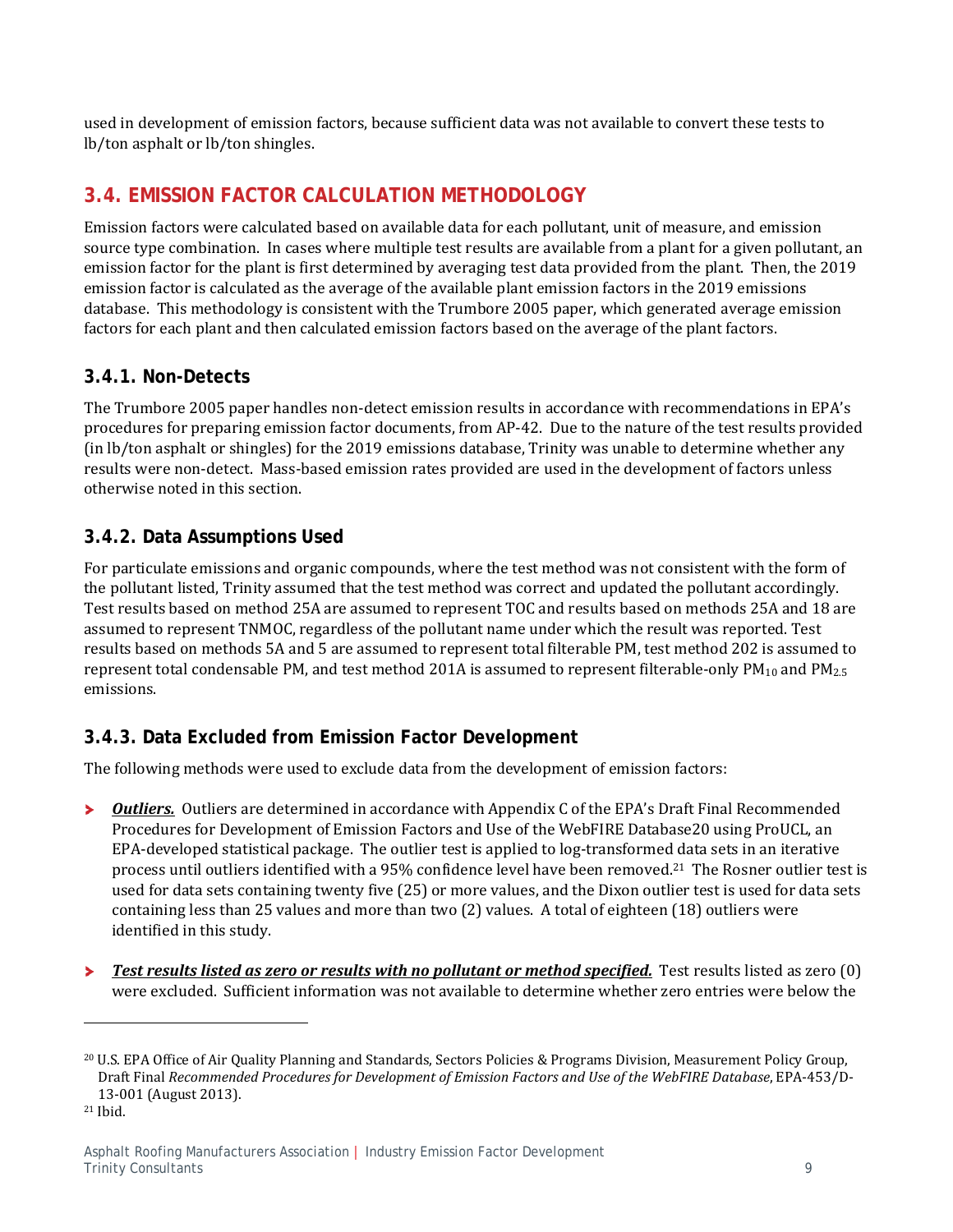used in development of emission factors, because sufficient data was not available to convert these tests to lb/ton asphalt or lb/ton shingles.

## **3.4. EMISSION FACTOR CALCULATION METHODOLOGY**

Emission factors were calculated based on available data for each pollutant, unit of measure, and emission source type combination. In cases where multiple test results are available from a plant for a given pollutant, an emission factor for the plant is first determined by averaging test data provided from the plant. Then, the 2019 emission factor is calculated as the average of the available plant emission factors in the 2019 emissions database. This methodology is consistent with the Trumbore 2005 paper, which generated average emission factors for each plant and then calculated emission factors based on the average of the plant factors.

### **3.4.1. Non-Detects**

The Trumbore 2005 paper handles non-detect emission results in accordance with recommendations in EPA's procedures for preparing emission factor documents, from AP-42. Due to the nature of the test results provided (in lb/ton asphalt or shingles) for the 2019 emissions database, Trinity was unable to determine whether any results were non-detect. Mass-based emission rates provided are used in the development of factors unless otherwise noted in this section.

### **3.4.2. Data Assumptions Used**

For particulate emissions and organic compounds, where the test method was not consistent with the form of the pollutant listed, Trinity assumed that the test method was correct and updated the pollutant accordingly. Test results based on method 25A are assumed to represent TOC and results based on methods 25A and 18 are assumed to represent TNMOC, regardless of the pollutant name under which the result was reported. Test results based on methods 5A and 5 are assumed to represent total filterable PM, test method 202 is assumed to represent total condensable PM, and test method 201A is assumed to represent filterable-only  $PM_{10}$  and  $PM_{2.5}$ emissions. 

### **3.4.3. Data Excluded from Emission Factor Development**

The following methods were used to exclude data from the development of emission factors:

- *Outliers.* Outliers are determined in accordance with Appendix C of the EPA's Draft Final Recommended ≻ Procedures for Development of Emission Factors and Use of the WebFIRE Database20 using ProUCL, an EPA-developed statistical package. The outlier test is applied to log-transformed data sets in an iterative process until outliers identified with a 95% confidence level have been removed.<sup>21</sup> The Rosner outlier test is used for data sets containing twenty five (25) or more values, and the Dixon outlier test is used for data sets containing less than 25 values and more than two  $(2)$  values. A total of eighteen  $(18)$  outliers were identified in this study.
- *Test results listed as zero or results with no pollutant or method specified.* **Test results listed as zero (0)**  $\blacktriangleright$ were excluded. Sufficient information was not available to determine whether zero entries were below the

<sup>&</sup>lt;sup>20</sup> U.S. EPA Office of Air Quality Planning and Standards, Sectors Policies & Programs Division, Measurement Policy Group, Draft Final *Recommended Procedures for Development of Emission Factors and Use of the WebFIRE Database*, EPA‐453/D‐ 13-001 (August 2013).

<sup>21</sup> Ibid.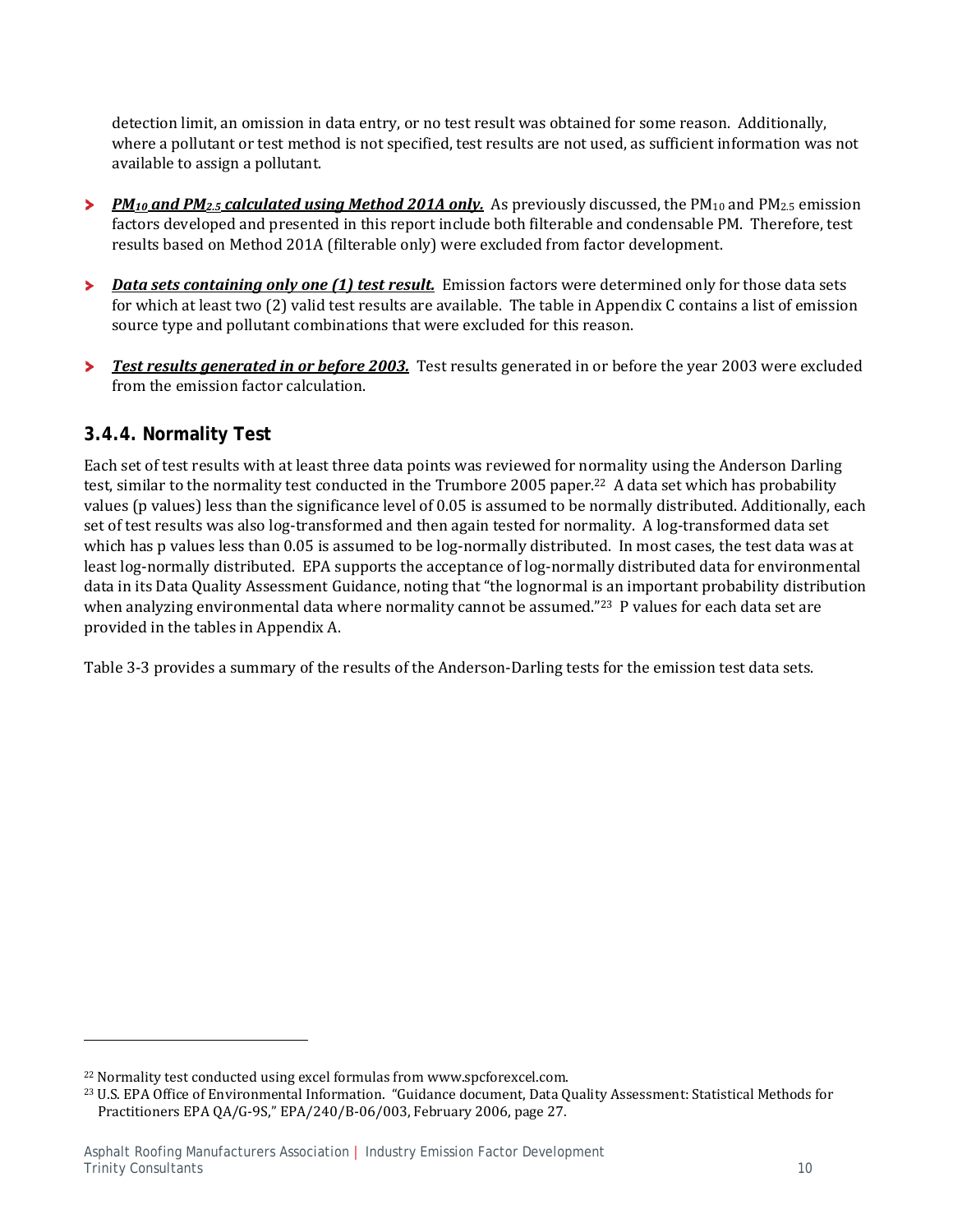detection limit, an omission in data entry, or no test result was obtained for some reason. Additionally, where a pollutant or test method is not specified, test results are not used, as sufficient information was not available to assign a pollutant.

- *PM<sub>10</sub>* and PM<sub>2.5</sub> calculated using Method 201A only. As previously discussed, the PM<sub>10</sub> and PM<sub>2.5</sub> emission  $\blacktriangleright$ factors developed and presented in this report include both filterable and condensable PM. Therefore, test results based on Method 201A (filterable only) were excluded from factor development.
- *Data sets containing only one (1) test result.* Emission factors were determined only for those data sets × for which at least two  $(2)$  valid test results are available. The table in Appendix C contains a list of emission source type and pollutant combinations that were excluded for this reason.
- У *Test results generated in or before 2003.* Test results generated in or before the year 2003 were excluded from the emission factor calculation.

### **3.4.4. Normality Test**

Each set of test results with at least three data points was reviewed for normality using the Anderson Darling test, similar to the normality test conducted in the Trumbore 2005 paper.<sup>22</sup> A data set which has probability values (p values) less than the significance level of 0.05 is assumed to be normally distributed. Additionally, each set of test results was also log-transformed and then again tested for normality. A log-transformed data set which has p values less than 0.05 is assumed to be log-normally distributed. In most cases, the test data was at least log-normally distributed. EPA supports the acceptance of log-normally distributed data for environmental data in its Data Quality Assessment Guidance, noting that "the lognormal is an important probability distribution when analyzing environmental data where normality cannot be assumed."<sup>23</sup> P values for each data set are provided in the tables in Appendix A.

Table 3-3 provides a summary of the results of the Anderson-Darling tests for the emission test data sets.

<sup>&</sup>lt;sup>22</sup> Normality test conducted using excel formulas from www.spcforexcel.com.

<sup>&</sup>lt;sup>23</sup> U.S. EPA Office of Environmental Information. "Guidance document, Data Quality Assessment: Statistical Methods for Practitioners EPA QA/G-9S," EPA/240/B-06/003, February 2006, page 27.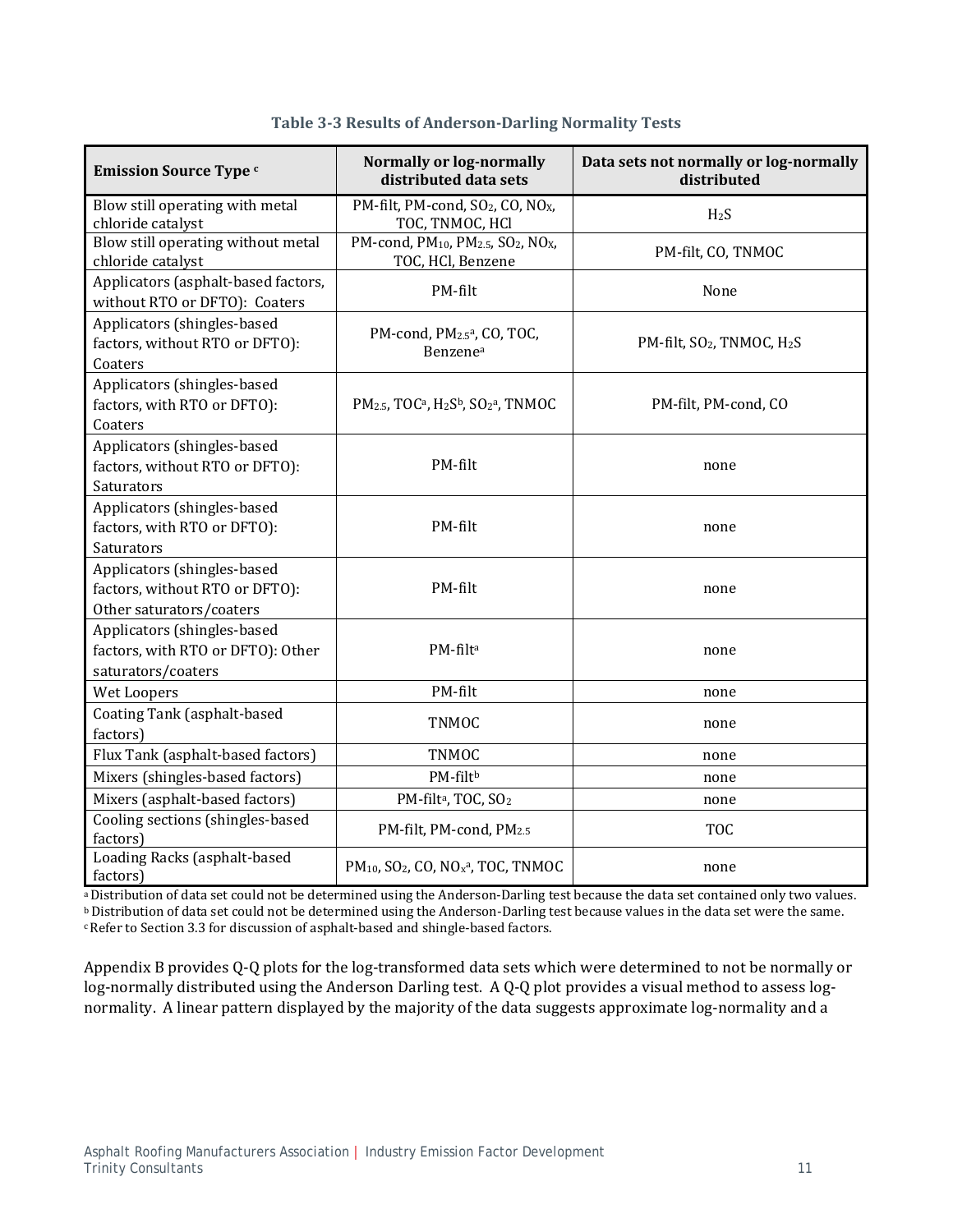| <b>Emission Source Type</b> c                                                             | <b>Normally or log-normally</b><br>distributed data sets                                                    | Data sets not normally or log-normally<br>distributed |
|-------------------------------------------------------------------------------------------|-------------------------------------------------------------------------------------------------------------|-------------------------------------------------------|
| Blow still operating with metal<br>chloride catalyst                                      | PM-filt, PM-cond, SO <sub>2</sub> , CO, NO <sub>X</sub> ,<br>TOC, TNMOC, HCl                                | H <sub>2</sub> S                                      |
| Blow still operating without metal<br>chloride catalyst                                   | PM-cond, PM <sub>10</sub> , PM <sub>2.5</sub> , SO <sub>2</sub> , NO <sub>X</sub> ,<br>TOC, HCl, Benzene    | PM-filt, CO, TNMOC                                    |
| Applicators (asphalt-based factors,<br>without RTO or DFTO): Coaters                      | PM-filt                                                                                                     | None                                                  |
| Applicators (shingles-based<br>factors, without RTO or DFTO):<br>Coaters                  | PM-cond, PM <sub>2.5</sub> a, CO, TOC,<br>Benzene <sup>a</sup>                                              | PM-filt, SO <sub>2</sub> , TNMOC, H <sub>2</sub> S    |
| Applicators (shingles-based<br>factors, with RTO or DFTO):<br>Coaters                     | PM <sub>2.5</sub> , TOC <sup>a</sup> , H <sub>2</sub> S <sup>b</sup> , SO <sub>2</sub> <sup>a</sup> , TNMOC | PM-filt, PM-cond, CO                                  |
| Applicators (shingles-based<br>factors, without RTO or DFTO):<br>Saturators               | PM-filt                                                                                                     | none                                                  |
| Applicators (shingles-based<br>factors, with RTO or DFTO):<br>Saturators                  | PM-filt                                                                                                     | none                                                  |
| Applicators (shingles-based<br>factors, without RTO or DFTO):<br>Other saturators/coaters | PM-filt                                                                                                     | none                                                  |
| Applicators (shingles-based<br>factors, with RTO or DFTO): Other<br>saturators/coaters    | PM-filta                                                                                                    | none                                                  |
| Wet Loopers                                                                               | PM-filt                                                                                                     | none                                                  |
| Coating Tank (asphalt-based<br>factors)                                                   | <b>TNMOC</b>                                                                                                | none                                                  |
| Flux Tank (asphalt-based factors)                                                         | <b>TNMOC</b>                                                                                                | none                                                  |
| Mixers (shingles-based factors)                                                           | PM-filtb                                                                                                    | none                                                  |
| Mixers (asphalt-based factors)                                                            | PM-filt <sup>a</sup> , TOC, SO <sub>2</sub>                                                                 | none                                                  |
| Cooling sections (shingles-based<br>factors)                                              | PM-filt, PM-cond, PM2.5                                                                                     | <b>TOC</b>                                            |
| Loading Racks (asphalt-based<br>factors)                                                  | PM <sub>10</sub> , SO <sub>2</sub> , CO, NO <sub>x</sub> <sup>a</sup> , TOC, TNMOC                          | none                                                  |

### **Table 3‐3 Results of Anderson‐Darling Normality Tests**

a Distribution of data set could not be determined using the Anderson-Darling test because the data set contained only two values. **b** Distribution of data set could not be determined using the Anderson-Darling test because values in the data set were the same.

c Refer to Section 3.3 for discussion of asphalt-based and shingle-based factors.

Appendix B provides Q-Q plots for the log-transformed data sets which were determined to not be normally or log-normally distributed using the Anderson Darling test. A Q-Q plot provides a visual method to assess lognormality. A linear pattern displayed by the majority of the data suggests approximate log-normality and a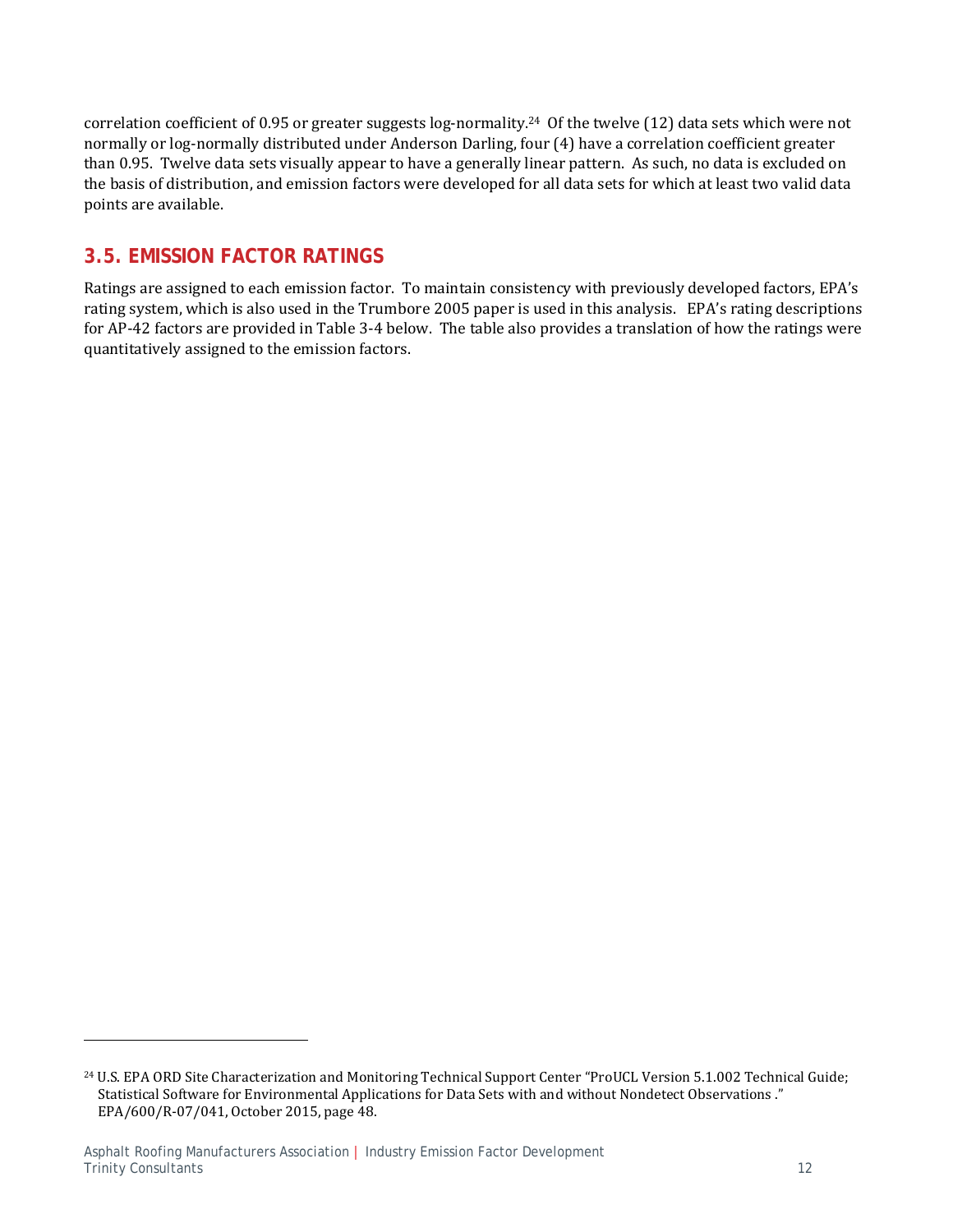correlation coefficient of 0.95 or greater suggests  $log-normality<sup>24</sup>$  Of the twelve (12) data sets which were not normally or log-normally distributed under Anderson Darling, four (4) have a correlation coefficient greater than 0.95. Twelve data sets visually appear to have a generally linear pattern. As such, no data is excluded on the basis of distribution, and emission factors were developed for all data sets for which at least two valid data points are available.

### **3.5. EMISSION FACTOR RATINGS**

Ratings are assigned to each emission factor. To maintain consistency with previously developed factors, EPA's rating system, which is also used in the Trumbore 2005 paper is used in this analysis. EPA's rating descriptions for AP-42 factors are provided in Table 3-4 below. The table also provides a translation of how the ratings were quantitatively assigned to the emission factors.

<sup>&</sup>lt;sup>24</sup> U.S. EPA ORD Site Characterization and Monitoring Technical Support Center "ProUCL Version 5.1.002 Technical Guide; Statistical Software for Environmental Applications for Data Sets with and without Nondetect Observations." EPA/600/R-07/041, October 2015, page 48.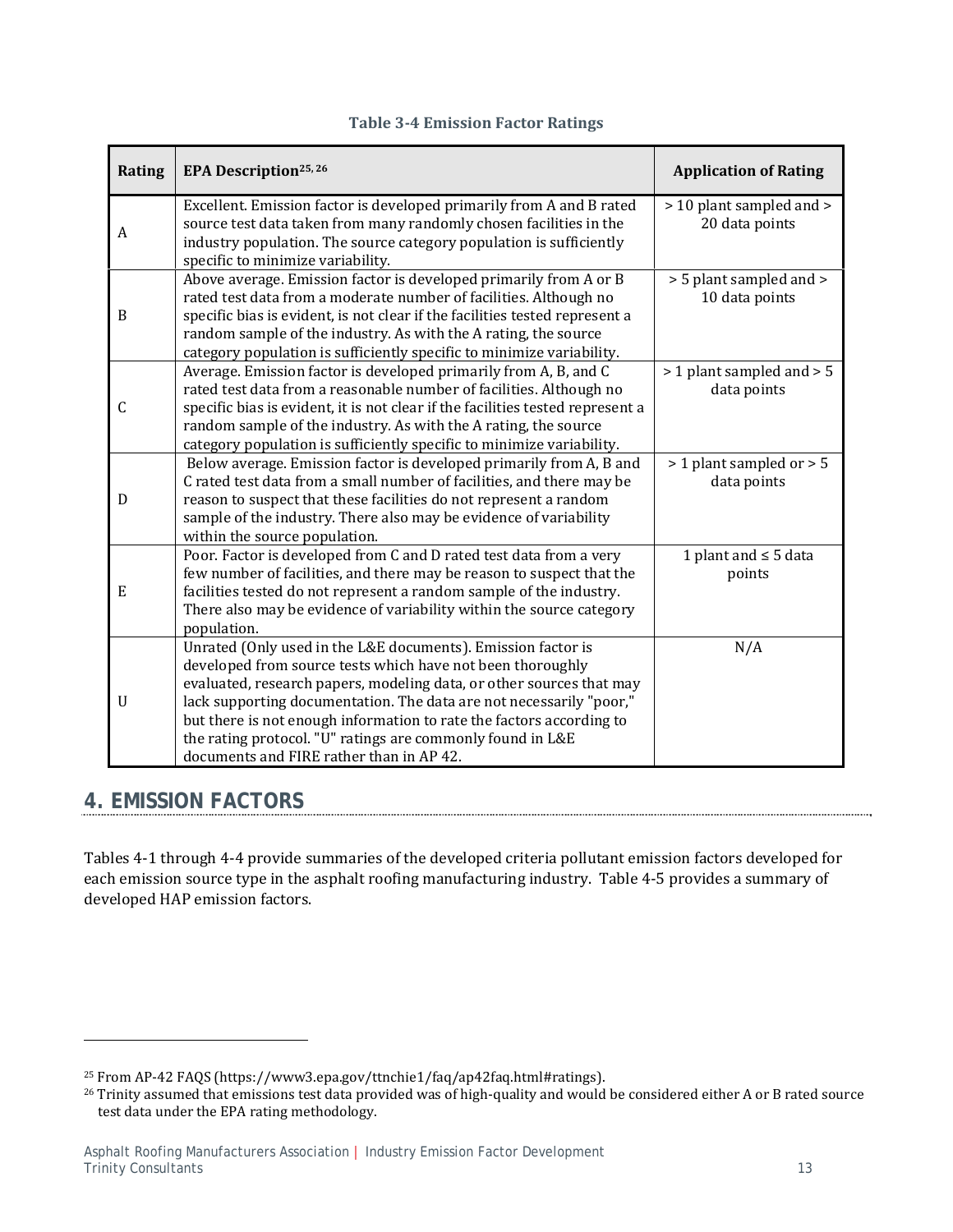| Rating      | EPA Description <sup>25, 26</sup>                                                                                                                                                                                                                                                                                                                                                                                                                           | <b>Application of Rating</b>               |
|-------------|-------------------------------------------------------------------------------------------------------------------------------------------------------------------------------------------------------------------------------------------------------------------------------------------------------------------------------------------------------------------------------------------------------------------------------------------------------------|--------------------------------------------|
| A           | Excellent. Emission factor is developed primarily from A and B rated<br>source test data taken from many randomly chosen facilities in the<br>industry population. The source category population is sufficiently<br>specific to minimize variability.                                                                                                                                                                                                      | > 10 plant sampled and ><br>20 data points |
| B           | Above average. Emission factor is developed primarily from $\overline{A}$ or $\overline{B}$<br>rated test data from a moderate number of facilities. Although no<br>specific bias is evident, is not clear if the facilities tested represent a<br>random sample of the industry. As with the A rating, the source<br>category population is sufficiently specific to minimize variability.                                                                 | > 5 plant sampled and ><br>10 data points  |
| C           | Average. Emission factor is developed primarily from A, B, and C<br>rated test data from a reasonable number of facilities. Although no<br>specific bias is evident, it is not clear if the facilities tested represent a<br>random sample of the industry. As with the A rating, the source<br>category population is sufficiently specific to minimize variability.                                                                                       | > 1 plant sampled and > 5<br>data points   |
| D           | Below average. Emission factor is developed primarily from A, B and<br>C rated test data from a small number of facilities, and there may be<br>reason to suspect that these facilities do not represent a random<br>sample of the industry. There also may be evidence of variability<br>within the source population.                                                                                                                                     | > 1 plant sampled or > 5<br>data points    |
| ${\bf E}$   | Poor. Factor is developed from C and D rated test data from a very<br>few number of facilities, and there may be reason to suspect that the<br>facilities tested do not represent a random sample of the industry.<br>There also may be evidence of variability within the source category<br>population.                                                                                                                                                   | 1 plant and $\leq$ 5 data<br>points        |
| $\mathbf U$ | Unrated (Only used in the L&E documents). Emission factor is<br>developed from source tests which have not been thoroughly<br>evaluated, research papers, modeling data, or other sources that may<br>lack supporting documentation. The data are not necessarily "poor,"<br>but there is not enough information to rate the factors according to<br>the rating protocol. "U" ratings are commonly found in L&E<br>documents and FIRE rather than in AP 42. | N/A                                        |

### **Table 3‐4 Emission Factor Ratings**

## **4. EMISSION FACTORS**

 

Tables 4-1 through 4-4 provide summaries of the developed criteria pollutant emission factors developed for each emission source type in the asphalt roofing manufacturing industry. Table 4-5 provides a summary of developed HAP emission factors.

<sup>&</sup>lt;sup>25</sup> From AP-42 FAQS (https://www3.epa.gov/ttnchie1/faq/ap42faq.html#ratings).

<sup>&</sup>lt;sup>26</sup> Trinity assumed that emissions test data provided was of high-quality and would be considered either A or B rated source test data under the EPA rating methodology.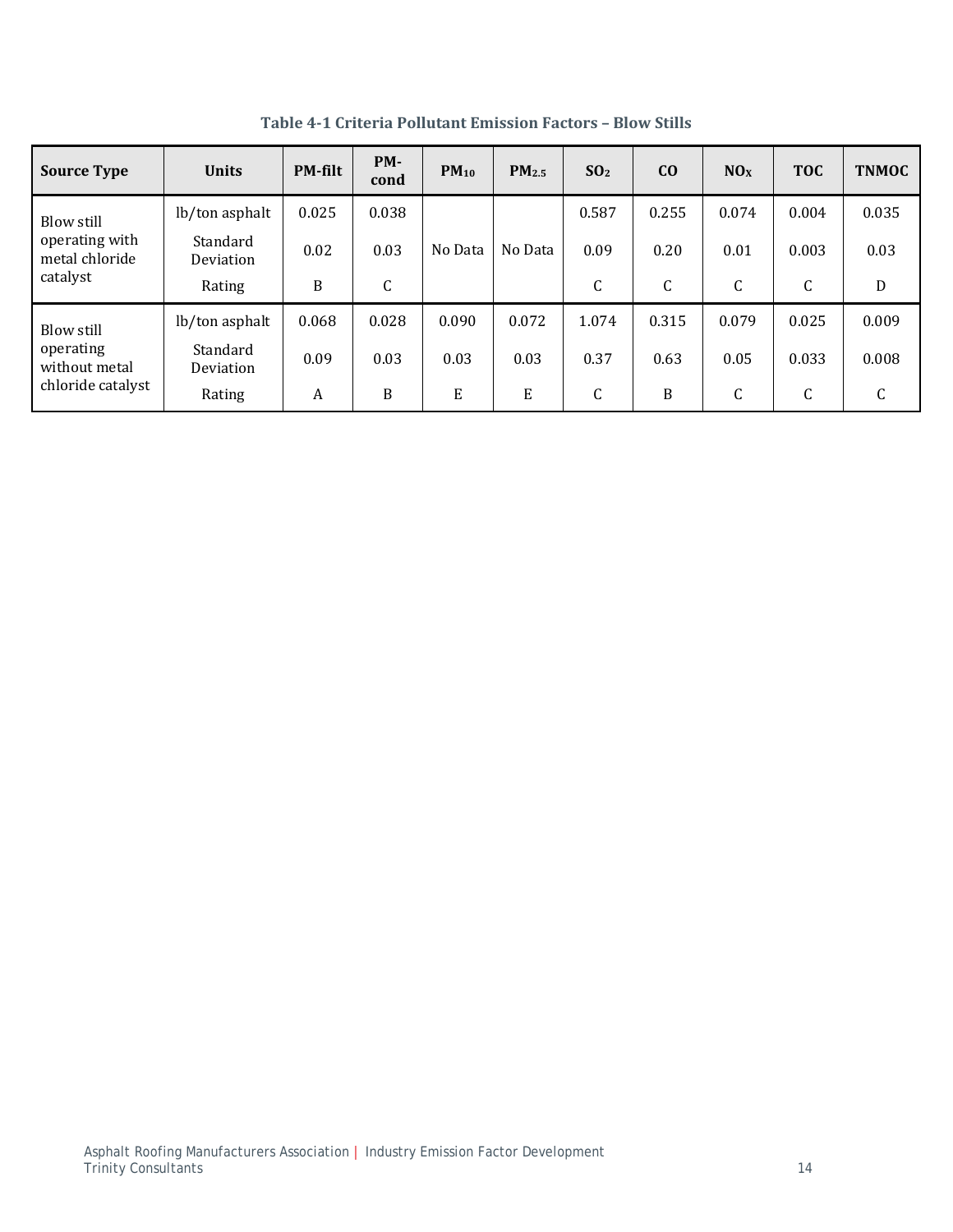| <b>Source Type</b>                                            | <b>Units</b>          | <b>PM-filt</b> | PM-<br>cond | $PM_{10}$ | PM <sub>2.5</sub> | SO <sub>2</sub> | CO    | NOx   | <b>TOC</b> | <b>TNMOC</b> |
|---------------------------------------------------------------|-----------------------|----------------|-------------|-----------|-------------------|-----------------|-------|-------|------------|--------------|
| Blow still                                                    | lb/ton asphalt        | 0.025          | 0.038       |           |                   | 0.587           | 0.255 | 0.074 | 0.004      | 0.035        |
| operating with<br>metal chloride<br>catalyst                  | Standard<br>Deviation | 0.02           | 0.03        | No Data   | No Data           | 0.09            | 0.20  | 0.01  | 0.003      | 0.03         |
|                                                               | Rating                | B              | C           |           |                   | C               | C     | C     | C          | D            |
| Blow still<br>operating<br>without metal<br>chloride catalyst | lb/ton asphalt        | 0.068          | 0.028       | 0.090     | 0.072             | 1.074           | 0.315 | 0.079 | 0.025      | 0.009        |
|                                                               | Standard<br>Deviation | 0.09           | 0.03        | 0.03      | 0.03              | 0.37            | 0.63  | 0.05  | 0.033      | 0.008        |
|                                                               | Rating                | A              | B           | E         | E                 | C               | B     | C     | C          | C            |

**Table 4‐1 Criteria Pollutant Emission Factors – Blow Stills**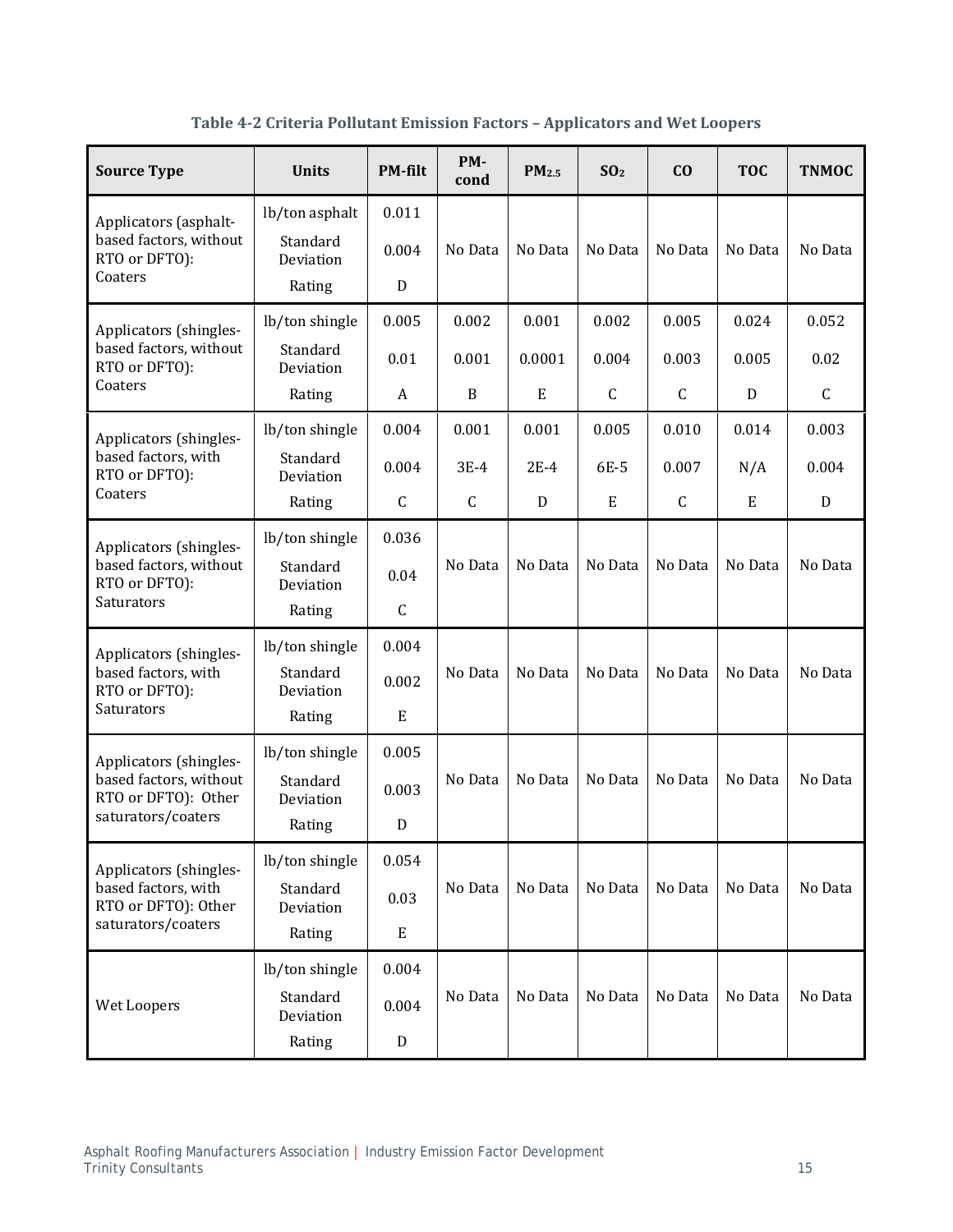| <b>Source Type</b>                                                              | <b>Units</b>          | <b>PM-filt</b> | PM-<br>cond  | PM <sub>2.5</sub> | SO <sub>2</sub> | C <sub>0</sub> | <b>TOC</b> | <b>TNMOC</b> |
|---------------------------------------------------------------------------------|-----------------------|----------------|--------------|-------------------|-----------------|----------------|------------|--------------|
| Applicators (asphalt-                                                           | lb/ton asphalt        | 0.011          |              |                   |                 |                |            |              |
| based factors, without<br>RTO or DFTO):                                         | Standard<br>Deviation | 0.004          | No Data      | No Data           | No Data         | No Data        | No Data    | No Data      |
| Coaters                                                                         | Rating                | D              |              |                   |                 |                |            |              |
| Applicators (shingles-                                                          | lb/ton shingle        | 0.005          | 0.002        | 0.001             | 0.002           | 0.005          | 0.024      | 0.052        |
| based factors, without<br>RTO or DFTO):                                         | Standard<br>Deviation | 0.01           | 0.001        | 0.0001            | 0.004           | 0.003          | 0.005      | 0.02         |
| Coaters                                                                         | Rating                | A              | B            | E                 | C               | $\mathsf C$    | D          | $\mathsf{C}$ |
| Applicators (shingles-                                                          | lb/ton shingle        | 0.004          | 0.001        | 0.001             | 0.005           | 0.010          | 0.014      | 0.003        |
| based factors, with<br>RTO or DFTO):                                            | Standard<br>Deviation | 0.004          | $3E-4$       | $2E-4$            | 6E-5            | 0.007          | N/A        | 0.004        |
| Coaters                                                                         | Rating                | $\mathsf C$    | $\mathsf{C}$ | D                 | E               | $\mathsf{C}$   | E          | D            |
| Applicators (shingles-<br>based factors, without<br>RTO or DFTO):<br>Saturators | lb/ton shingle        | 0.036          |              |                   |                 |                |            |              |
|                                                                                 | Standard<br>Deviation | 0.04           | No Data      | No Data           | No Data         | No Data        | No Data    | No Data      |
|                                                                                 | Rating                | $\mathsf C$    |              |                   |                 |                |            |              |
| Applicators (shingles-                                                          | lb/ton shingle        | 0.004          |              |                   |                 |                |            |              |
| based factors, with<br>RTO or DFTO):                                            | Standard<br>Deviation | 0.002          | No Data      | No Data           | No Data         | No Data        | No Data    | No Data      |
| Saturators                                                                      | Rating                | E              |              |                   |                 |                |            |              |
| Applicators (shingles-                                                          | lb/ton shingle        | 0.005          |              |                   |                 |                |            |              |
| based factors, without<br>RTO or DFTO): Other                                   | Standard<br>Deviation | 0.003          | No Data      | No Data           | No Data         | No Data        | No Data    | No Data      |
| saturators/coaters                                                              | Rating                | D              |              |                   |                 |                |            |              |
| Applicators (shingles-                                                          | lb/ton shingle        | 0.054          |              |                   |                 |                |            |              |
| based factors, with<br>RTO or DFTO): Other                                      | Standard<br>Deviation | 0.03           | No Data      | No Data           | No Data         | No Data        | No Data    | No Data      |
| saturators/coaters                                                              | Rating                | E              |              |                   |                 |                |            |              |
|                                                                                 | lb/ton shingle        | 0.004          |              |                   |                 |                |            |              |
| Wet Loopers                                                                     | Standard<br>Deviation | 0.004          | No Data      | No Data           | No Data         | No Data        | No Data    | No Data      |
|                                                                                 | Rating                | D              |              |                   |                 |                |            |              |

**Table 4‐2 Criteria Pollutant Emission Factors – Applicators and Wet Loopers**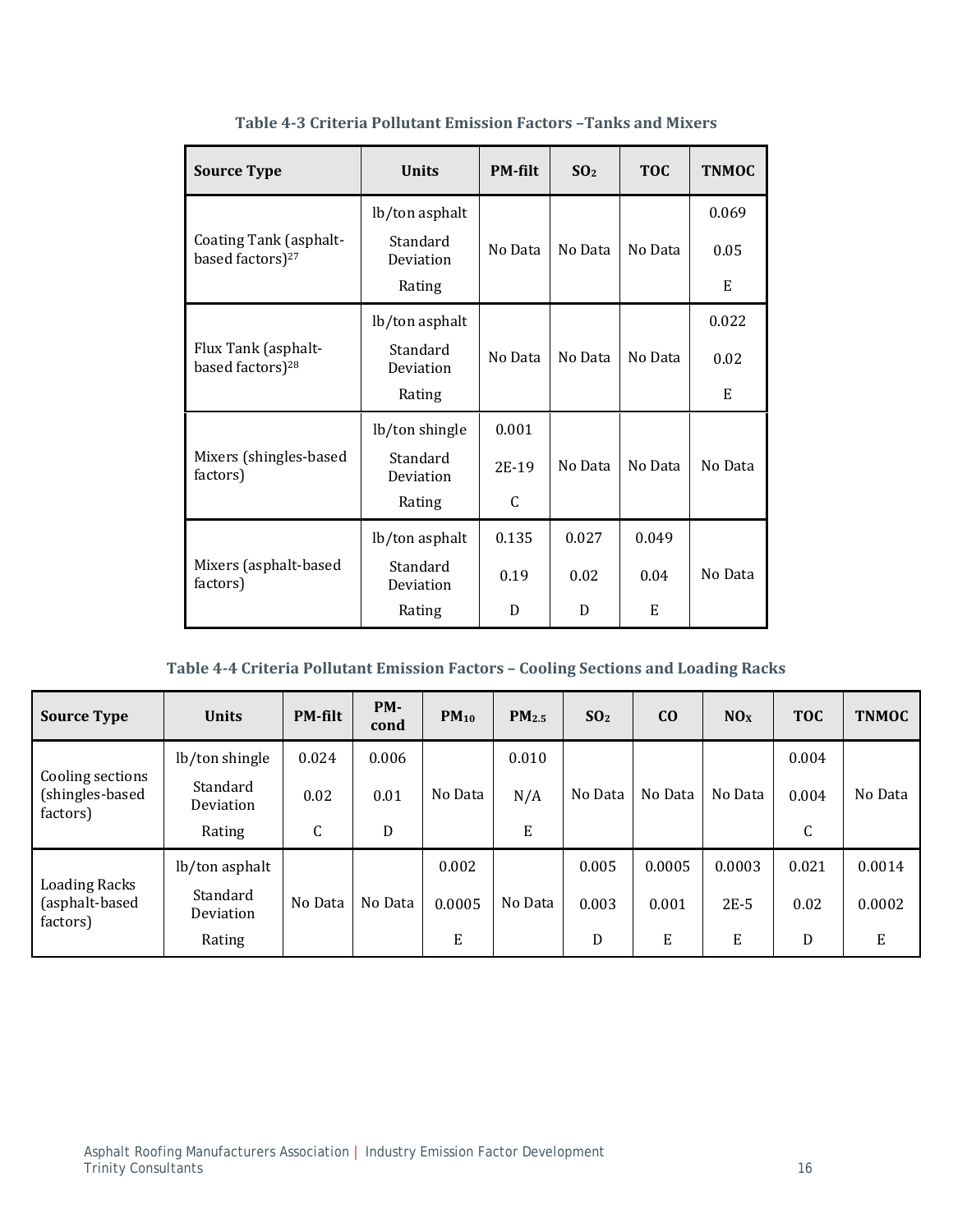| <b>Source Type</b>                                     | <b>Units</b>          | <b>PM-filt</b> | SO <sub>2</sub> | <b>TOC</b> | <b>TNMOC</b> |
|--------------------------------------------------------|-----------------------|----------------|-----------------|------------|--------------|
|                                                        | lb/ton asphalt        |                |                 |            | 0.069        |
| Coating Tank (asphalt-<br>based factors) <sup>27</sup> | Standard<br>Deviation | No Data        | No Data         | No Data    | 0.05         |
|                                                        | Rating                |                |                 |            | E            |
|                                                        | lb/ton asphalt        |                |                 |            | 0.022        |
| Flux Tank (asphalt-<br>based factors) <sup>28</sup>    | Standard<br>Deviation | No Data        | No Data         | No Data    | 0.02         |
|                                                        | Rating                |                |                 |            | E            |
|                                                        | lb/ton shingle        | 0.001          |                 |            |              |
| Mixers (shingles-based<br>factors)                     | Standard<br>Deviation | 2E-19          | No Data         | No Data    | No Data      |
|                                                        | Rating                | C              |                 |            |              |
|                                                        | lb/ton asphalt        | 0.135          | 0.027           | 0.049      |              |
| Mixers (asphalt-based<br>factors)                      | Standard<br>Deviation | 0.19           | 0.02            | 0.04       | No Data      |
|                                                        | Rating                | D              | D               | E          |              |

**Table 4‐3 Criteria Pollutant Emission Factors –Tanks and Mixers**

| Table 4-4 Criteria Pollutant Emission Factors - Cooling Sections and Loading Racks |  |  |
|------------------------------------------------------------------------------------|--|--|
|------------------------------------------------------------------------------------|--|--|

| <b>Source Type</b>                                 | <b>Units</b>          | <b>PM-filt</b> | PM-<br>cond | $PM_{10}$ | PM <sub>2.5</sub> | SO <sub>2</sub> | C <sub>O</sub> | NOx     | <b>TOC</b> | <b>TNMOC</b> |
|----------------------------------------------------|-----------------------|----------------|-------------|-----------|-------------------|-----------------|----------------|---------|------------|--------------|
|                                                    | lb/ton shingle        | 0.024          | 0.006       |           | 0.010             |                 |                |         | 0.004      |              |
| Cooling sections<br>(shingles-based<br>factors)    | Standard<br>Deviation | 0.02           | 0.01        | No Data   | N/A               | No Data         | No Data        | No Data | 0.004      | No Data      |
|                                                    | Rating                | C              | D           |           | E                 |                 |                |         | C          |              |
|                                                    | lb/ton asphalt        |                |             | 0.002     |                   | 0.005           | 0.0005         | 0.0003  | 0.021      | 0.0014       |
| <b>Loading Racks</b><br>(asphalt-based<br>factors) | Standard<br>Deviation | No Data        | No Data     | 0.0005    | No Data           | 0.003           | 0.001          | $2E-5$  | 0.02       | 0.0002       |
|                                                    | Rating                |                |             | E         |                   | D               | E              | E       | D          | E            |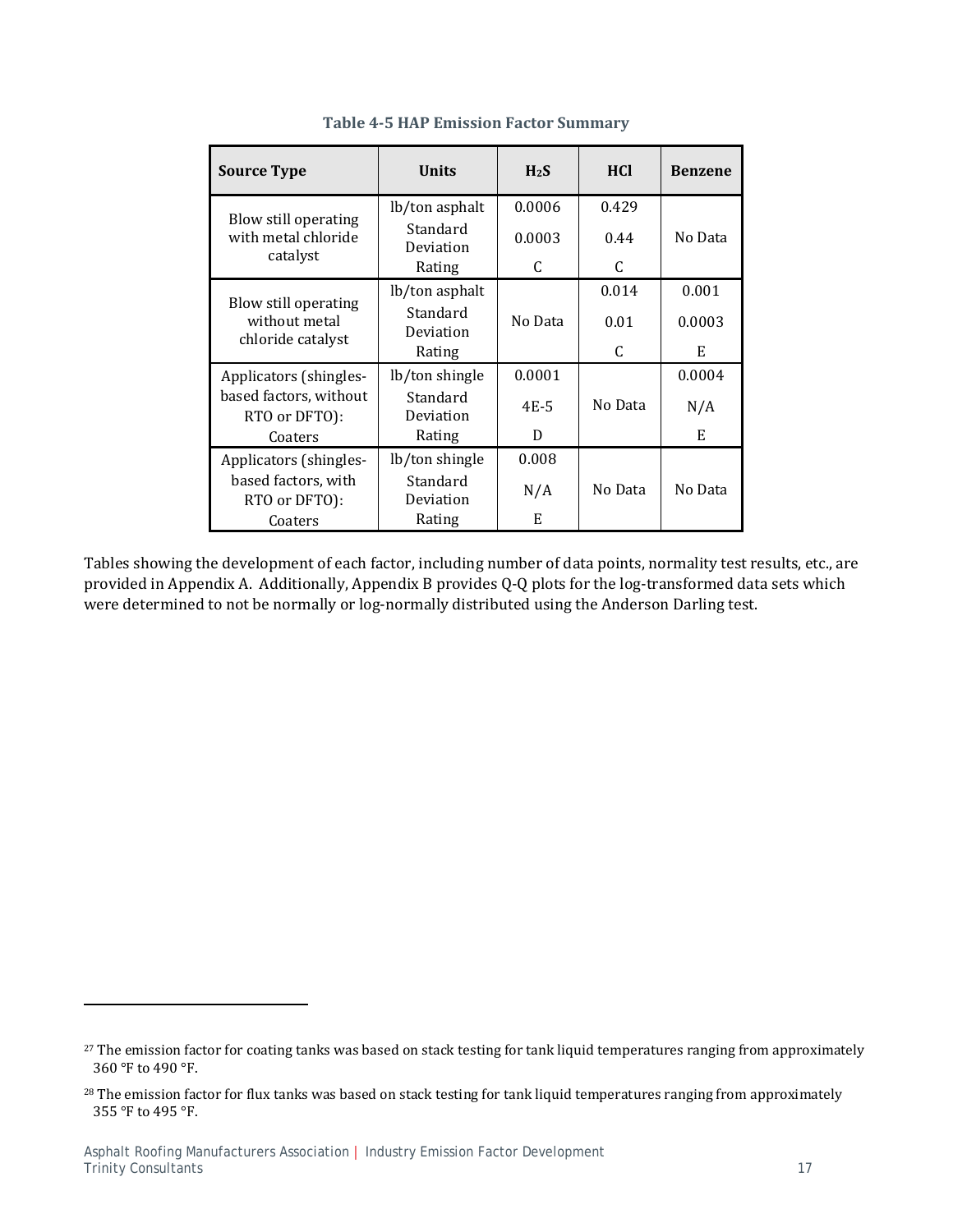| <b>Source Type</b>                                         | Units                 | H <sub>2</sub> S | <b>HCI</b> | <b>Benzene</b> |
|------------------------------------------------------------|-----------------------|------------------|------------|----------------|
|                                                            | lb/ton asphalt        | 0.0006           | 0.429      |                |
| Blow still operating<br>with metal chloride<br>catalyst    | Standard<br>Deviation | 0.0003           | 0.44       | No Data        |
|                                                            | Rating                | C                | C          |                |
|                                                            | lb/ton asphalt        |                  | 0.014      | 0.001          |
| Blow still operating<br>without metal<br>chloride catalyst | Standard<br>Deviation | No Data          | 0.01       | 0.0003         |
|                                                            | Rating                |                  | C          | E              |
| Applicators (shingles-                                     | lb/ton shingle        | 0.0001           |            | 0.0004         |
| based factors, without<br>RTO or DFTO):                    | Standard<br>Deviation | 4E-5             | No Data    | N/A            |
| Coaters                                                    | Rating                | D                |            | E              |
| Applicators (shingles-                                     | lb/ton shingle        | 0.008            |            |                |
| based factors, with<br>RTO or DFTO):                       | Standard<br>Deviation | N/A              | No Data    | No Data        |
| Coaters                                                    | Rating                | E                |            |                |

### **Table 4‐5 HAP Emission Factor Summary**

Tables showing the development of each factor, including number of data points, normality test results, etc., are provided in Appendix A. Additionally, Appendix B provides Q-Q plots for the log-transformed data sets which were determined to not be normally or log-normally distributed using the Anderson Darling test.

<sup>&</sup>lt;sup>27</sup> The emission factor for coating tanks was based on stack testing for tank liquid temperatures ranging from approximately 360 °F to 490 °F.

 $28$  The emission factor for flux tanks was based on stack testing for tank liquid temperatures ranging from approximately 355 °F to 495 °F.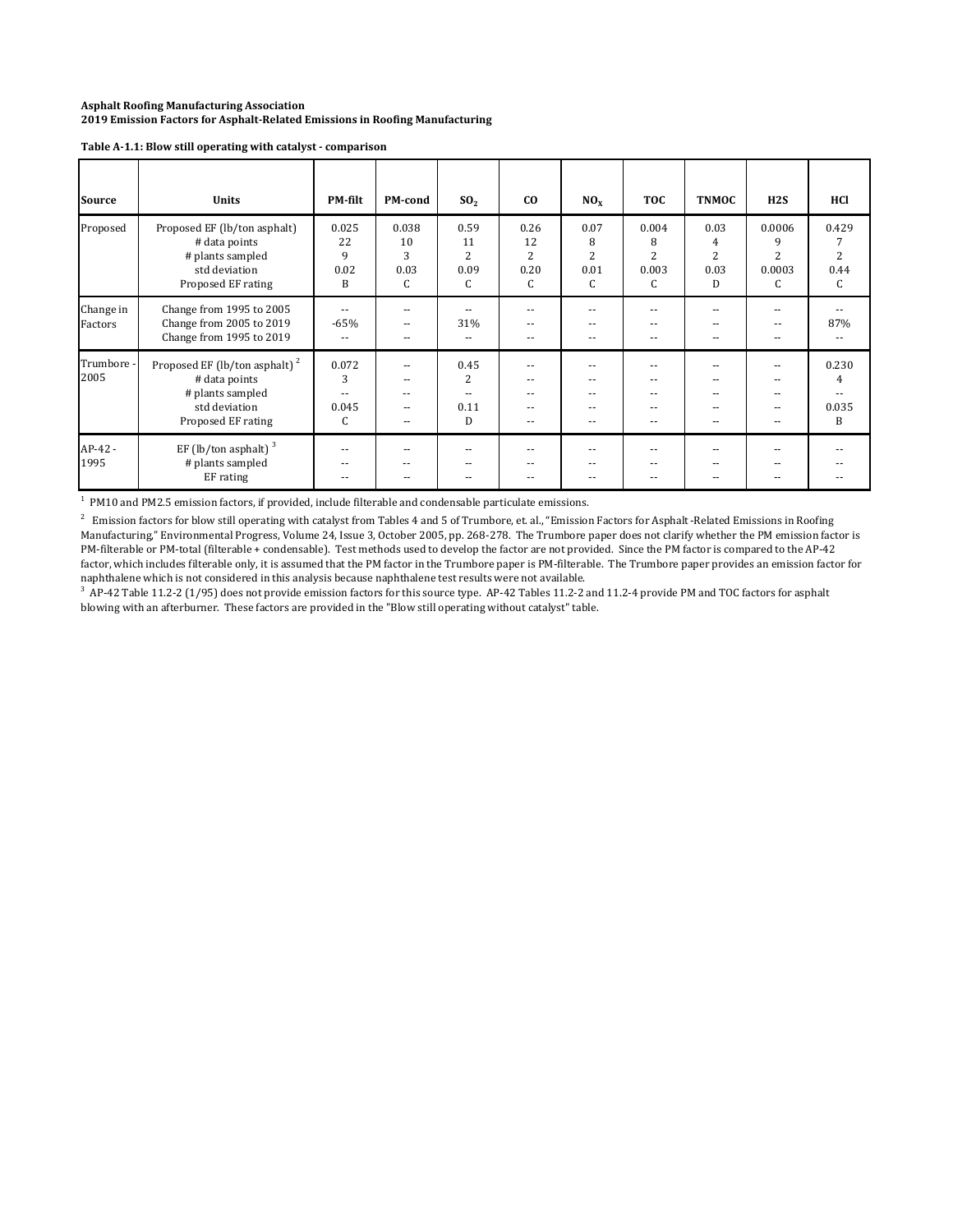| <b>Source</b>        | <b>Units</b>                                                                                                          | <b>PM-filt</b>                 | <b>PM-cond</b>                | SO <sub>2</sub>                           | co                           | NO <sub>x</sub>                          | <b>TOC</b>                           | <b>TNMOC</b>                             | H2S                                          | HCl                 |
|----------------------|-----------------------------------------------------------------------------------------------------------------------|--------------------------------|-------------------------------|-------------------------------------------|------------------------------|------------------------------------------|--------------------------------------|------------------------------------------|----------------------------------------------|---------------------|
| Proposed             | Proposed EF (lb/ton asphalt)<br># data points<br># plants sampled<br>std deviation<br>Proposed EF rating              | 0.025<br>22<br>9<br>0.02<br>B  | 0.038<br>10<br>3<br>0.03<br>C | 0.59<br>11<br>$\overline{c}$<br>0.09<br>C | 0.26<br>12<br>2<br>0.20<br>C | 0.07<br>8<br>$\overline{2}$<br>0.01<br>C | 0.004<br>8<br>2<br>0.003<br>C        | 0.03<br>4<br>$\overline{c}$<br>0.03<br>D | 0.0006<br>9<br>$\overline{c}$<br>0.0003<br>C | 0.429<br>0.44<br>C  |
| Change in<br>Factors | Change from 1995 to 2005<br>Change from 2005 to 2019<br>Change from 1995 to 2019                                      | $\sim$<br>$-65%$<br>$\sim$     | --<br>--<br>--                | --<br>31%<br>$\sim$                       | $\sim$ $\sim$<br>--          | --<br>$\sim$<br>$\sim$                   | $ -$<br>$ -$<br>$\sim$ $\sim$        | $- -$<br>$- -$<br>--                     | --<br>$\overline{a}$<br>$-$                  | 87%                 |
| Trumbore -<br>2005   | Proposed EF (lb/ton asphalt) <sup>2</sup><br># data points<br># plants sampled<br>std deviation<br>Proposed EF rating | 0.072<br>3<br>--<br>0.045<br>C | --<br>$- -$<br>--<br>--       | 0.45<br>$\overline{c}$<br>--<br>0.11<br>D | $\sim$                       | --<br>$\sim$                             | --<br>$- -$<br>$\sim$ $\sim$<br>$ -$ | --<br>$- -$<br>--                        | $\frac{1}{2}$<br>$-$                         | 0.230<br>0.035<br>B |
| AP-42 -<br>1995      | EF (lb/ton asphalt) $3$<br># plants sampled<br>EF rating                                                              | --                             | --                            | --<br>--                                  | --                           | --                                       | --<br>$- -$                          |                                          |                                              |                     |

#### **Table A‐1.1: Blow still operating with catalyst ‐ comparison**

 $<sup>1</sup>$  PM10 and PM2.5 emission factors, if provided, include filterable and condensable particulate emissions.</sup>

 $^2$  Emission factors for blow still operating with catalyst from Tables 4 and 5 of Trumbore, et. al., "Emission Factors for Asphalt-Related Emissions in Roofing Manufacturing," Environmental Progress, Volume 24, Issue 3, October 2005, pp. 268-278. The Trumbore paper does not clarify whether the PM emission factor is PM-filterable or PM-total (filterable + condensable). Test methods used to develop the factor are not provided. Since the PM factor is compared to the AP-42 factor, which includes filterable only, it is assumed that the PM factor in the Trumbore paper is PM-filterable. The Trumbore paper provides an emission factor for naphthalene which is not considered in this analysis because naphthalene test results were not available.

 $3$  AP-42 Table 11.2-2 (1/95) does not provide emission factors for this source type. AP-42 Tables 11.2-2 and 11.2-4 provide PM and TOC factors for asphalt blowing with an afterburner. These factors are provided in the "Blow still operating without catalyst" table.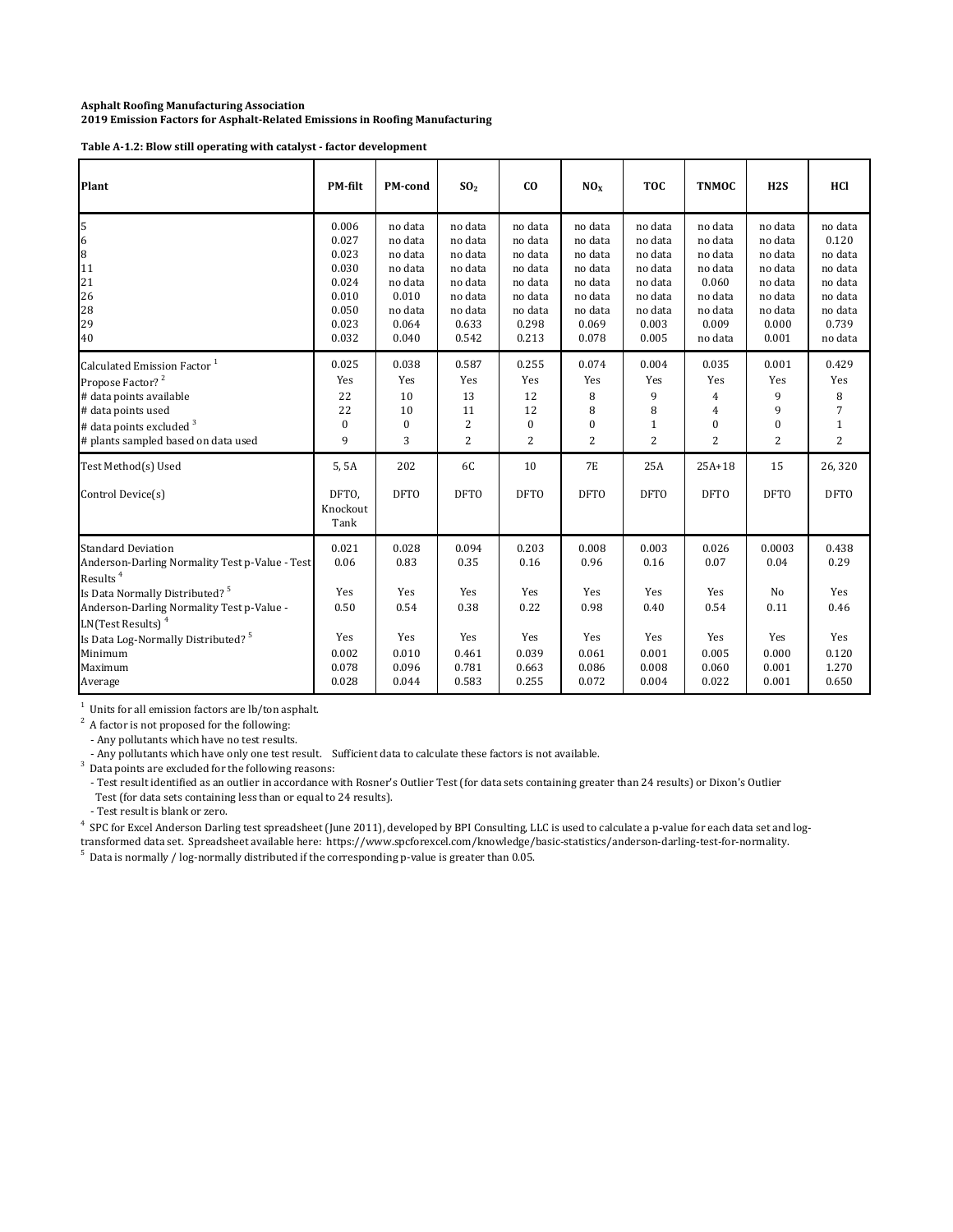**Table A‐1.2: Blow still operating with catalyst ‐ factor development**

| Plant                                                                                                                                                                                                                                                                                                       | PM-filt                                                                       | PM-cond                                                                                   | SO <sub>2</sub>                                                                             | co                                                                                          | NO <sub>x</sub>                                                                             | <b>TOC</b>                                                                                  | <b>TNMOC</b>                                                                                | H2S                                                                                         | HCl                                                                                         |
|-------------------------------------------------------------------------------------------------------------------------------------------------------------------------------------------------------------------------------------------------------------------------------------------------------------|-------------------------------------------------------------------------------|-------------------------------------------------------------------------------------------|---------------------------------------------------------------------------------------------|---------------------------------------------------------------------------------------------|---------------------------------------------------------------------------------------------|---------------------------------------------------------------------------------------------|---------------------------------------------------------------------------------------------|---------------------------------------------------------------------------------------------|---------------------------------------------------------------------------------------------|
| 5<br>6<br>8<br>11<br>21<br>26<br>28<br>29<br>40                                                                                                                                                                                                                                                             | 0.006<br>0.027<br>0.023<br>0.030<br>0.024<br>0.010<br>0.050<br>0.023<br>0.032 | no data<br>no data<br>no data<br>no data<br>no data<br>0.010<br>no data<br>0.064<br>0.040 | no data<br>no data<br>no data<br>no data<br>no data<br>no data<br>no data<br>0.633<br>0.542 | no data<br>no data<br>no data<br>no data<br>no data<br>no data<br>no data<br>0.298<br>0.213 | no data<br>no data<br>no data<br>no data<br>no data<br>no data<br>no data<br>0.069<br>0.078 | no data<br>no data<br>no data<br>no data<br>no data<br>no data<br>no data<br>0.003<br>0.005 | no data<br>no data<br>no data<br>no data<br>0.060<br>no data<br>no data<br>0.009<br>no data | no data<br>no data<br>no data<br>no data<br>no data<br>no data<br>no data<br>0.000<br>0.001 | no data<br>0.120<br>no data<br>no data<br>no data<br>no data<br>no data<br>0.739<br>no data |
| Calculated Emission Factor <sup>1</sup><br>Propose Factor? <sup>2</sup><br># data points available<br># data points used<br>$\#$ data points excluded $^3$<br># plants sampled based on data used                                                                                                           | 0.025<br>Yes<br>22<br>22<br>$\mathbf{0}$<br>9                                 | 0.038<br>Yes<br>10<br>10<br>$\mathbf{0}$<br>3                                             | 0.587<br>Yes<br>13<br>11<br>$\overline{c}$<br>$\overline{2}$                                | 0.255<br>Yes<br>12<br>12<br>$\mathbf{0}$<br>$\overline{2}$                                  | 0.074<br>Yes<br>8<br>8<br>$\bf{0}$<br>$\overline{2}$                                        | 0.004<br>Yes<br>9<br>8<br>$\mathbf{1}$<br>$\overline{2}$                                    | 0.035<br>Yes<br>4<br>4<br>$\mathbf{0}$<br>$\overline{2}$                                    | 0.001<br>Yes<br>9<br>9<br>$\bf{0}$<br>$\overline{2}$                                        | 0.429<br>Yes<br>8<br>7<br>$\mathbf{1}$<br>$\mathbf{2}$                                      |
| Test Method(s) Used<br>Control Device(s)                                                                                                                                                                                                                                                                    | 5, 5A<br>DFTO.<br>Knockout<br>Tank                                            | 202<br><b>DFTO</b>                                                                        | 6C<br><b>DFTO</b>                                                                           | 10<br><b>DFTO</b>                                                                           | <b>7E</b><br><b>DFTO</b>                                                                    | 25A<br><b>DFTO</b>                                                                          | $25A+18$<br><b>DFTO</b>                                                                     | 15<br><b>DFTO</b>                                                                           | 26,320<br><b>DFTO</b>                                                                       |
| Standard Deviation<br>Anderson-Darling Normality Test p-Value - Test<br>Results <sup>4</sup><br>Is Data Normally Distributed? <sup>5</sup><br>Anderson-Darling Normality Test p-Value -<br>LN(Test Results) <sup>4</sup><br>Is Data Log-Normally Distributed? <sup>5</sup><br>Minimum<br>Maximum<br>Average | 0.021<br>0.06<br>Yes<br>0.50<br>Yes<br>0.002<br>0.078<br>0.028                | 0.028<br>0.83<br>Yes<br>0.54<br>Yes<br>0.010<br>0.096<br>0.044                            | 0.094<br>0.35<br>Yes<br>0.38<br>Yes<br>0.461<br>0.781<br>0.583                              | 0.203<br>0.16<br>Yes<br>0.22<br>Yes<br>0.039<br>0.663<br>0.255                              | 0.008<br>0.96<br>Yes<br>0.98<br>Yes<br>0.061<br>0.086<br>0.072                              | 0.003<br>0.16<br>Yes<br>0.40<br>Yes<br>0.001<br>0.008<br>0.004                              | 0.026<br>0.07<br>Yes<br>0.54<br>Yes<br>0.005<br>0.060<br>0.022                              | 0.0003<br>0.04<br>No<br>0.11<br>Yes<br>0.000<br>0.001<br>0.001                              | 0.438<br>0.29<br>Yes<br>0.46<br>Yes<br>0.120<br>1.270<br>0.650                              |

 $1$  Units for all emission factors are lb/ton asphalt.

 $2^2$  A factor is not proposed for the following:

- Any pollutants which have no test results.

- Any pollutants which have only one test result. Sufficient data to calculate these factors is not available.

 $3$  Data points are excluded for the following reasons:

- Test result identified as an outlier in accordance with Rosner's Outlier Test (for data sets containing greater than 24 results) or Dixon's Outlier Test (for data sets containing less than or equal to 24 results).

- Test result is blank or zero.

<sup>4</sup> SPC for Excel Anderson Darling test spreadsheet (June 2011), developed by BPI Consulting, LLC is used to calculate a p-value for each data set and logtransformed data set. Spreadsheet available here: https://www.spcforexcel.com/knowledge/basic-statistics/anderson-darling-test-for-normality.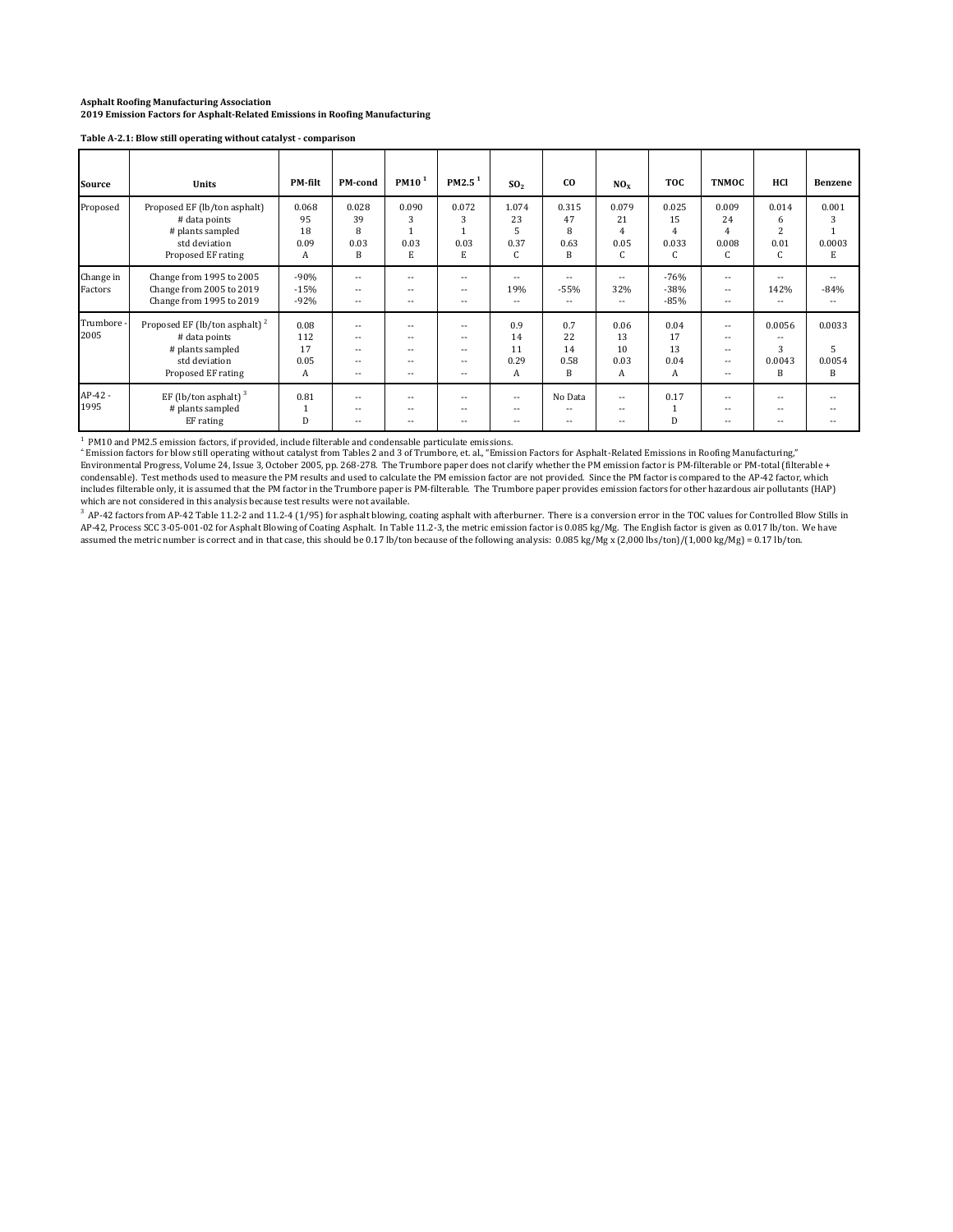**Table A‐2.1: Blow still operating without catalyst ‐ comparison**

| Source               | Units                                                                                                                 | <b>PM-filt</b>                 | PM-cond                                                        | PM10 <sup>1</sup>                                 | PM2.5 <sup>1</sup>                                  | SO <sub>2</sub>                | co                                 | NO <sub>x</sub>                            | <b>TOC</b>                                                | <b>TNMOC</b>                                                                | HCl                               | Benzene                    |
|----------------------|-----------------------------------------------------------------------------------------------------------------------|--------------------------------|----------------------------------------------------------------|---------------------------------------------------|-----------------------------------------------------|--------------------------------|------------------------------------|--------------------------------------------|-----------------------------------------------------------|-----------------------------------------------------------------------------|-----------------------------------|----------------------------|
| Proposed             | Proposed EF (lb/ton asphalt)<br># data points<br># plants sampled<br>std deviation<br>Proposed EF rating              | 0.068<br>95<br>18<br>0.09<br>Α | 0.028<br>39<br>8<br>0.03<br>B                                  | 0.090<br>0.03<br>E                                | 0.072<br>3<br>0.03<br>E                             | 1.074<br>23<br>5<br>0.37<br>C  | 0.315<br>47<br>8<br>0.63<br>B      | 0.079<br>21<br>$\overline{4}$<br>0.05<br>C | 0.025<br>15<br>$\overline{4}$<br>0.033<br>$\sqrt{2}$<br>U | 0.009<br>24<br>4<br>0.008<br>C                                              | 0.014<br>6<br>2<br>0.01<br>C      | 0.001<br>3<br>0.0003<br>E  |
| Change in<br>Factors | Change from 1995 to 2005<br>Change from 2005 to 2019<br>Change from 1995 to 2019                                      | $-90%$<br>$-15%$<br>$-92%$     | $-1$<br>$\overline{\phantom{a}}$<br>--                         | $-$<br>$\overline{\phantom{a}}$<br>--             | --<br>$-$<br>--                                     | $-$<br>19%<br>$- -$            | $- -$<br>$-55%$<br>$- -$           | $- -$<br>32%<br>$\frac{1}{2}$              | $-76%$<br>$-38%$<br>$-85%$                                | $-$<br>$\overline{\phantom{a}}$<br>$- -$                                    | $-$<br>142%<br>$- -$              | --<br>$-84%$               |
| Trumbore<br>2005     | Proposed EF (lb/ton asphalt) <sup>2</sup><br># data points<br># plants sampled<br>std deviation<br>Proposed EF rating | 0.08<br>112<br>17<br>0.05<br>A | $-$<br>$\sim$ $\sim$<br>$\overline{\phantom{a}}$<br>$-$<br>$-$ | $-$<br>$\overline{\phantom{a}}$<br>--<br>--<br>-- | --<br>$\overline{\phantom{a}}$<br>$- -$<br>--<br>-- | 0.9<br>14<br>11<br>0.29<br>А   | 0.7<br>22<br>14<br>0.58<br>B       | 0.06<br>13<br>10<br>0.03<br>A              | 0.04<br>17<br>13<br>0.04<br>A                             | $-$<br>$\overline{\phantom{a}}$<br>$\overline{\phantom{a}}$<br>$-$<br>$- -$ | 0.0056<br>$-$<br>3<br>0.0043<br>B | 0.0033<br>5<br>0.0054<br>B |
| $AP-42 -$<br>1995    | EF (lb/ton asphalt) $3$<br># plants sampled<br>EF rating                                                              | 0.81<br>D                      | $-$<br>$-$<br>--                                               | $-$<br>$- -$<br>--                                | --<br>--                                            | $\qquad \qquad -$<br>$-$<br>٠. | No Data<br>$\overline{a}$<br>$- -$ | $\frac{1}{2}$<br>$- -$<br>$- -$            | 0.17<br>$\mathbf{1}$<br>D                                 | $-$<br>$- -$<br>--                                                          | $-$<br>$-$<br>--                  |                            |

<sup>1</sup> PM10 and PM2.5 emission factors, if provided, include filterable and condensable particulate emissions.<br><sup>4</sup> Emission factors for blow still operating without catalyst from Tables 2 and 3 of Trumbore, et. al., "Emissio includes filterable only, it is assumed that the PM factor in the Trumbore paper is PM-filterable. The Trumbore paper provides emission factors for other hazardous air pollutants (HAP) which are not considered in this analysis because test results were not available.

<sup>3</sup> AP-42 factors from AP-42 Table 11.2-2 and 11.2-4 (1/95) for asphalt blowing, coating asphalt with afterburner. There is a conversion error in the TOC values for Controlled Blow Stills in<br>AP-42, Process SCC 3-05-001-02 assumed the metric number is correct and in that case, this should be 0.17 lb/ton because of the following analysis: 0.085 kg/Mg x (2,000 lbs/ton)/(1,000 kg/Mg) = 0.17 lb/ton.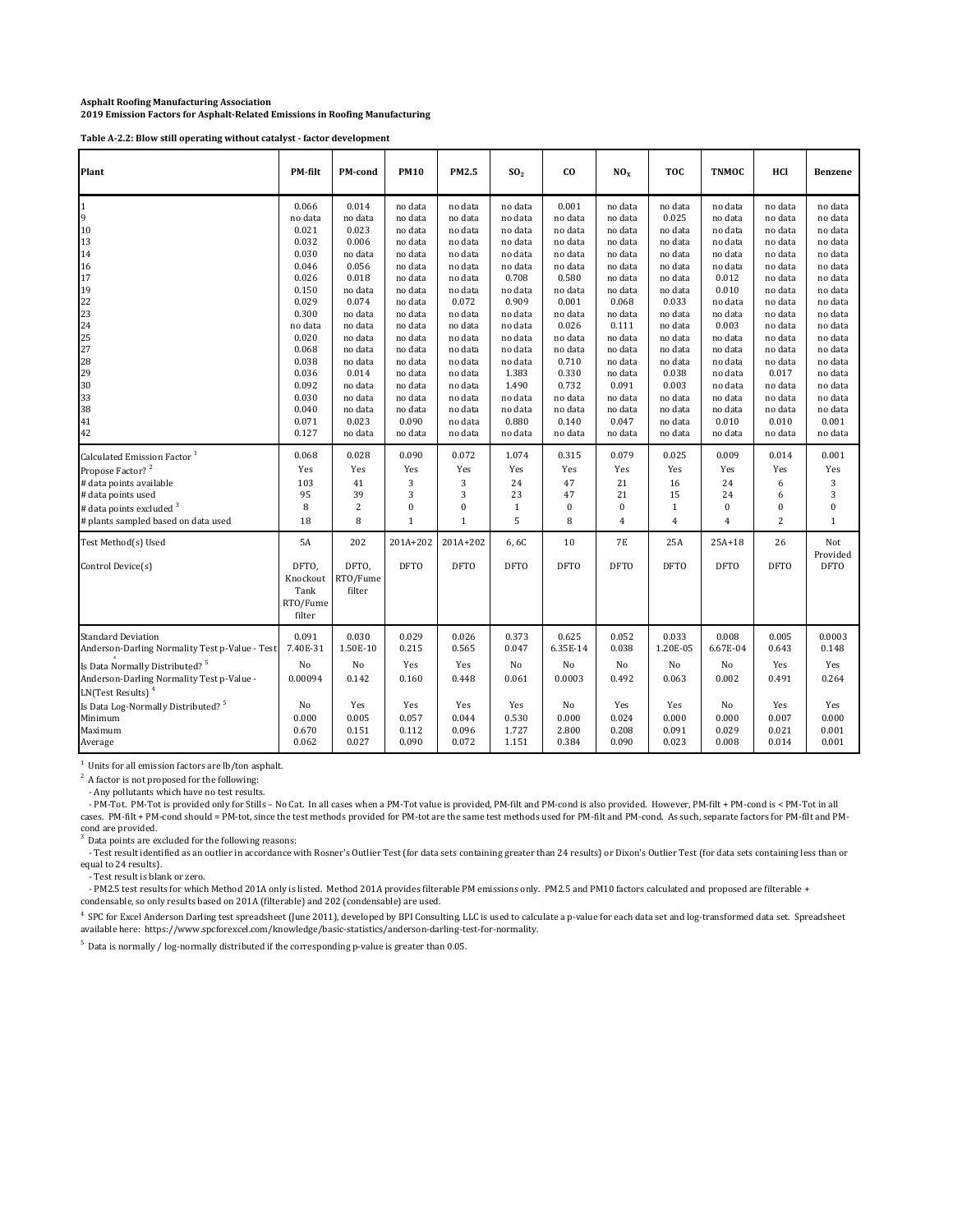**Table A‐2.2: Blow still operating without catalyst ‐ factor development**

| Plant                                                                                                                                                                                                                                                                                      | PM-filt                                                             | <b>PM-cond</b>                                                     | <b>PM10</b>                                                      | PM2.5                                                            | SO <sub>2</sub>                                                 | <b>CO</b>                                                          | NO <sub>x</sub>                                                 | <b>TOC</b>                                                         | <b>TNMOC</b>                                                      | HCl                                                              | <b>Benzene</b>                                                    |
|--------------------------------------------------------------------------------------------------------------------------------------------------------------------------------------------------------------------------------------------------------------------------------------------|---------------------------------------------------------------------|--------------------------------------------------------------------|------------------------------------------------------------------|------------------------------------------------------------------|-----------------------------------------------------------------|--------------------------------------------------------------------|-----------------------------------------------------------------|--------------------------------------------------------------------|-------------------------------------------------------------------|------------------------------------------------------------------|-------------------------------------------------------------------|
| $\mathbf{1}$                                                                                                                                                                                                                                                                               | 0.066                                                               | 0.014                                                              | no data                                                          | no data                                                          | no data                                                         | 0.001                                                              | no data                                                         | no data                                                            | no data                                                           | no data                                                          | no data                                                           |
| 9                                                                                                                                                                                                                                                                                          | no data                                                             | no data                                                            | no data                                                          | no data                                                          | no data                                                         | no data                                                            | no data                                                         | 0.025                                                              | no data                                                           | no data                                                          | no data                                                           |
| 10                                                                                                                                                                                                                                                                                         | 0.021                                                               | 0.023                                                              | no data                                                          | no data                                                          | no data                                                         | no data                                                            | no data                                                         | no data                                                            | no data                                                           | no data                                                          | no data                                                           |
| 13                                                                                                                                                                                                                                                                                         | 0.032                                                               | 0.006                                                              | no data                                                          | no data                                                          | no data                                                         | no data                                                            | no data                                                         | no data                                                            | no data                                                           | no data                                                          | no data                                                           |
| 14                                                                                                                                                                                                                                                                                         | 0.030                                                               | no data                                                            | no data                                                          | no data                                                          | no data                                                         | no data                                                            | no data                                                         | no data                                                            | no data                                                           | no data                                                          | no data                                                           |
| 16                                                                                                                                                                                                                                                                                         | 0.046                                                               | 0.056                                                              | no data                                                          | no data                                                          | no data                                                         | no data                                                            | no data                                                         | no data                                                            | no data                                                           | no data                                                          | no data                                                           |
| 17                                                                                                                                                                                                                                                                                         | 0.026                                                               | 0.018                                                              | no data                                                          | no data                                                          | 0.708                                                           | 0.580                                                              | no data                                                         | no data                                                            | 0.012                                                             | no data                                                          | no data                                                           |
| 19                                                                                                                                                                                                                                                                                         | 0.150                                                               | no data                                                            | no data                                                          | no data                                                          | no data                                                         | no data                                                            | no data                                                         | no data                                                            | 0.010                                                             | no data                                                          | no data                                                           |
| 22                                                                                                                                                                                                                                                                                         | 0.029                                                               | 0.074                                                              | no data                                                          | 0.072                                                            | 0.909                                                           | 0.001                                                              | 0.068                                                           | 0.033                                                              | no data                                                           | no data                                                          | no data                                                           |
| 23                                                                                                                                                                                                                                                                                         | 0.300                                                               | no data                                                            | no data                                                          | no data                                                          | no data                                                         | no data                                                            | no data                                                         | no data                                                            | no data                                                           | no data                                                          | no data                                                           |
| 24                                                                                                                                                                                                                                                                                         | no data                                                             | no data                                                            | no data                                                          | no data                                                          | no data                                                         | 0.026                                                              | 0.111                                                           | no data                                                            | 0.003                                                             | no data                                                          | no data                                                           |
| 25                                                                                                                                                                                                                                                                                         | 0.020                                                               | no data                                                            | no data                                                          | no data                                                          | no data                                                         | no data                                                            | no data                                                         | no data                                                            | no data                                                           | no data                                                          | no data                                                           |
| 27                                                                                                                                                                                                                                                                                         | 0.068                                                               | no data                                                            | no data                                                          | no data                                                          | no data                                                         | no data                                                            | no data                                                         | no data                                                            | no data                                                           | no data                                                          | no data                                                           |
| 28                                                                                                                                                                                                                                                                                         | 0.038                                                               | no data                                                            | no data                                                          | no data                                                          | no data                                                         | 0.710                                                              | no data                                                         | no data                                                            | no data                                                           | no data                                                          | no data                                                           |
| 29                                                                                                                                                                                                                                                                                         | 0.036                                                               | 0.014                                                              | no data                                                          | no data                                                          | 1.383                                                           | 0.330                                                              | no data                                                         | 0.038                                                              | no data                                                           | 0.017                                                            | no data                                                           |
| 30                                                                                                                                                                                                                                                                                         | 0.092                                                               | no data                                                            | no data                                                          | no data                                                          | 1.490                                                           | 0.732                                                              | 0.091                                                           | 0.003                                                              | no data                                                           | no data                                                          | no data                                                           |
| 33                                                                                                                                                                                                                                                                                         | 0.030                                                               | no data                                                            | no data                                                          | no data                                                          | no data                                                         | no data                                                            | no data                                                         | no data                                                            | no data                                                           | no data                                                          | no data                                                           |
| 38                                                                                                                                                                                                                                                                                         | 0.040                                                               | no data                                                            | no data                                                          | no data                                                          | no data                                                         | no data                                                            | no data                                                         | no data                                                            | no data                                                           | no data                                                          | no data                                                           |
| 41                                                                                                                                                                                                                                                                                         | 0.071                                                               | 0.023                                                              | 0.090                                                            | no data                                                          | 0.880                                                           | 0.140                                                              | 0.047                                                           | no data                                                            | 0.010                                                             | 0.010                                                            | 0.001                                                             |
| 42                                                                                                                                                                                                                                                                                         | 0.127                                                               | no data                                                            | no data                                                          | no data                                                          | no data                                                         | no data                                                            | no data                                                         | no data                                                            | no data                                                           | no data                                                          | no data                                                           |
| Calculated Emission Factor <sup>1</sup>                                                                                                                                                                                                                                                    | 0.068                                                               | 0.028                                                              | 0.090                                                            | 0.072                                                            | 1.074                                                           | 0.315                                                              | 0.079                                                           | 0.025                                                              | 0.009                                                             | 0.014                                                            | 0.001                                                             |
| Propose Factor? <sup>2</sup>                                                                                                                                                                                                                                                               | Yes                                                                 | Yes                                                                | Yes                                                              | Yes                                                              | Yes                                                             | Yes                                                                | Yes                                                             | Yes                                                                | Yes                                                               | Yes                                                              | Yes                                                               |
| # data points available                                                                                                                                                                                                                                                                    | 103                                                                 | 41                                                                 | 3                                                                | 3                                                                | 24                                                              | 47                                                                 | 21                                                              | 16                                                                 | 24                                                                | 6                                                                | 3                                                                 |
| # data points used                                                                                                                                                                                                                                                                         | 95                                                                  | 39                                                                 | 3                                                                | 3                                                                | 23                                                              | 47                                                                 | 21                                                              | 15                                                                 | 24                                                                | 6                                                                | 3                                                                 |
| # data points excluded $3$                                                                                                                                                                                                                                                                 | 8                                                                   | $\overline{c}$                                                     | 0                                                                | $\bf{0}$                                                         | $\mathbf{1}$                                                    | 0                                                                  | 0                                                               | $\mathbf 1$                                                        | $\bf{0}$                                                          | 0                                                                | 0                                                                 |
| # plants sampled based on data used                                                                                                                                                                                                                                                        | 18                                                                  | 8                                                                  | $\mathbf 1$                                                      | $1\,$                                                            | 5                                                               | 8                                                                  | $\overline{4}$                                                  | $\overline{4}$                                                     | $\overline{4}$                                                    | $\overline{c}$                                                   | $\mathbf{1}$                                                      |
| Test Method(s) Used<br>Control Device(s)                                                                                                                                                                                                                                                   | <b>5A</b><br>DFTO,<br>Knockout<br>Tank<br>RTO/Fume<br>filter        | 202<br>DFTO,<br>RTO/Fume<br>filter                                 | 201A+202<br><b>DFTO</b>                                          | 201A+202<br><b>DFTO</b>                                          | 6,6C<br><b>DFTO</b>                                             | 10<br><b>DFTO</b>                                                  | <b>7E</b><br><b>DFTO</b>                                        | 25A<br><b>DFTO</b>                                                 | $25A + 18$<br><b>DFTO</b>                                         | 26<br><b>DFTO</b>                                                | Not<br>Provided<br><b>DFTO</b>                                    |
| <b>Standard Deviation</b><br>Anderson-Darling Normality Test p-Value - Test<br>Is Data Normally Distributed? <sup>5</sup><br>Anderson-Darling Normality Test p-Value -<br>LN(Test Results) <sup>4</sup><br>Is Data Log-Normally Distributed? <sup>5</sup><br>Minimum<br>Maximum<br>Average | 0.091<br>7.40E-31<br>No<br>0.00094<br>No<br>0.000<br>0.670<br>0.062 | 0.030<br>1.50E-10<br>No<br>0.142<br>Yes<br>0.005<br>0.151<br>0.027 | 0.029<br>0.215<br>Yes<br>0.160<br>Yes<br>0.057<br>0.112<br>0.090 | 0.026<br>0.565<br>Yes<br>0.448<br>Yes<br>0.044<br>0.096<br>0.072 | 0.373<br>0.047<br>No<br>0.061<br>Yes<br>0.530<br>1.727<br>1.151 | 0.625<br>6.35E-14<br>No<br>0.0003<br>No<br>0.000<br>2.800<br>0.384 | 0.052<br>0.038<br>No<br>0.492<br>Yes<br>0.024<br>0.208<br>0.090 | 0.033<br>1.20E-05<br>No<br>0.063<br>Yes<br>0.000<br>0.091<br>0.023 | 0.008<br>6.67E-04<br>No<br>0.002<br>No<br>0.000<br>0.029<br>0.008 | 0.005<br>0.643<br>Yes<br>0.491<br>Yes<br>0.007<br>0.021<br>0.014 | 0.0003<br>0.148<br>Yes<br>0.264<br>Yes<br>0.000<br>0.001<br>0.001 |

<sup>1</sup> Units for all emission factors are lb/ton asphalt.

 $2^2$  A factor is not proposed for the following:

- Any pollutants which have no test results.

- PM-Tot. PM-Tot is provided only for Stills - No Cat. In all cases when a PM-Tot value is provided, PM-filt and PM-cond is also provided. However, PM-filt + PM-cond is < PM-Tot in all cases. PM‐filt + PM‐cond should = PM‐tot, since the test methods provided for PM‐tot are the same test methods used for PM‐filt and PM‐cond. As such, separate factors for PM‐filt and PM‐

cond are provided.<br> $3.$  Data naints are a Data points are excluded for the following reasons:

- Test result identified as an outlier in accordance with Rosner's Outlier Test (for data sets containing greater than 24 results) or Dixon's Outlier Test (for data sets containing less than or equal to 24 results).<br>Test result is blank or zero.

- PM2.5 test results for which Method 201A only is listed. Method 201A provides filterable PM emissions only. PM2.5 and PM10 factors calculated and proposed are filterable +<br>condensable, so only results based on 201A (filt

4 SPC for Excel Anderson Darling test spreadsheet (June 2011), developed by BPI Consulting, LLC is used to calculate a p-value for each data set and log-transformed data set. Spreadsheet available here: https://www.spcforexcel.com/knowledge/basic-statistics/anderson-darling-test-for-normality.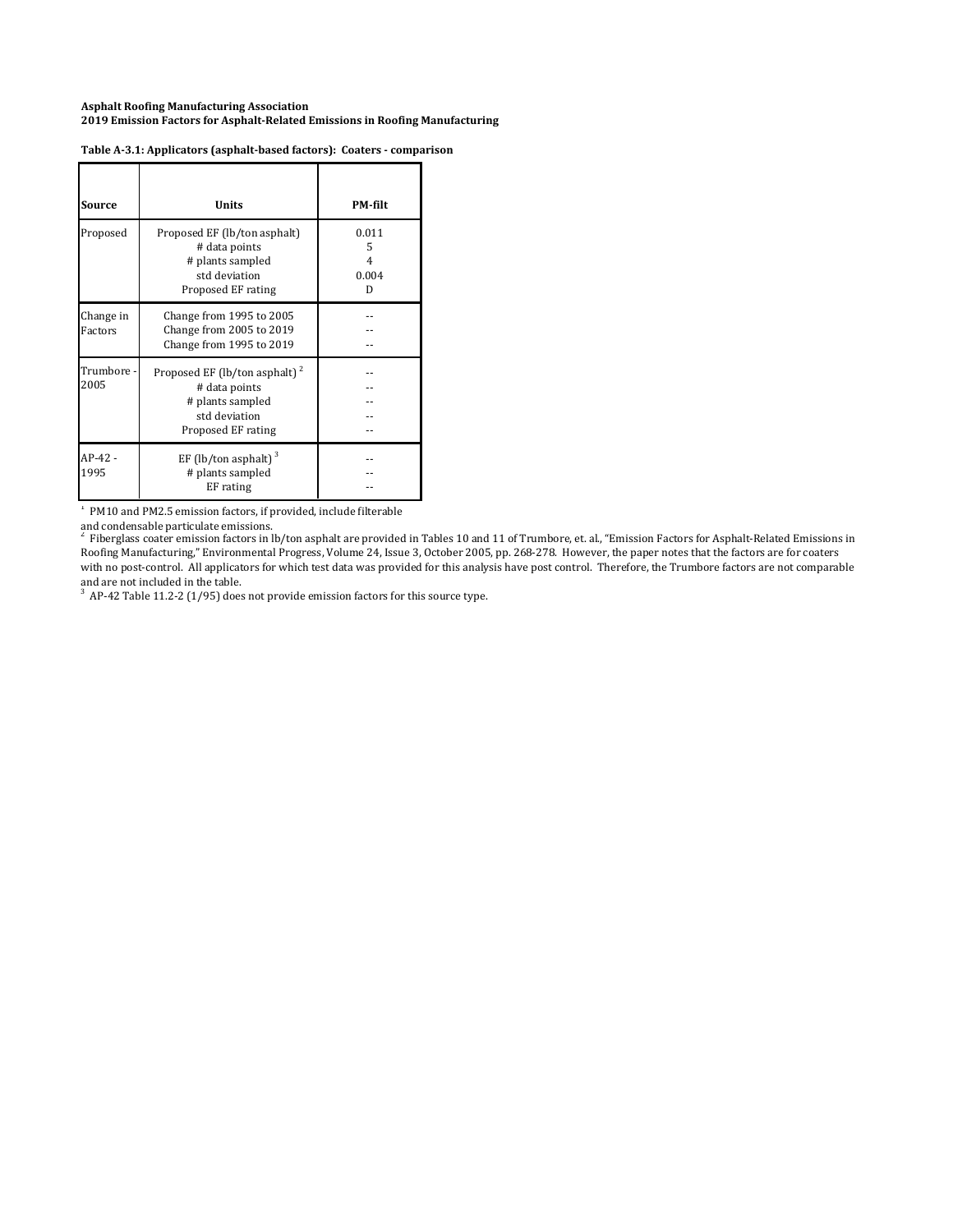| <b>Source</b>        | <b>Units</b>                                                                                                          | <b>PM-filt</b>                |
|----------------------|-----------------------------------------------------------------------------------------------------------------------|-------------------------------|
| Proposed             | Proposed EF (lb/ton asphalt)<br># data points<br># plants sampled<br>std deviation<br>Proposed EF rating              | 0.011<br>5<br>4<br>0.004<br>D |
| Change in<br>Factors | Change from 1995 to 2005<br>Change from 2005 to 2019<br>Change from 1995 to 2019                                      |                               |
| Trumbore -<br>2005   | Proposed EF (lb/ton asphalt) <sup>2</sup><br># data points<br># plants sampled<br>std deviation<br>Proposed EF rating |                               |
| $AP-42 -$<br>1995    | EF (lb/ton asphalt) $3$<br># plants sampled<br>EF rating                                                              |                               |

### **Table A‐3.1: Applicators (asphalt‐based factors): Coaters ‐ comparison**

<sup>1</sup> PM10 and PM2.5 emission factors, if provided, include filterable

and condensable particulate emissions.<br><sup>2</sup> Fiberglass coater emission factors in lb/ton asphalt are provided in Tables 10 and 11 of Trumbore, et. al., "Emission Factors for Asphalt-Related Emissions in Roofing Manufacturing," Environmental Progress, Volume 24, Issue 3, October 2005, pp. 268-278. However, the paper notes that the factors are for coaters with no post-control. All applicators for which test data was provided for this analysis have post control. Therefore, the Trumbore factors are not comparable and are not included in the table.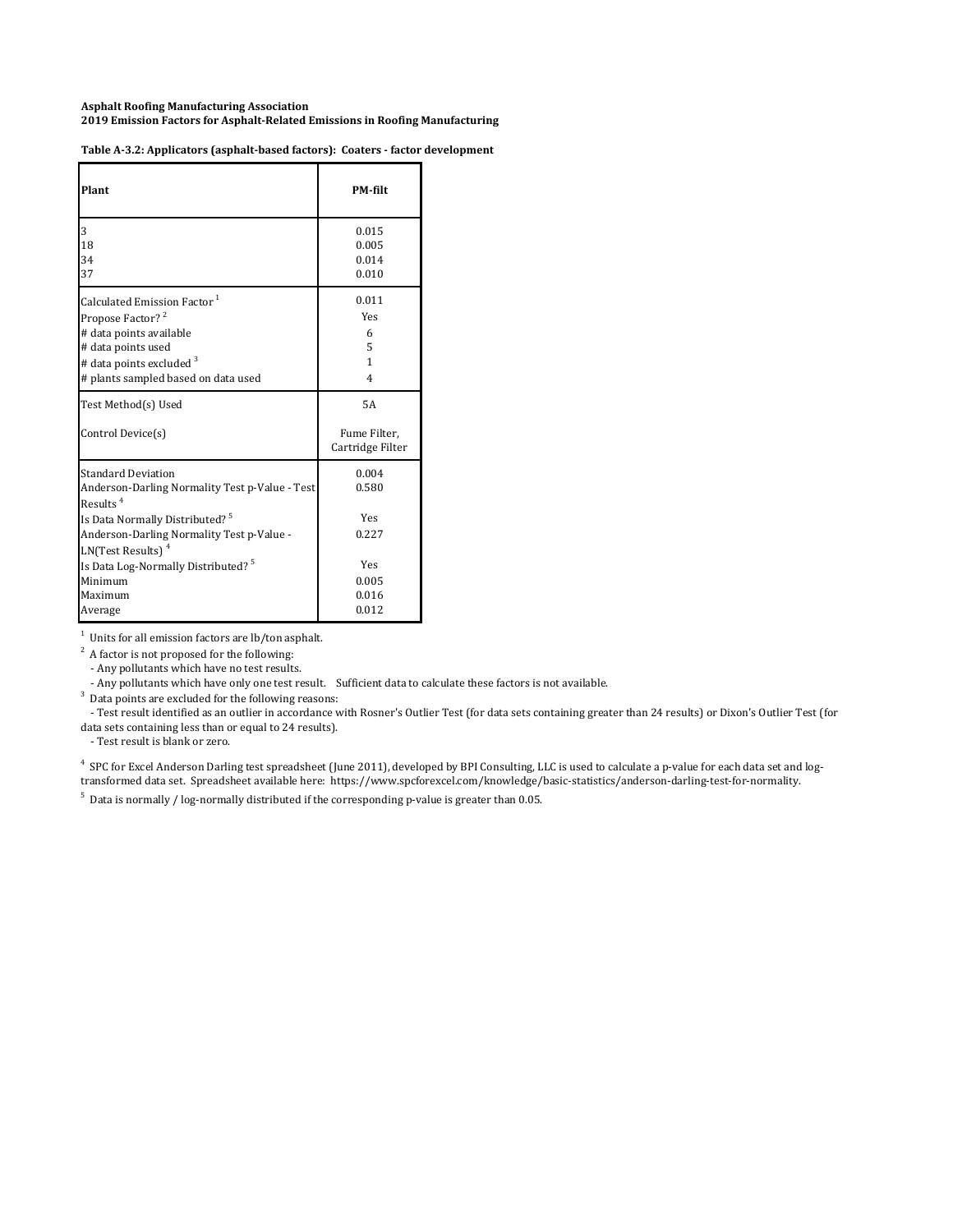| Plant                                                                                                                                                                                                                  | <b>PM-filt</b>                         |
|------------------------------------------------------------------------------------------------------------------------------------------------------------------------------------------------------------------------|----------------------------------------|
| 3                                                                                                                                                                                                                      | 0.015                                  |
| 18                                                                                                                                                                                                                     | 0.005                                  |
| 34                                                                                                                                                                                                                     | 0.014                                  |
| 37                                                                                                                                                                                                                     | 0.010                                  |
| Calculated Emission Factor <sup>1</sup>                                                                                                                                                                                | 0.011                                  |
| Propose Factor? <sup>2</sup>                                                                                                                                                                                           | Yes                                    |
| # data points available                                                                                                                                                                                                | 6                                      |
| # data points used                                                                                                                                                                                                     | 5                                      |
| # data points excluded <sup>3</sup>                                                                                                                                                                                    | 1                                      |
| # plants sampled based on data used                                                                                                                                                                                    | 4                                      |
| Test Method(s) Used<br>Control Device(s)                                                                                                                                                                               | 5A<br>Fume Filter.<br>Cartridge Filter |
| <b>Standard Deviation</b><br>Anderson-Darling Normality Test p-Value - Test<br>Results $4$<br>Is Data Normally Distributed? <sup>5</sup><br>Anderson-Darling Normality Test p-Value -<br>LN(Test Results) <sup>4</sup> | 0.004<br>0.580<br><b>Yes</b><br>0.227  |
| Is Data Log-Normally Distributed? <sup>5</sup>                                                                                                                                                                         | <b>Yes</b>                             |
| Minimum                                                                                                                                                                                                                | 0.005                                  |
| Maximum                                                                                                                                                                                                                | 0.016                                  |
| Average                                                                                                                                                                                                                | 0.012                                  |

 $1$  Units for all emission factors are lb/ton asphalt.

 $2^2$  A factor is not proposed for the following:

- Any pollutants which have no test results.

- Any pollutants which have only one test result. Sufficient data to calculate these factors is not available.

 $3$  Data points are excluded for the following reasons:

- Test result identified as an outlier in accordance with Rosner's Outlier Test (for data sets containing greater than 24 results) or Dixon's Outlier Test (for data sets containing less than or equal to 24 results).

- Test result is blank or zero.

<sup>4</sup> SPC for Excel Anderson Darling test spreadsheet (June 2011), developed by BPI Consulting, LLC is used to calculate a p-value for each data set and logtransformed data set. Spreadsheet available here: https://www.spcforexcel.com/knowledge/basic‐statistics/anderson‐darling‐test‐for‐normality.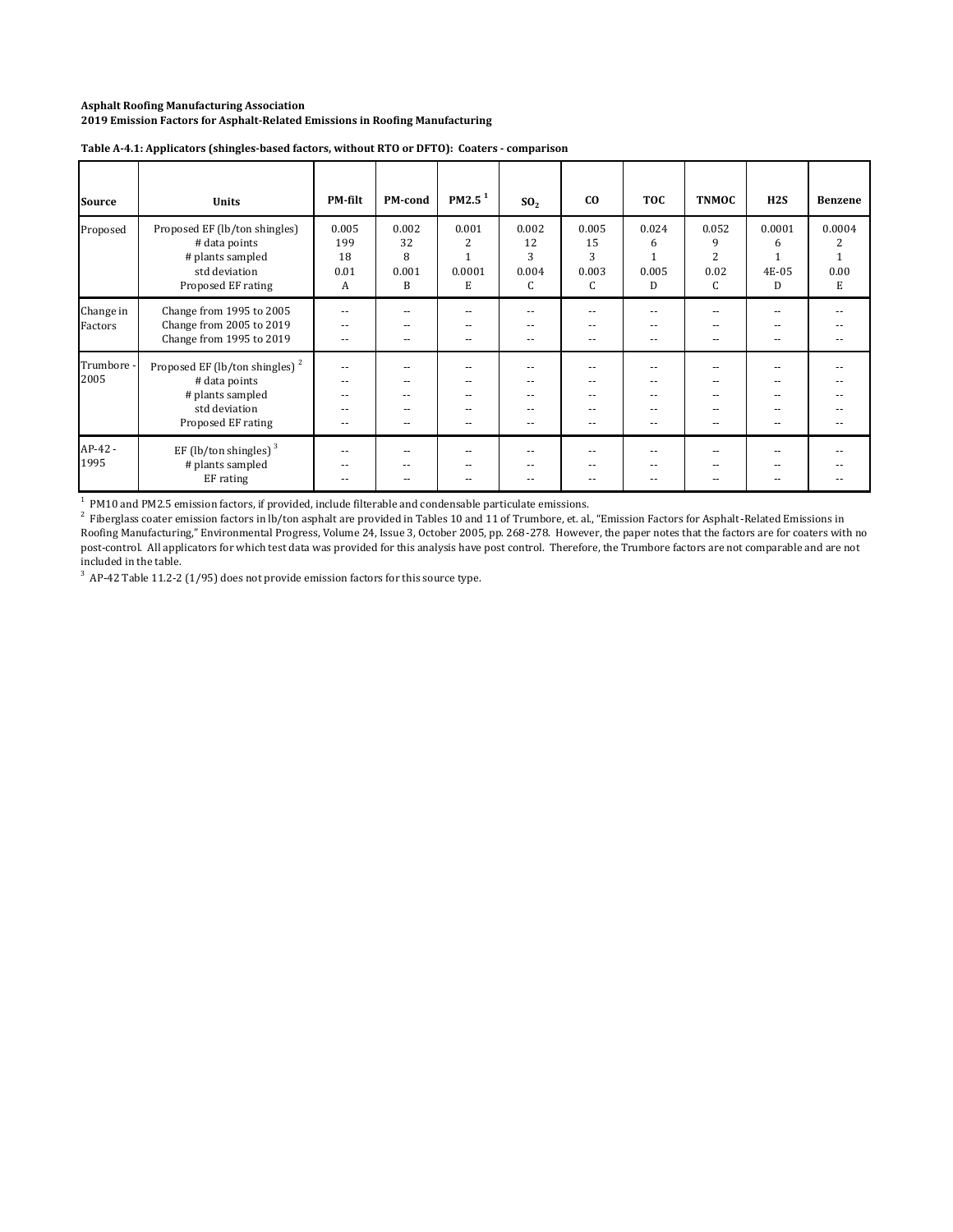| <b>Source</b>        | <b>Units</b>                                                                                                           | <b>PM-filt</b>                                               | PM-cond                        | PM2.5 <sup>1</sup>        | SO <sub>2</sub>                          | co                                            | <b>TOC</b>                    | <b>TNMOC</b>                              | H2S                       | <b>Benzene</b>      |
|----------------------|------------------------------------------------------------------------------------------------------------------------|--------------------------------------------------------------|--------------------------------|---------------------------|------------------------------------------|-----------------------------------------------|-------------------------------|-------------------------------------------|---------------------------|---------------------|
| Proposed             | Proposed EF (lb/ton shingles)<br># data points<br># plants sampled<br>std deviation<br>Proposed EF rating              | 0.005<br>199<br>18<br>0.01<br>A                              | 0.002<br>32<br>8<br>0.001<br>B | 0.001<br>2<br>0.0001<br>Е | 0.002<br>12<br>3<br>0.004<br>C           | 0.005<br>15<br>3<br>0.003<br>C                | 0.024<br>6<br>0.005<br>D      | 0.052<br>9<br>$\overline{2}$<br>0.02<br>С | 0.0001<br>6<br>4E-05<br>D | 0.0004<br>0.00<br>Е |
| Change in<br>Factors | Change from 1995 to 2005<br>Change from 2005 to 2019<br>Change from 1995 to 2019                                       | $ -$<br>$\overline{\phantom{a}}$<br>$\overline{\phantom{a}}$ | --<br>--<br>۰.                 | --<br>--                  | $\overline{\phantom{a}}$<br>$- -$<br>$-$ | $- -$<br>$\overline{\phantom{a}}$<br>$- -$    | --<br>$\sim$ $-$<br>$- -$     | $\frac{1}{2}$<br>--                       | $-$<br>$- -$              |                     |
| Trumbore -<br>2005   | Proposed EF (lb/ton shingles) <sup>2</sup><br># data points<br># plants sampled<br>std deviation<br>Proposed EF rating | $\sim$<br>$-$<br>$-$<br>--<br>۰.                             | --<br>--<br>--<br>--           | --<br>--                  | $\sim$<br>$\sim$ $\sim$<br>--            | $\sim$ $\sim$<br>$\sim$<br>--<br>$-$<br>$- -$ | $-1$<br>$-$<br>--<br>--<br>۰. | $-$<br>--                                 |                           |                     |
| $AP-42-$<br>1995     | EF (lb/ton shingles) $3$<br># plants sampled<br>EF rating                                                              | $ -$<br>$ -$<br>--                                           | --<br>--<br>--                 | --<br>--                  | --<br>$- -$                              | $- -$<br>$\overline{\phantom{a}}$<br>$- -$    | $- -$<br>$- -$<br>$- -$       | --<br>--<br>--                            | --                        |                     |

#### **Table A‐4.1: Applicators (shingles‐based factors, without RTO or DFTO): Coaters ‐ comparison**

<sup>1</sup> PM10 and PM2.5 emission factors, if provided, include filterable and condensable particulate emissions.<br><sup>2</sup> Fiberglass coater emission factors in lb/ton asphalt are provided in Tables 10 and 11 of Trumbore, et. al., "E Roofing Manufacturing," Environmental Progress, Volume 24, Issue 3, October 2005, pp. 268-278. However, the paper notes that the factors are for coaters with no post-control. All applicators for which test data was provided for this analysis have post control. Therefore, the Trumbore factors are not comparable and are not included in the table.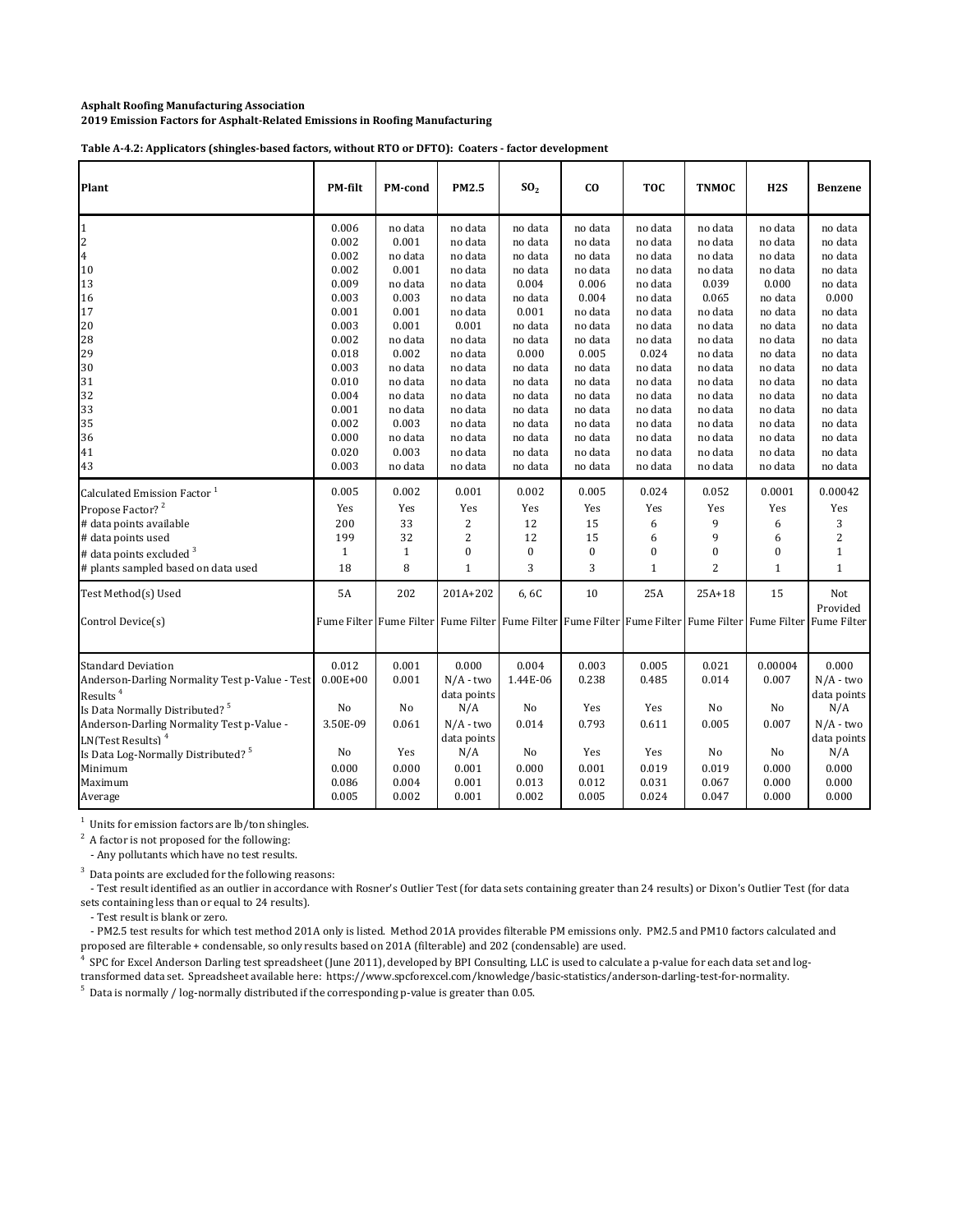Table A-4.2: Applicators (shingles-based factors, without RTO or DFTO): Coaters - factor development

| Plant                                                                                                                                                                                                                                                                                                       | <b>PM-filt</b>                                                           | <b>PM-cond</b>                                                                                         | PM2.5                                                                                                      | SO <sub>2</sub>                                                               | CO.                                                              | <b>TOC</b>                                                       | <b>TNMOC</b>                                                   | H2S                                                              | <b>Benzene</b>                                                                                             |
|-------------------------------------------------------------------------------------------------------------------------------------------------------------------------------------------------------------------------------------------------------------------------------------------------------------|--------------------------------------------------------------------------|--------------------------------------------------------------------------------------------------------|------------------------------------------------------------------------------------------------------------|-------------------------------------------------------------------------------|------------------------------------------------------------------|------------------------------------------------------------------|----------------------------------------------------------------|------------------------------------------------------------------|------------------------------------------------------------------------------------------------------------|
| $\mathbf{1}$                                                                                                                                                                                                                                                                                                | 0.006                                                                    | no data                                                                                                | no data                                                                                                    | no data                                                                       | no data                                                          | no data                                                          | no data                                                        | no data                                                          | no data                                                                                                    |
| 2                                                                                                                                                                                                                                                                                                           | 0.002                                                                    | 0.001                                                                                                  | no data                                                                                                    | no data                                                                       | no data                                                          | no data                                                          | no data                                                        | no data                                                          | no data                                                                                                    |
| 4                                                                                                                                                                                                                                                                                                           | 0.002                                                                    | no data                                                                                                | no data                                                                                                    | no data                                                                       | no data                                                          | no data                                                          | no data                                                        | no data                                                          | no data                                                                                                    |
| $10\,$                                                                                                                                                                                                                                                                                                      | 0.002                                                                    | 0.001                                                                                                  | no data                                                                                                    | no data                                                                       | no data                                                          | no data                                                          | no data                                                        | no data                                                          | no data                                                                                                    |
| 13                                                                                                                                                                                                                                                                                                          | 0.009                                                                    | no data                                                                                                | no data                                                                                                    | 0.004                                                                         | 0.006                                                            | no data                                                          | 0.039                                                          | 0.000                                                            | no data                                                                                                    |
| 16                                                                                                                                                                                                                                                                                                          | 0.003                                                                    | 0.003                                                                                                  | no data                                                                                                    | no data                                                                       | 0.004                                                            | no data                                                          | 0.065                                                          | no data                                                          | 0.000                                                                                                      |
| 17                                                                                                                                                                                                                                                                                                          | 0.001                                                                    | 0.001                                                                                                  | no data                                                                                                    | 0.001                                                                         | no data                                                          | no data                                                          | no data                                                        | no data                                                          | no data                                                                                                    |
| 20                                                                                                                                                                                                                                                                                                          | 0.003                                                                    | 0.001                                                                                                  | 0.001                                                                                                      | no data                                                                       | no data                                                          | no data                                                          | no data                                                        | no data                                                          | no data                                                                                                    |
| 28                                                                                                                                                                                                                                                                                                          | 0.002                                                                    | no data                                                                                                | no data                                                                                                    | no data                                                                       | no data                                                          | no data                                                          | no data                                                        | no data                                                          | no data                                                                                                    |
| 29                                                                                                                                                                                                                                                                                                          | 0.018                                                                    | 0.002                                                                                                  | no data                                                                                                    | 0.000                                                                         | 0.005                                                            | 0.024                                                            | no data                                                        | no data                                                          | no data                                                                                                    |
| 30                                                                                                                                                                                                                                                                                                          | 0.003                                                                    | no data                                                                                                | no data                                                                                                    | no data                                                                       | no data                                                          | no data                                                          | no data                                                        | no data                                                          | no data                                                                                                    |
| 31                                                                                                                                                                                                                                                                                                          | 0.010                                                                    | no data                                                                                                | no data                                                                                                    | no data                                                                       | no data                                                          | no data                                                          | no data                                                        | no data                                                          | no data                                                                                                    |
| 32                                                                                                                                                                                                                                                                                                          | 0.004                                                                    | no data                                                                                                | no data                                                                                                    | no data                                                                       | no data                                                          | no data                                                          | no data                                                        | no data                                                          | no data                                                                                                    |
| 33                                                                                                                                                                                                                                                                                                          | 0.001                                                                    | no data                                                                                                | no data                                                                                                    | no data                                                                       | no data                                                          | no data                                                          | no data                                                        | no data                                                          | no data                                                                                                    |
| 35                                                                                                                                                                                                                                                                                                          | 0.002                                                                    | 0.003                                                                                                  | no data                                                                                                    | no data                                                                       | no data                                                          | no data                                                          | no data                                                        | no data                                                          | no data                                                                                                    |
| 36                                                                                                                                                                                                                                                                                                          | 0.000                                                                    | no data                                                                                                | no data                                                                                                    | no data                                                                       | no data                                                          | no data                                                          | no data                                                        | no data                                                          | no data                                                                                                    |
| 41                                                                                                                                                                                                                                                                                                          | 0.020                                                                    | 0.003                                                                                                  | no data                                                                                                    | no data                                                                       | no data                                                          | no data                                                          | no data                                                        | no data                                                          | no data                                                                                                    |
| 43                                                                                                                                                                                                                                                                                                          | 0.003                                                                    | no data                                                                                                | no data                                                                                                    | no data                                                                       | no data                                                          | no data                                                          | no data                                                        | no data                                                          | no data                                                                                                    |
| Calculated Emission Factor <sup>1</sup>                                                                                                                                                                                                                                                                     | 0.005                                                                    | 0.002                                                                                                  | 0.001                                                                                                      | 0.002                                                                         | 0.005                                                            | 0.024                                                            | 0.052                                                          | 0.0001                                                           | 0.00042                                                                                                    |
| Propose Factor? <sup>2</sup>                                                                                                                                                                                                                                                                                | Yes                                                                      | Yes                                                                                                    | Yes                                                                                                        | Yes                                                                           | Yes                                                              | Yes                                                              | Yes                                                            | Yes                                                              | Yes                                                                                                        |
| # data points available                                                                                                                                                                                                                                                                                     | 200                                                                      | 33                                                                                                     | 2                                                                                                          | 12                                                                            | 15                                                               | 6                                                                | 9                                                              | 6                                                                | 3                                                                                                          |
| # data points used                                                                                                                                                                                                                                                                                          | 199                                                                      | 32                                                                                                     | $\overline{c}$                                                                                             | 12                                                                            | 15                                                               | 6                                                                | 9                                                              | 6                                                                | $\overline{c}$                                                                                             |
| # data points excluded <sup>3</sup>                                                                                                                                                                                                                                                                         | $\mathbf{1}$                                                             | $\mathbf{1}$                                                                                           | $\boldsymbol{0}$                                                                                           | $\boldsymbol{0}$                                                              | $\boldsymbol{0}$                                                 | 0                                                                | $\bf{0}$                                                       | $\boldsymbol{0}$                                                 | $\mathbf{1}$                                                                                               |
| # plants sampled based on data used                                                                                                                                                                                                                                                                         | 18                                                                       | 8                                                                                                      | $\mathbf{1}$                                                                                               | 3                                                                             | 3                                                                | $\mathbf{1}$                                                     | $\overline{2}$                                                 | $\mathbf{1}$                                                     | $\mathbf{1}$                                                                                               |
| Test Method(s) Used<br>Control Device(s)                                                                                                                                                                                                                                                                    | <b>5A</b>                                                                | 202<br>Fume Filter Fume Filter Fume Filter Fume Filter Fume Filter Fume Filter Fume Filter Fume Filter | 201A+202                                                                                                   | 6,6C                                                                          | 10                                                               | 25A                                                              | $25A+18$                                                       | 15                                                               | Not<br>Provided<br>Fume Filter                                                                             |
| Standard Deviation<br>Anderson-Darling Normality Test p-Value - Test<br>Results <sup>4</sup><br>Is Data Normally Distributed? <sup>5</sup><br>Anderson-Darling Normality Test p-Value -<br>LN(Test Results) <sup>4</sup><br>Is Data Log-Normally Distributed? <sup>5</sup><br>Minimum<br>Maximum<br>Average | 0.012<br>$0.00E + 00$<br>No<br>3.50E-09<br>No<br>0.000<br>0.086<br>0.005 | 0.001<br>0.001<br>No<br>0.061<br>Yes<br>0.000<br>0.004<br>0.002                                        | 0.000<br>$N/A$ - two<br>data points<br>N/A<br>$N/A$ - two<br>data points<br>N/A<br>0.001<br>0.001<br>0.001 | 0.004<br>1.44E-06<br>N <sub>o</sub><br>0.014<br>No<br>0.000<br>0.013<br>0.002 | 0.003<br>0.238<br>Yes<br>0.793<br>Yes<br>0.001<br>0.012<br>0.005 | 0.005<br>0.485<br>Yes<br>0.611<br>Yes<br>0.019<br>0.031<br>0.024 | 0.021<br>0.014<br>No<br>0.005<br>No<br>0.019<br>0.067<br>0.047 | 0.00004<br>0.007<br>No<br>0.007<br>No<br>0.000<br>0.000<br>0.000 | 0.000<br>$N/A$ - two<br>data points<br>N/A<br>$N/A$ - two<br>data points<br>N/A<br>0.000<br>0.000<br>0.000 |

 $1$  Units for emission factors are lb/ton shingles.

 $2^2$  A factor is not proposed for the following:

- Any pollutants which have no test results.

 $3$  Data points are excluded for the following reasons:

- Test result identified as an outlier in accordance with Rosner's Outlier Test (for data sets containing greater than 24 results) or Dixon's Outlier Test (for data sets containing less than or equal to 24 results).

- Test result is blank or zero.

- PM2.5 test results for which test method 201A only is listed. Method 201A provides filterable PM emissions only. PM2.5 and PM10 factors calculated and proposed are filterable + condensable, so only results based on 201A (filterable) and 202 (condensable) are used.

4 SPC for Excel Anderson Darling test spreadsheet (June 2011), developed by BPI Consulting, LLC is used to calculate a p-value for each data set and logtransformed data set. Spreadsheet available here: https://www.spcforexcel.com/knowledge/basic-statistics/anderson-darling-test-for-normality.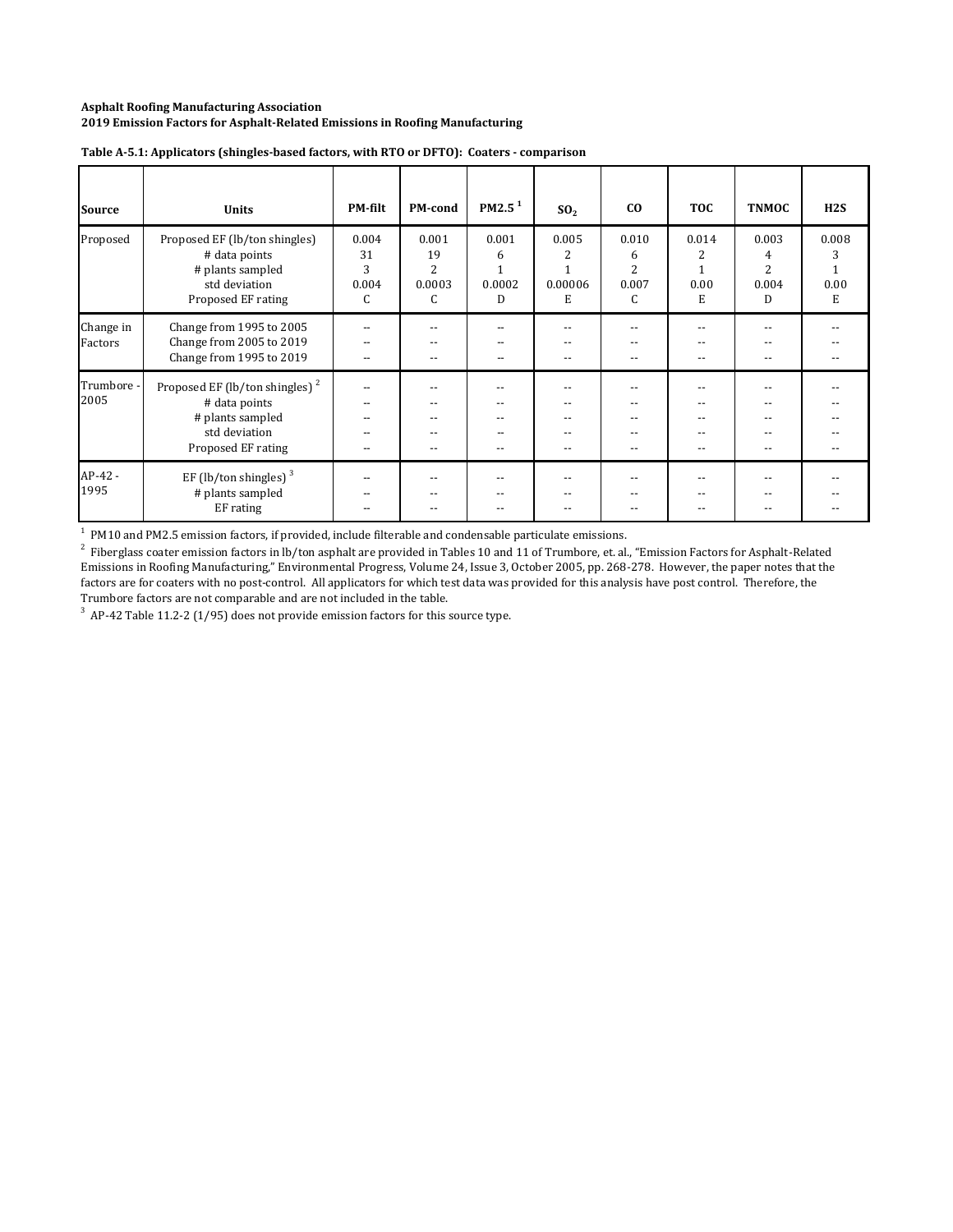| <b>Source</b>        | <b>Units</b>                                                                                                           | <b>PM-filt</b>                      | PM-cond                                      | PM2.5 <sup>1</sup>        | SO <sub>2</sub>                                      | co                                         | <b>TOC</b>              | <b>TNMOC</b>                                                | H2S                     |
|----------------------|------------------------------------------------------------------------------------------------------------------------|-------------------------------------|----------------------------------------------|---------------------------|------------------------------------------------------|--------------------------------------------|-------------------------|-------------------------------------------------------------|-------------------------|
| Proposed             | Proposed EF (lb/ton shingles)<br># data points<br># plants sampled<br>std deviation<br>Proposed EF rating              | 0.004<br>31<br>3<br>0.004<br>C      | 0.001<br>19<br>$\overline{2}$<br>0.0003<br>C | 0.001<br>6<br>0.0002<br>D | 0.005<br>2<br>1<br>0.00006<br>Е                      | 0.010<br>6<br>$\overline{2}$<br>0.007<br>C | 0.014<br>2<br>0.00<br>E | 0.003<br>4<br>2<br>0.004<br>D                               | 0.008<br>3<br>0.00<br>Е |
| Change in<br>Factors | Change from 1995 to 2005<br>Change from 2005 to 2019<br>Change from 1995 to 2019                                       | $-$<br>$-$<br>$- -$                 | --<br>$-$                                    | --                        | $\overline{\phantom{a}}$<br>$\overline{\phantom{a}}$ | $-$<br>$-$                                 | --                      | $\overline{\phantom{a}}$<br>$- -$                           | $-$                     |
| Trumbore<br>2005     | Proposed EF (lb/ton shingles) <sup>2</sup><br># data points<br># plants sampled<br>std deviation<br>Proposed EF rating | $- -$<br>--<br>$- -$<br>$- -$<br>-- | --                                           | --                        | $ -$<br>$-$<br>$\overline{\phantom{a}}$              | $ -$<br>$ -$<br>$- -$<br>$- -$             | --<br>--                | $-$<br>$\overline{\phantom{a}}$<br>$\overline{\phantom{a}}$ | $-$<br>--<br>--         |
| $AP-42-$<br>1995     | EF (lb/ton shingles) $3$<br># plants sampled<br>EF rating                                                              | --                                  |                                              |                           |                                                      | --<br>$-$                                  |                         |                                                             |                         |

#### **Table A‐5.1: Applicators (shingles‐based factors, with RTO or DFTO): Coaters ‐ comparison**

 $<sup>1</sup>$  PM10 and PM2.5 emission factors, if provided, include filterable and condensable particulate emissions.</sup>

 $^2$  Fiberglass coater emission factors in lb/ton asphalt are provided in Tables 10 and 11 of Trumbore, et. al., "Emission Factors for Asphalt-Related Emissions in Roofing Manufacturing," Environmental Progress, Volume 24, Issue 3, October 2005, pp. 268-278. However, the paper notes that the factors are for coaters with no post-control. All applicators for which test data was provided for this analysis have post control. Therefore, the Trumbore factors are not comparable and are not included in the table.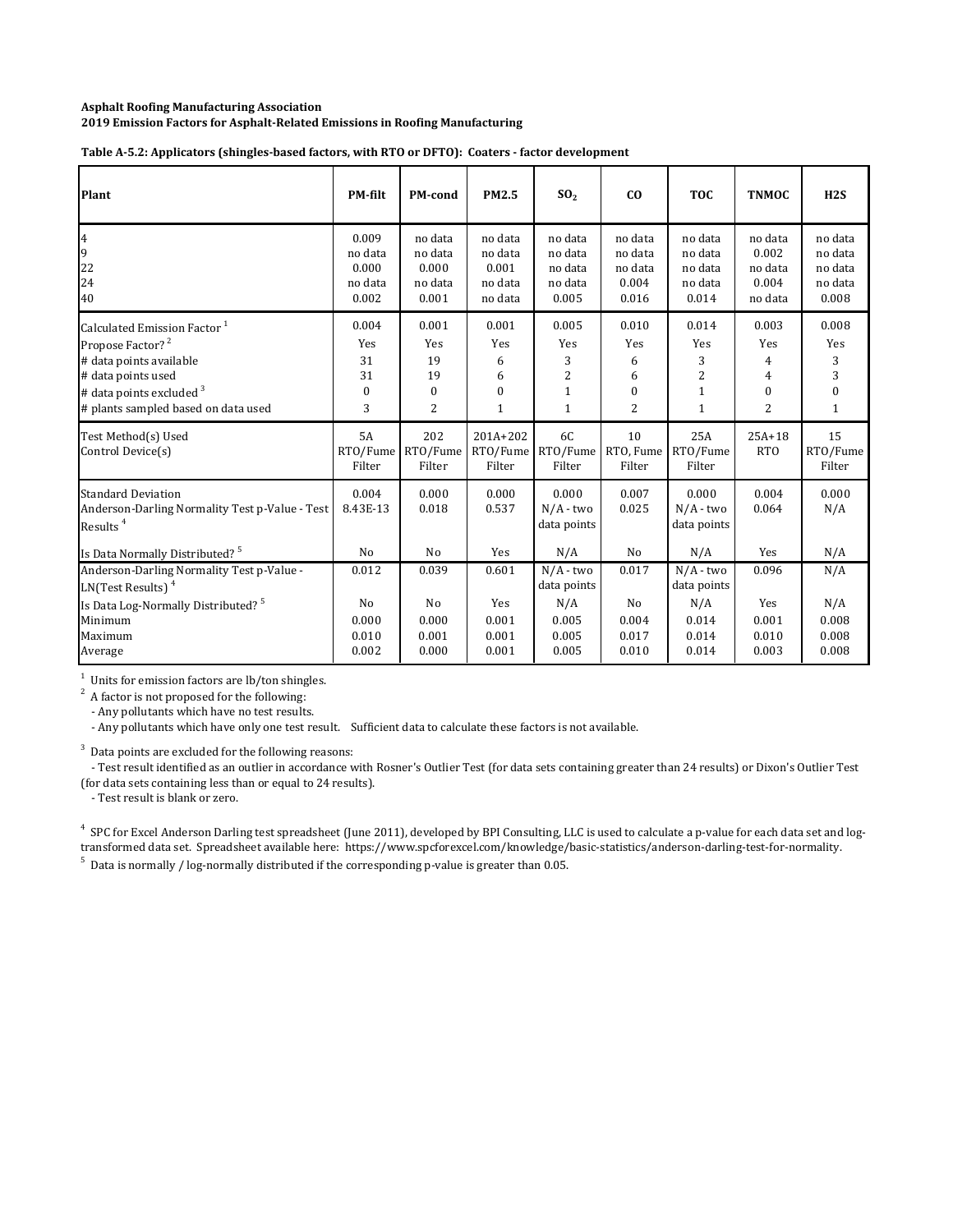| Plant                                                                                                                                                                                                  | <b>PM-filt</b>                                | <b>PM-cond</b>                                             | <b>PM2.5</b>                                       | SO <sub>2</sub>                                                     | C <sub>0</sub>                                  | <b>TOC</b>                                                          | <b>TNMOC</b>                                    | H2S                                                    |
|--------------------------------------------------------------------------------------------------------------------------------------------------------------------------------------------------------|-----------------------------------------------|------------------------------------------------------------|----------------------------------------------------|---------------------------------------------------------------------|-------------------------------------------------|---------------------------------------------------------------------|-------------------------------------------------|--------------------------------------------------------|
| 4<br>9<br>22<br>24<br>40                                                                                                                                                                               | 0.009<br>no data<br>0.000<br>no data<br>0.002 | no data<br>no data<br>0.000<br>no data<br>0.001            | no data<br>no data<br>0.001<br>no data<br>no data  | no data<br>no data<br>no data<br>no data<br>0.005                   | no data<br>no data<br>no data<br>0.004<br>0.016 | no data<br>no data<br>no data<br>no data<br>0.014                   | no data<br>0.002<br>no data<br>0.004<br>no data | no data<br>no data<br>no data<br>no data<br>0.008      |
| Calculated Emission Factor <sup>1</sup><br>Propose Factor? <sup>2</sup><br># data points available<br># data points used<br># data points excluded <sup>3</sup><br># plants sampled based on data used | 0.004<br>Yes<br>31<br>31<br>$\mathbf{0}$<br>3 | 0.001<br>Yes<br>19<br>19<br>$\mathbf{0}$<br>$\overline{2}$ | 0.001<br>Yes<br>6<br>6<br>$\bf{0}$<br>$\mathbf{1}$ | 0.005<br>Yes<br>3<br>$\overline{c}$<br>$\mathbf{1}$<br>$\mathbf{1}$ | 0.010<br>Yes<br>6<br>6<br>$\Omega$<br>2         | 0.014<br>Yes<br>3<br>$\overline{c}$<br>$\mathbf{1}$<br>$\mathbf{1}$ | 0.003<br>Yes<br>4<br>4<br>$\mathbf{0}$<br>2     | 0.008<br>Yes<br>3<br>3<br>$\mathbf{0}$<br>$\mathbf{1}$ |
| Test Method(s) Used<br>Control Device(s)                                                                                                                                                               | 5A<br>RTO/Fume<br>Filter                      | 202<br>RTO/Fume<br>Filter                                  | $201A + 202$<br>RTO/Fume<br>Filter                 | 6C<br>RTO/Fume<br>Filter                                            | 10<br>RTO, Fume<br>Filter                       | 25A<br>RTO/Fume<br>Filter                                           | $25A+18$<br><b>RTO</b>                          | 15<br>RTO/Fume<br>Filter                               |
| <b>Standard Deviation</b><br>Anderson-Darling Normality Test p-Value - Test<br>Results <sup>4</sup><br>Is Data Normally Distributed? <sup>5</sup>                                                      | 0.004<br>8.43E-13<br>No                       | 0.000<br>0.018<br>No                                       | 0.000<br>0.537<br>Yes                              | 0.000<br>$N/A$ - two<br>data points<br>N/A                          | 0.007<br>0.025<br>No                            | 0.000<br>$N/A$ - two<br>data points<br>N/A                          | 0.004<br>0.064<br>Yes                           | 0.000<br>N/A<br>N/A                                    |
| Anderson-Darling Normality Test p-Value -<br>LN(Test Results) <sup>4</sup>                                                                                                                             | 0.012                                         | 0.039                                                      | 0.601                                              | $N/A$ - two<br>data points                                          | 0.017                                           | $N/A$ - two<br>data points                                          | 0.096                                           | N/A                                                    |
| Is Data Log-Normally Distributed? <sup>5</sup><br>Minimum<br>Maximum<br>Average                                                                                                                        | No<br>0.000<br>0.010<br>0.002                 | N <sub>0</sub><br>0.000<br>0.001<br>0.000                  | Yes<br>0.001<br>0.001<br>0.001                     | N/A<br>0.005<br>0.005<br>0.005                                      | No<br>0.004<br>0.017<br>0.010                   | N/A<br>0.014<br>0.014<br>0.014                                      | Yes<br>0.001<br>0.010<br>0.003                  | N/A<br>0.008<br>0.008<br>0.008                         |

**Table A‐5.2: Applicators (shingles‐based factors, with RTO or DFTO): Coaters ‐ factor development**

 $1$  Units for emission factors are lb/ton shingles.

 $2^2$  A factor is not proposed for the following:

- Any pollutants which have no test results.

- Any pollutants which have only one test result. Sufficient data to calculate these factors is not available.

 $3$  Data points are excluded for the following reasons:

- Test result identified as an outlier in accordance with Rosner's Outlier Test (for data sets containing greater than 24 results) or Dixon's Outlier Test (for data sets containing less than or equal to 24 results).

- Test result is blank or zero.

 $5$  Data is normally / log-normally distributed if the corresponding p-value is greater than 0.05. <sup>4</sup> SPC for Excel Anderson Darling test spreadsheet (June 2011), developed by BPI Consulting, LLC is used to calculate a p-value for each data set and logtransformed data set. Spreadsheet available here: https://www.spcforexcel.com/knowledge/basic-statistics/anderson-darling-test-for-normality.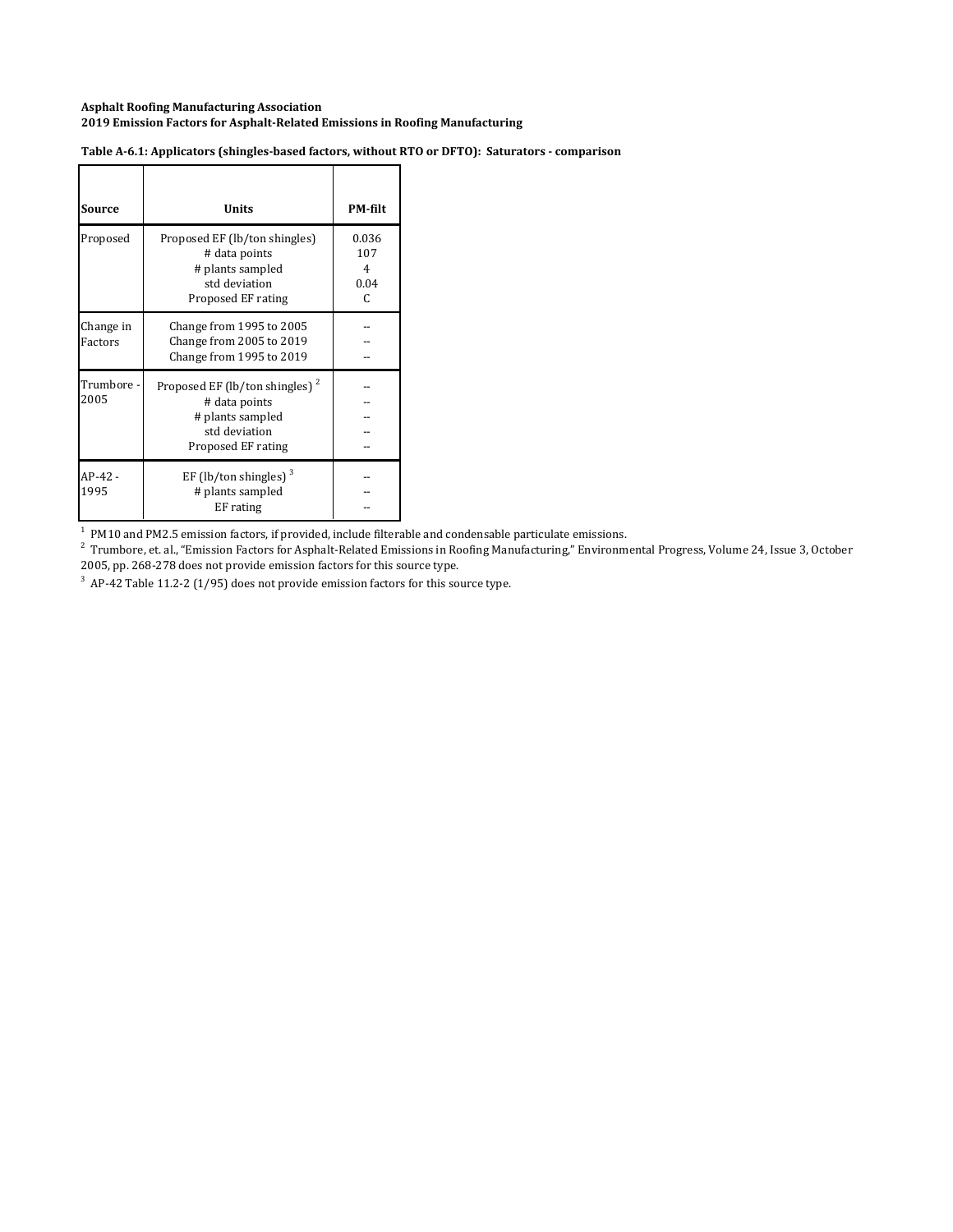| Source               | Units                                                                                                                  | <b>PM-filt</b>                             |
|----------------------|------------------------------------------------------------------------------------------------------------------------|--------------------------------------------|
| Proposed             | Proposed EF (lb/ton shingles)<br># data points<br># plants sampled<br>std deviation<br>Proposed EF rating              | 0.036<br>107<br>4<br>0.04<br>$\mathcal{C}$ |
| Change in<br>Factors | Change from 1995 to 2005<br>Change from 2005 to 2019<br>Change from 1995 to 2019                                       |                                            |
| Trumbore -<br>2005   | Proposed EF (lb/ton shingles) <sup>2</sup><br># data points<br># plants sampled<br>std deviation<br>Proposed EF rating |                                            |
| AP-42 -<br>1995      | EF (lb/ton shingles) $3$<br># plants sampled<br>EF rating                                                              |                                            |

**Table A‐6.1: Applicators (shingles‐based factors, without RTO or DFTO): Saturators ‐ comparison**

 $<sup>1</sup>$  PM10 and PM2.5 emission factors, if provided, include filterable and condensable particulate emissions.</sup>

 $^2$  Trumbore, et. al., "Emission Factors for Asphalt-Related Emissions in Roofing Manufacturing," Environmental Progress, Volume 24, Issue 3, October 2005, pp. 268-278 does not provide emission factors for this source type.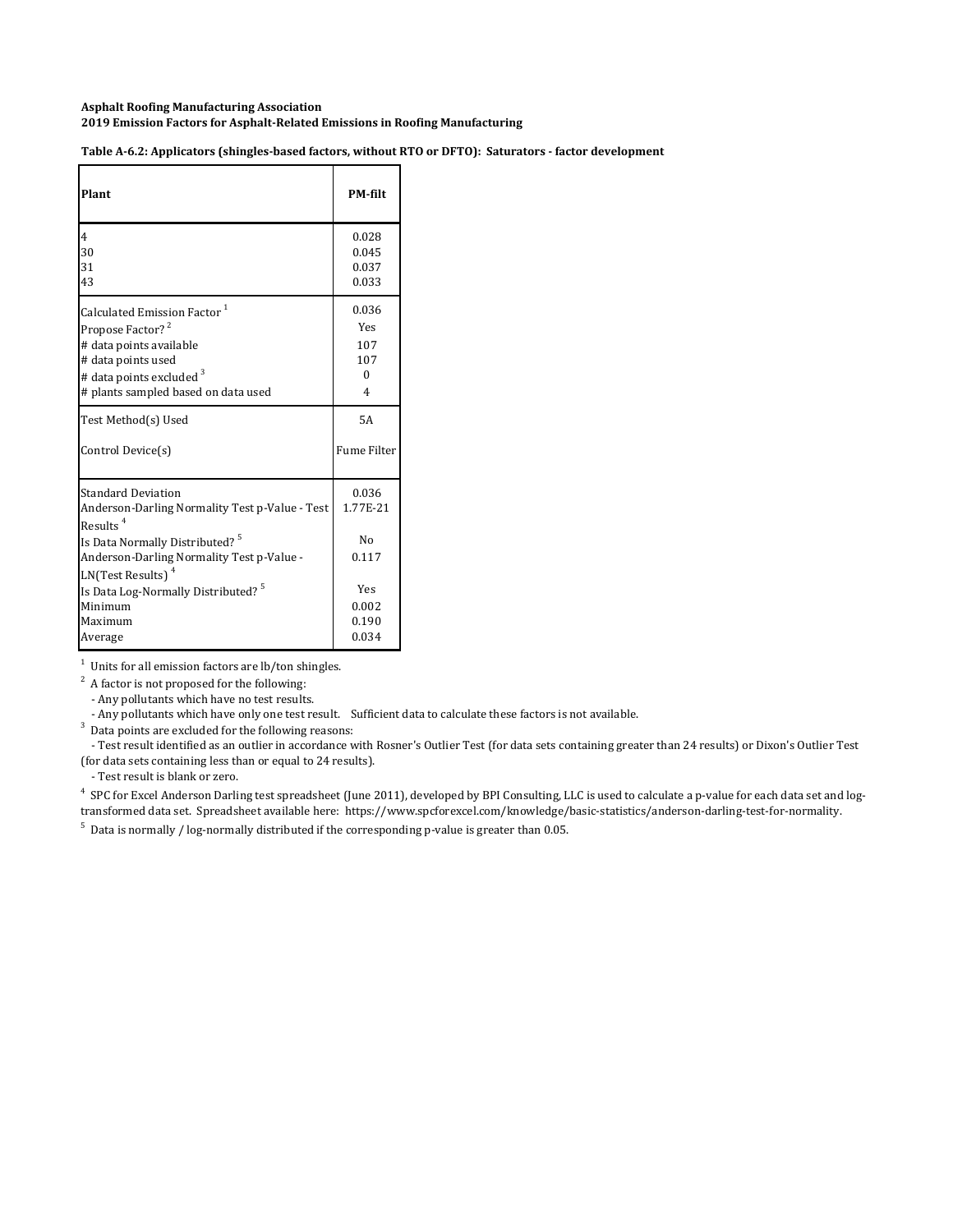Table A-6.2: Applicators (shingles-based factors, without RTO or DFTO): Saturators - factor development

| Plant                                                                                                                                                                                                                           | <b>PM-filt</b>                   |
|---------------------------------------------------------------------------------------------------------------------------------------------------------------------------------------------------------------------------------|----------------------------------|
| 4                                                                                                                                                                                                                               | 0.028                            |
| 30                                                                                                                                                                                                                              | 0.045                            |
| 31                                                                                                                                                                                                                              | 0.037                            |
| 43                                                                                                                                                                                                                              | 0.033                            |
| Calculated Emission Factor <sup>1</sup>                                                                                                                                                                                         | 0.036                            |
| Propose Factor? <sup>2</sup>                                                                                                                                                                                                    | Yes                              |
| # data points available                                                                                                                                                                                                         | 107                              |
| # data points used                                                                                                                                                                                                              | 107                              |
| # data points excluded <sup>3</sup>                                                                                                                                                                                             | $\Omega$                         |
| # plants sampled based on data used                                                                                                                                                                                             | 4                                |
| Test Method(s) Used                                                                                                                                                                                                             | 5A                               |
| Control Device(s)                                                                                                                                                                                                               | <b>Fume Filter</b>               |
| <b>Standard Deviation</b><br>Anderson-Darling Normality Test p-Value - Test<br>Results <sup>4</sup><br>Is Data Normally Distributed? <sup>5</sup><br>Anderson-Darling Normality Test p-Value -<br>LN(Test Results) <sup>4</sup> | 0.036<br>1.77F-21<br>Nο<br>0.117 |
| Is Data Log-Normally Distributed? <sup>5</sup>                                                                                                                                                                                  | Yes                              |
| Minimum                                                                                                                                                                                                                         | 0.002                            |
| Maximum                                                                                                                                                                                                                         | 0.190                            |
| Average                                                                                                                                                                                                                         | 0.034                            |

 $1$  Units for all emission factors are lb/ton shingles.

 $2^2$  A factor is not proposed for the following:

- Any pollutants which have no test results.

- Any pollutants which have only one test result. Sufficient data to calculate these factors is not available.

 $3$  Data points are excluded for the following reasons:

- Test result identified as an outlier in accordance with Rosner's Outlier Test (for data sets containing greater than 24 results) or Dixon's Outlier Test (for data sets containing less than or equal to 24 results).

- Test result is blank or zero.

<sup>4</sup> SPC for Excel Anderson Darling test spreadsheet (June 2011), developed by BPI Consulting, LLC is used to calculate a p-value for each data set and logtransformed data set. Spreadsheet available here: https://www.spcforexcel.com/knowledge/basic-statistics/anderson-darling-test-for-normality.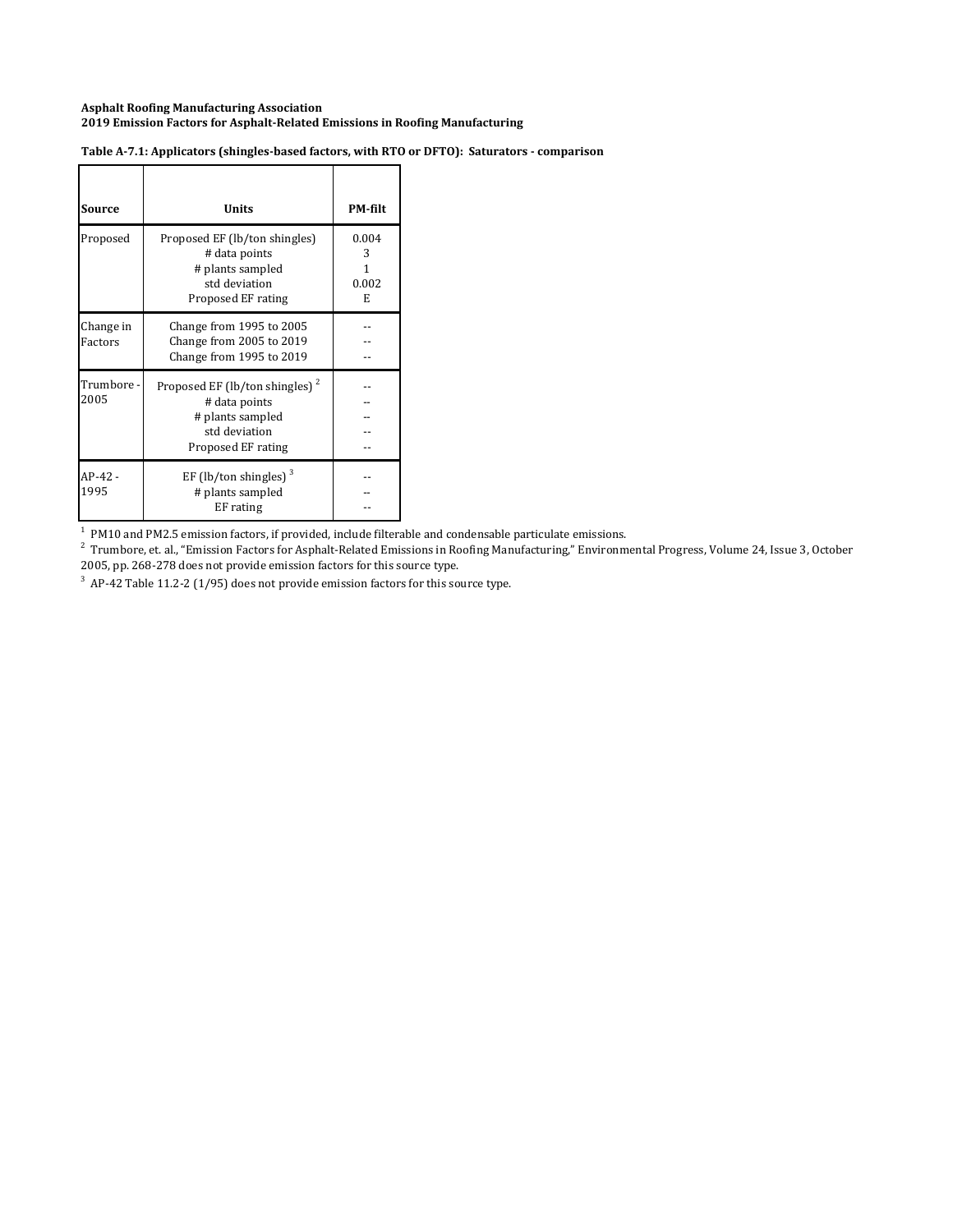| Source               | Units                                                                                                                  | <b>PM-filt</b>                |
|----------------------|------------------------------------------------------------------------------------------------------------------------|-------------------------------|
| Proposed             | Proposed EF (lb/ton shingles)<br># data points<br># plants sampled<br>std deviation<br>Proposed EF rating              | 0.004<br>3<br>1<br>0.002<br>E |
| Change in<br>Factors | Change from 1995 to 2005<br>Change from 2005 to 2019<br>Change from 1995 to 2019                                       |                               |
| Trumbore -<br>2005   | Proposed EF (lb/ton shingles) <sup>2</sup><br># data points<br># plants sampled<br>std deviation<br>Proposed EF rating |                               |
| AP-42 -<br>1995      | EF (lb/ton shingles) $3$<br># plants sampled<br>EF rating                                                              |                               |

#### **Table A‐7.1: Applicators (shingles‐based factors, with RTO or DFTO): Saturators ‐ comparison**

 $<sup>1</sup>$  PM10 and PM2.5 emission factors, if provided, include filterable and condensable particulate emissions.</sup>

 $^2$  Trumbore, et. al., "Emission Factors for Asphalt-Related Emissions in Roofing Manufacturing," Environmental Progress, Volume 24, Issue 3, October 2005, pp. 268-278 does not provide emission factors for this source type.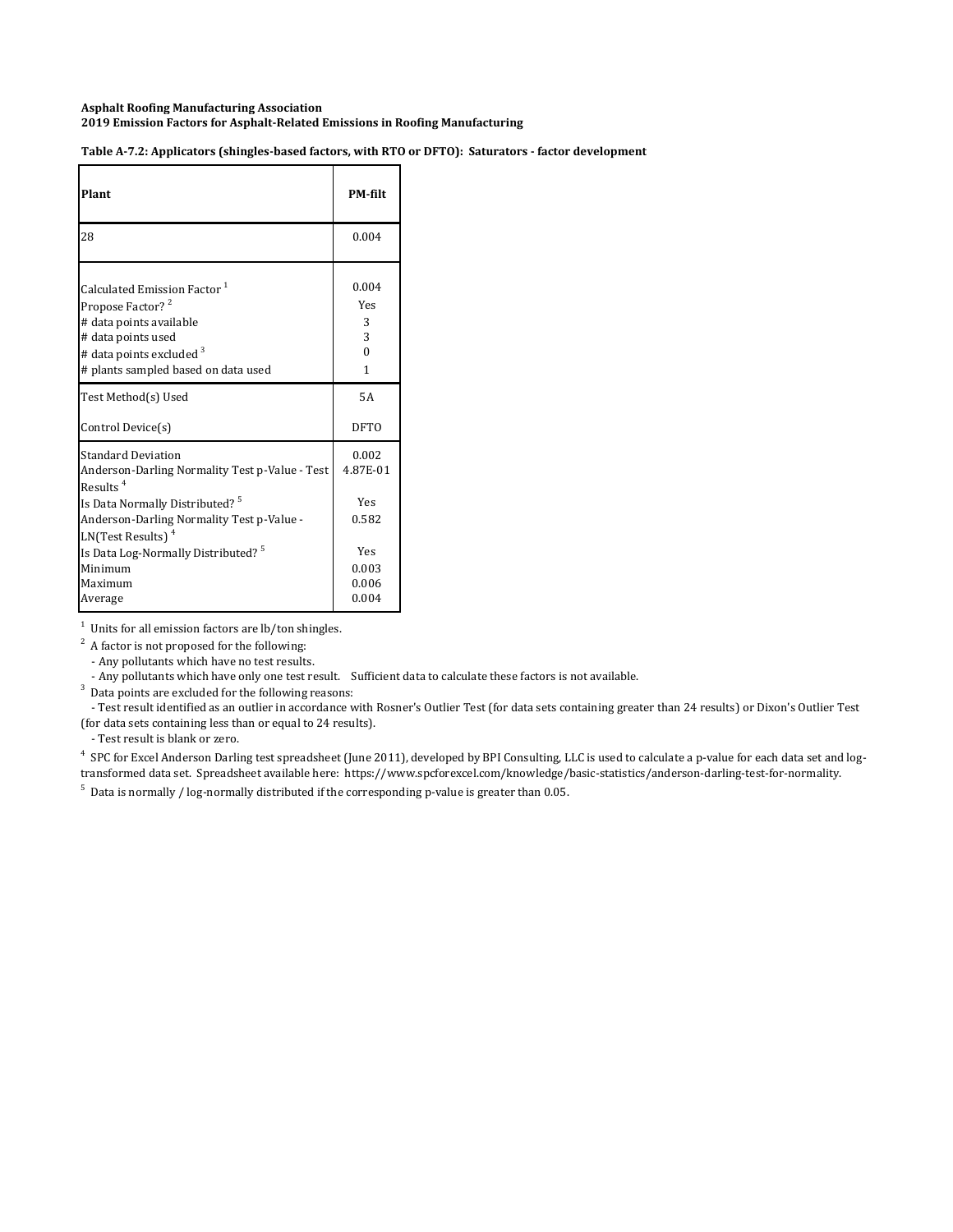Table A-7.2: Applicators (shingles-based factors, with RTO or DFTO): Saturators - factor development

| Plant                                                                                                                                                                                                  | <b>PM-filt</b>                          |
|--------------------------------------------------------------------------------------------------------------------------------------------------------------------------------------------------------|-----------------------------------------|
| 28                                                                                                                                                                                                     | 0.004                                   |
| Calculated Emission Factor <sup>1</sup><br>Propose Factor? <sup>2</sup><br># data points available<br># data points used<br># data points excluded <sup>3</sup><br># plants sampled based on data used | 0.004<br>Yes<br>3<br>3<br>$\Omega$<br>1 |
| Test Method(s) Used                                                                                                                                                                                    | 5A                                      |
| Control Device(s)                                                                                                                                                                                      | <b>DFTO</b>                             |
| <b>Standard Deviation</b><br>Anderson-Darling Normality Test p-Value - Test<br>Results $4$                                                                                                             | 0.002<br>4.87E-01                       |
| Is Data Normally Distributed? <sup>5</sup><br>Anderson-Darling Normality Test p-Value -<br>LN(Test Results) <sup>4</sup>                                                                               | Yes<br>0.582                            |
| Is Data Log-Normally Distributed? <sup>5</sup><br>Minimum<br>Maximum<br>Average                                                                                                                        | Yes<br>0.003<br>0.006<br>0.004          |

 $1$  Units for all emission factors are lb/ton shingles.

 $2^2$  A factor is not proposed for the following:

- Any pollutants which have no test results.

- Any pollutants which have only one test result. Sufficient data to calculate these factors is not available.

 $3$  Data points are excluded for the following reasons:

- Test result identified as an outlier in accordance with Rosner's Outlier Test (for data sets containing greater than 24 results) or Dixon's Outlier Test (for data sets containing less than or equal to 24 results).

- Test result is blank or zero.

<sup>4</sup> SPC for Excel Anderson Darling test spreadsheet (June 2011), developed by BPI Consulting, LLC is used to calculate a p-value for each data set and logtransformed data set. Spreadsheet available here: https://www.spcforexcel.com/knowledge/basic-statistics/anderson-darling-test-for-normality.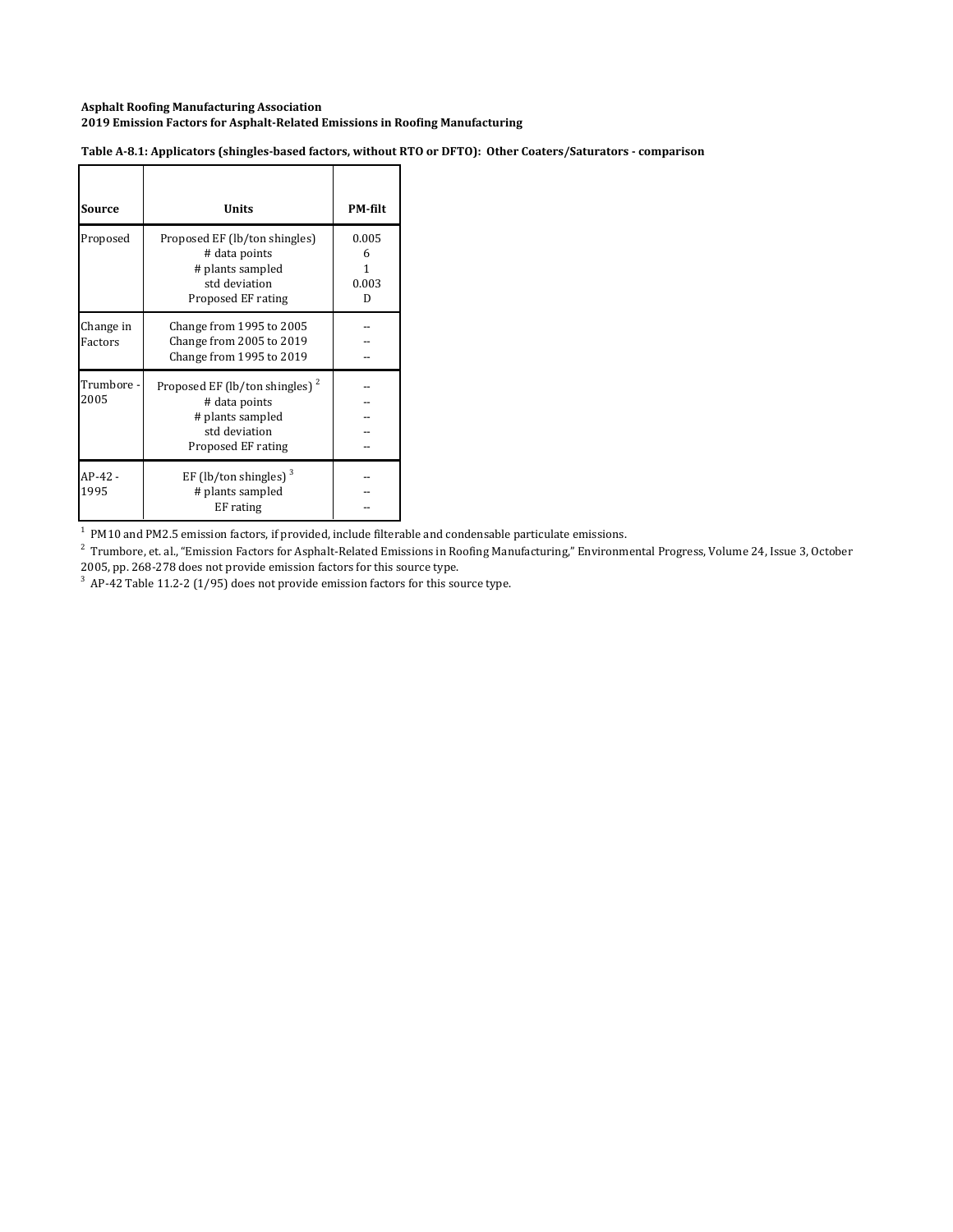Table A-8.1: Applicators (shingles-based factors, without RTO or DFTO): Other Coaters/Saturators - comparison

| Source               | Units                                                                                                                  | <b>PM-filt</b>                |
|----------------------|------------------------------------------------------------------------------------------------------------------------|-------------------------------|
| Proposed             | Proposed EF (lb/ton shingles)<br># data points<br># plants sampled<br>std deviation<br>Proposed EF rating              | 0.005<br>6<br>1<br>0.003<br>D |
| Change in<br>Factors | Change from 1995 to 2005<br>Change from 2005 to 2019<br>Change from 1995 to 2019                                       |                               |
| Trumbore -<br>2005   | Proposed EF (lb/ton shingles) <sup>2</sup><br># data points<br># plants sampled<br>std deviation<br>Proposed EF rating |                               |
| $AP-42-$<br>1995     | EF (lb/ton shingles) $3$<br># plants sampled<br>EF rating                                                              |                               |

 $<sup>1</sup>$  PM10 and PM2.5 emission factors, if provided, include filterable and condensable particulate emissions.</sup>

 $^2$  Trumbore, et. al., "Emission Factors for Asphalt-Related Emissions in Roofing Manufacturing," Environmental Progress, Volume 24, Issue 3, October 2005, pp. 268-278 does not provide emission factors for this source type.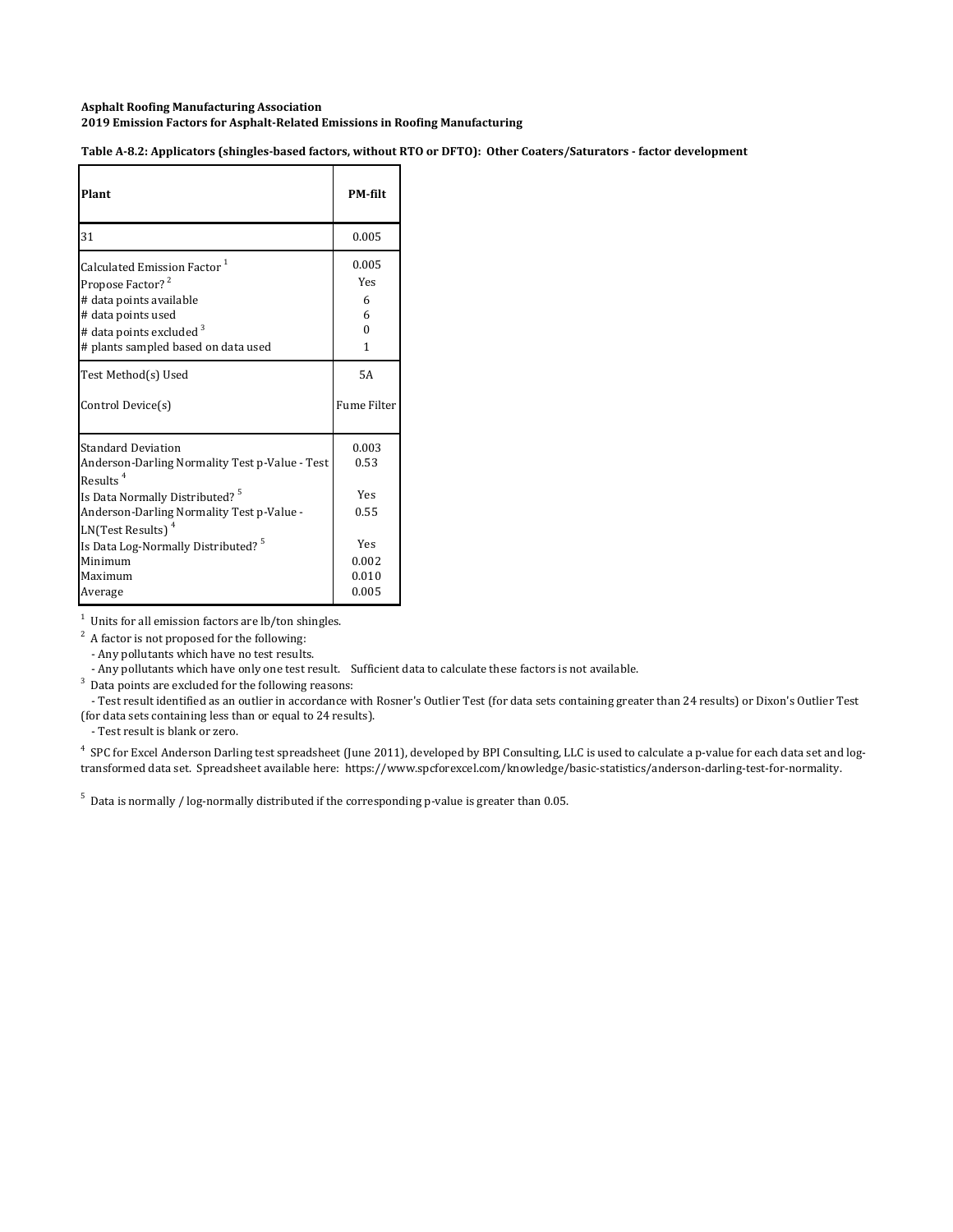Table A-8.2: Applicators (shingles-based factors, without RTO or DFTO): Other Coaters/Saturators - factor development

| Plant                                                                                                                                                                                                  | <b>PM-filt</b>                          |
|--------------------------------------------------------------------------------------------------------------------------------------------------------------------------------------------------------|-----------------------------------------|
| 31                                                                                                                                                                                                     | 0.005                                   |
| Calculated Emission Factor <sup>1</sup><br>Propose Factor? <sup>2</sup><br># data points available<br># data points used<br># data points excluded <sup>3</sup><br># plants sampled based on data used | 0.005<br>Yes<br>6<br>6<br>$\theta$<br>1 |
| Test Method(s) Used<br>Control Device(s)                                                                                                                                                               | <b>5A</b><br><b>Fume Filter</b>         |
| <b>Standard Deviation</b><br>Anderson-Darling Normality Test p-Value - Test<br>Results <sup>4</sup><br>Is Data Normally Distributed? <sup>5</sup><br>Anderson-Darling Normality Test p-Value -         | 0.003<br>0.53<br>Yes<br>0.55            |
| LN(Test Results) <sup>4</sup><br>Is Data Log-Normally Distributed? <sup>5</sup><br>Minimum<br>Maximum                                                                                                  | Yes<br>0.002<br>0.010                   |

1 Units for all emission factors are lb/ton shingles.

 $2^2$  A factor is not proposed for the following:

- Any pollutants which have no test results.

 $3$  Data points are excluded for the following reasons:

- Test result identified as an outlier in accordance with Rosner's Outlier Test (for data sets containing greater than 24 results) or Dixon's Outlier Test (for data sets containing less than or equal to 24 results).

- Test result is blank or zero.

<sup>4</sup> SPC for Excel Anderson Darling test spreadsheet (June 2011), developed by BPI Consulting, LLC is used to calculate a p-value for each data set and logtransformed data set. Spreadsheet available here: https://www.spcforexcel.com/knowledge/basic-statistics/anderson-darling-test-for-normality.

<sup>-</sup> Any pollutants which have only one test result. Sufficient data to calculate these factors is not available.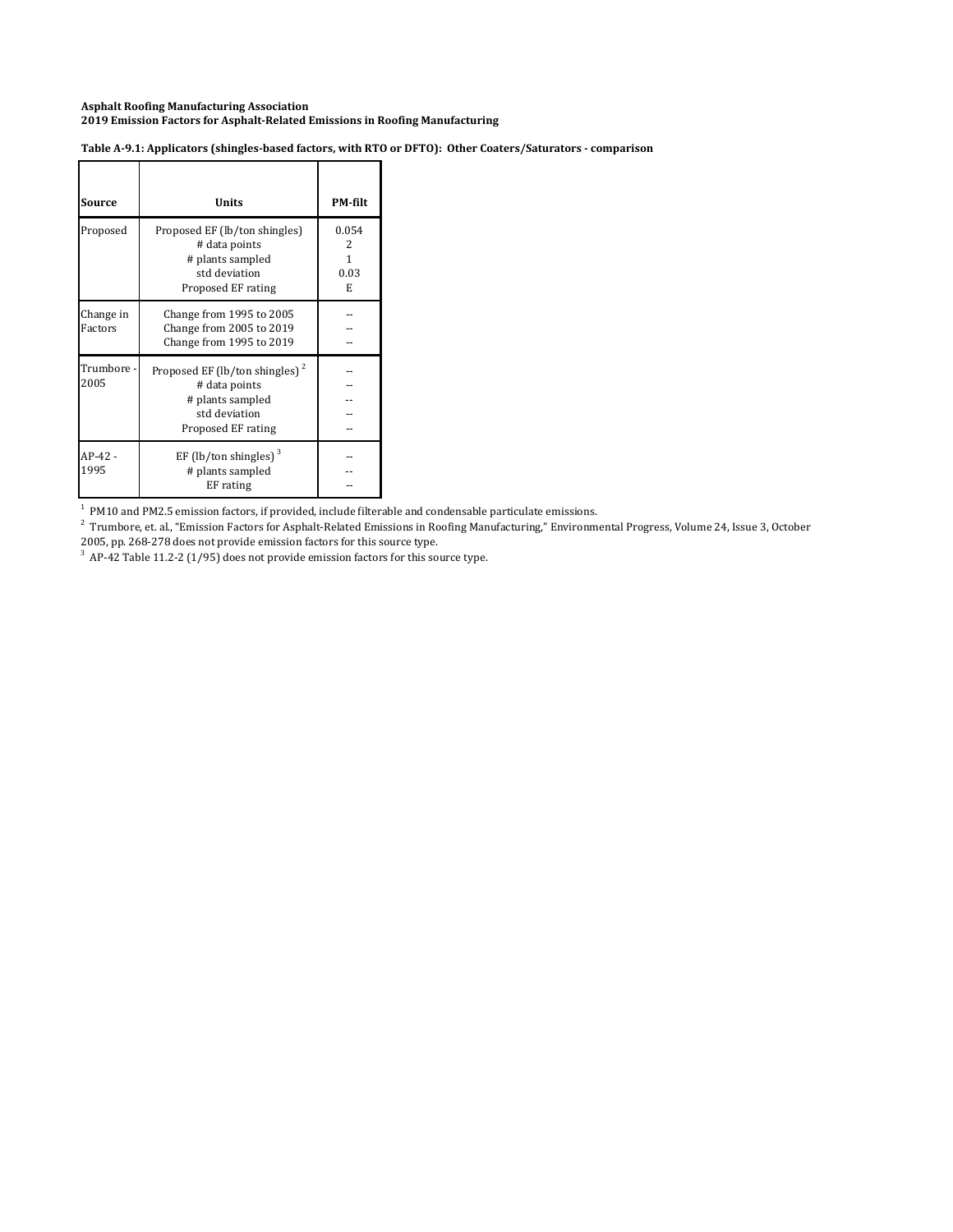| Table A-9.1: Applicators (shingles-based factors, with RTO or DFTO): Other Coaters/Saturators - comparison |  |  |  |
|------------------------------------------------------------------------------------------------------------|--|--|--|
|                                                                                                            |  |  |  |

| Source               | Units                                                                                                                  | PM-filt                      |
|----------------------|------------------------------------------------------------------------------------------------------------------------|------------------------------|
| Proposed             | Proposed EF (lb/ton shingles)<br># data points<br># plants sampled<br>std deviation<br>Proposed EF rating              | 0.054<br>2<br>1<br>0.03<br>E |
| Change in<br>Factors | Change from 1995 to 2005<br>Change from 2005 to 2019<br>Change from 1995 to 2019                                       |                              |
| Trumbore -<br>2005   | Proposed EF (lb/ton shingles) <sup>2</sup><br># data points<br># plants sampled<br>std deviation<br>Proposed EF rating |                              |
| AP-42 -<br>1995      | EF (lb/ton shingles) $3$<br># plants sampled<br>EF rating                                                              |                              |

 $<sup>1</sup>$  PM10 and PM2.5 emission factors, if provided, include filterable and condensable particulate emissions.</sup>

 $^2$  Trumbore, et. al., "Emission Factors for Asphalt-Related Emissions in Roofing Manufacturing," Environmental Progress, Volume 24, Issue 3, October 2005, pp. 268-278 does not provide emission factors for this source type.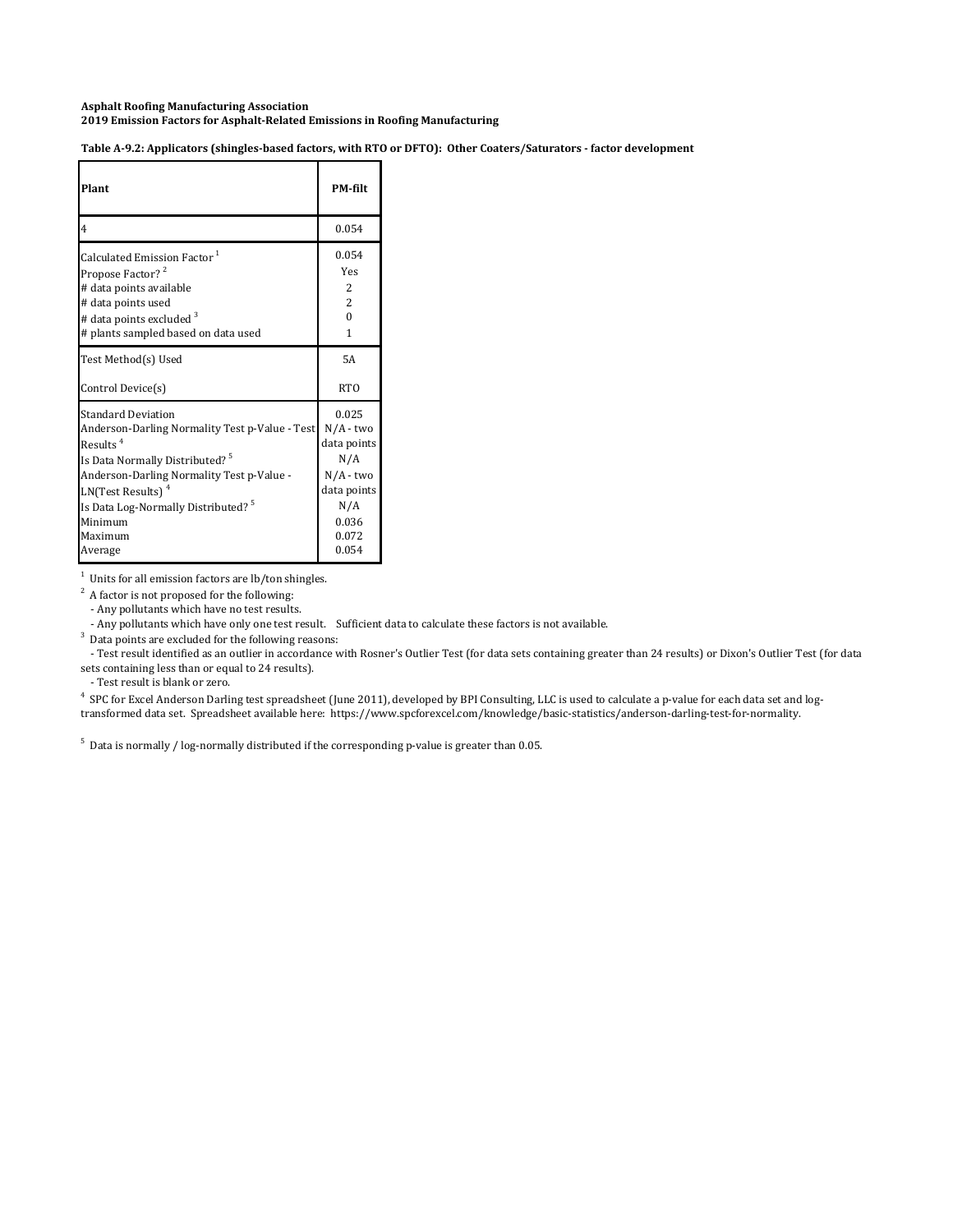Table A-9.2: Applicators (shingles-based factors, with RTO or DFTO): Other Coaters/Saturators - factor development

| Plant                                          | PM-filt        |
|------------------------------------------------|----------------|
| $\overline{4}$                                 | 0.054          |
| Calculated Emission Factor <sup>1</sup>        | 0.054          |
| Propose Factor? <sup>2</sup>                   | <b>Yes</b>     |
| # data points available                        | 2              |
| # data points used                             | $\overline{2}$ |
| # data points excluded <sup>3</sup>            | $\Omega$       |
| # plants sampled based on data used            | 1              |
| Test Method(s) Used                            | 5A             |
| Control Device(s)                              | RTO            |
| <b>Standard Deviation</b>                      | 0.025          |
| Anderson-Darling Normality Test p-Value - Test | N/A - two      |
| Results <sup>4</sup>                           | data points    |
| Is Data Normally Distributed? <sup>5</sup>     | N/A            |
| Anderson-Darling Normality Test p-Value -      | N/A - two      |
| LN(Test Results) <sup>4</sup>                  | data points    |
| Is Data Log-Normally Distributed? <sup>5</sup> | N/A            |
| Minimum                                        | 0.036          |
| Maximum                                        | 0.072          |
| Average                                        | 0.054          |

 $1$  Units for all emission factors are lb/ton shingles.

 $2^2$  A factor is not proposed for the following:

- Any pollutants which have no test results.

- Any pollutants which have only one test result. Sufficient data to calculate these factors is not available.

 $3$  Data points are excluded for the following reasons:

- Test result identified as an outlier in accordance with Rosner's Outlier Test (for data sets containing greater than 24 results) or Dixon's Outlier Test (for data sets containing less than or equal to 24 results).

- Test result is blank or zero.

<sup>4</sup> SPC for Excel Anderson Darling test spreadsheet (June 2011), developed by BPI Consulting, LLC is used to calculate a p-value for each data set and logtransformed data set. Spreadsheet available here: https://www.spcforexcel.com/knowledge/basic-statistics/anderson-darling-test-for-normality.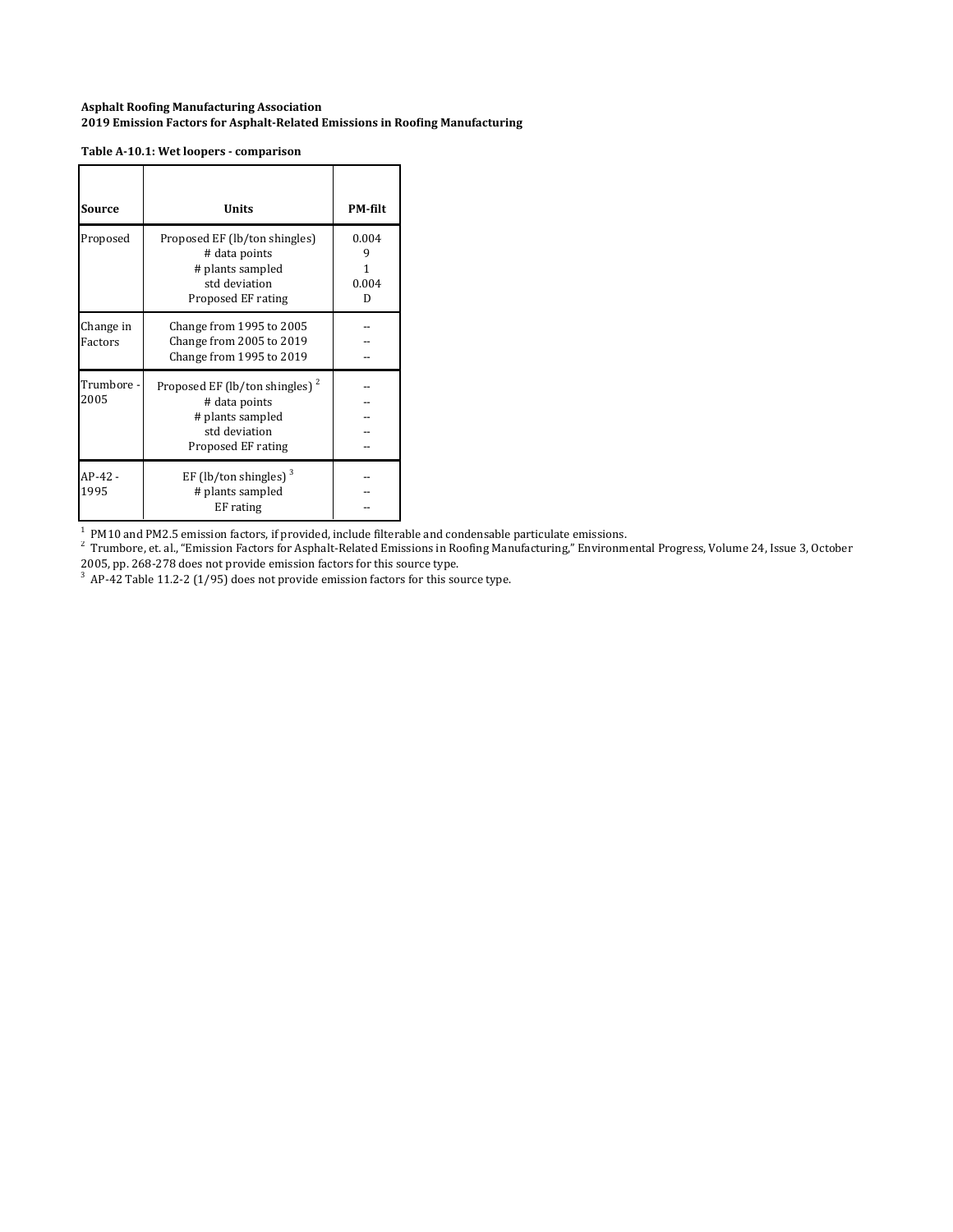#### **Table A‐10.1: Wet loopers ‐ comparison**

| Source               | Units                                                                                                                  | <b>PM-filt</b>      |
|----------------------|------------------------------------------------------------------------------------------------------------------------|---------------------|
| Proposed             | Proposed EF (lb/ton shingles)<br># data points<br># plants sampled<br>std deviation<br>Proposed EF rating              | 0.004<br>0.004<br>D |
| Change in<br>Factors | Change from 1995 to 2005<br>Change from 2005 to 2019<br>Change from 1995 to 2019                                       |                     |
| Trumbore -<br>2005   | Proposed EF (lb/ton shingles) <sup>2</sup><br># data points<br># plants sampled<br>std deviation<br>Proposed EF rating |                     |
| AP-42 -<br>1995      | EF (lb/ton shingles) $3$<br># plants sampled<br>EF rating                                                              |                     |

<sup>1</sup> PM10 and PM2.5 emission factors, if provided, include filterable and condensable particulate emissions.<br><sup>2</sup> Trumbore, et. al., "Emission Factors for Asphalt-Related Emissions in Roofing Manufacturing," Environmental Pr 2005, pp. 268-278 does not provide emission factors for this source type.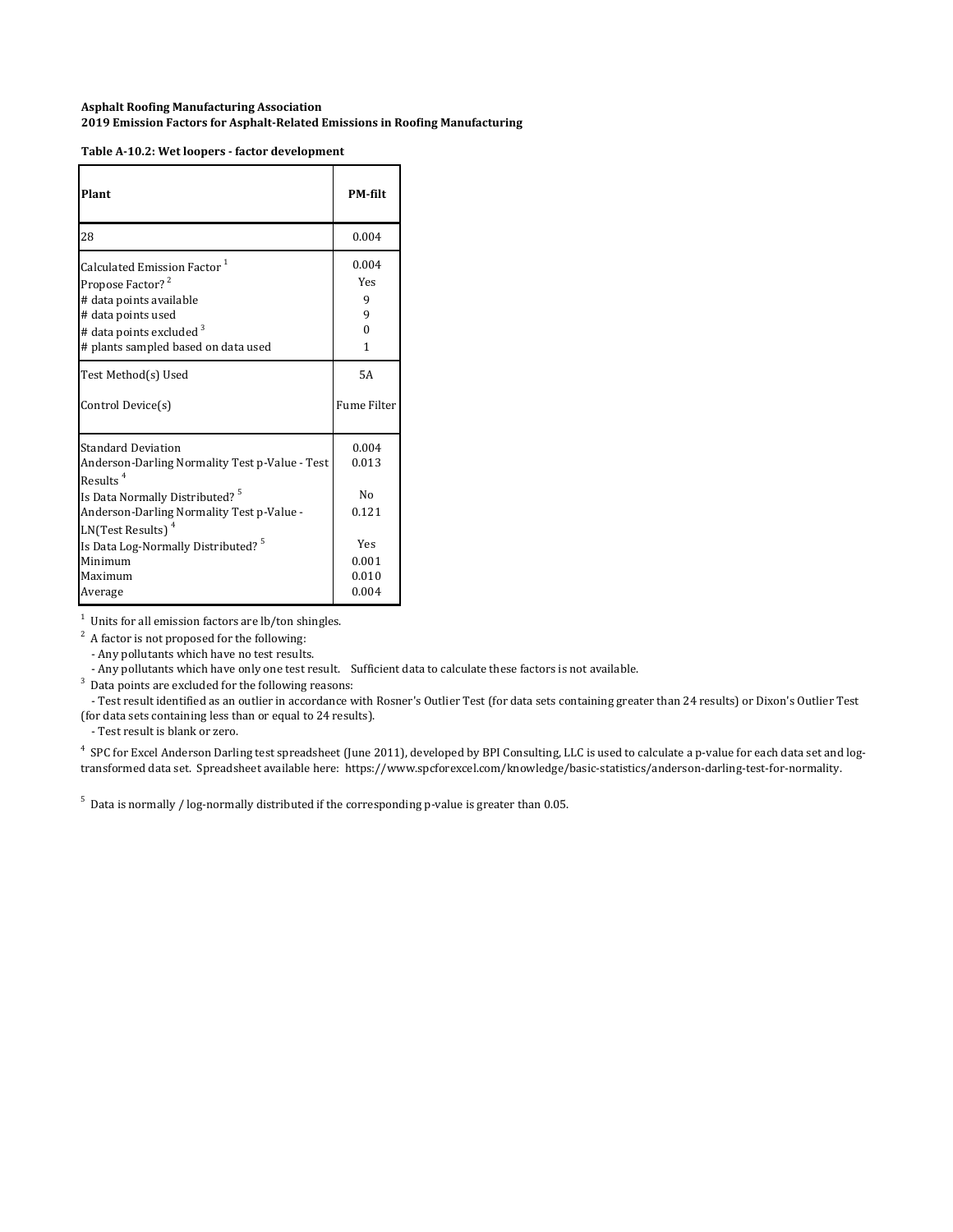| Plant                                                                                                                                                                                                         | <b>PM-filt</b>                            |
|---------------------------------------------------------------------------------------------------------------------------------------------------------------------------------------------------------------|-------------------------------------------|
| 28                                                                                                                                                                                                            | 0.004                                     |
| Calculated Emission Factor <sup>1</sup>                                                                                                                                                                       | 0.004                                     |
| Propose Factor? <sup>2</sup>                                                                                                                                                                                  | Yes                                       |
| # data points available                                                                                                                                                                                       | 9                                         |
| # data points used                                                                                                                                                                                            | 9                                         |
| # data points excluded 3                                                                                                                                                                                      | $\Omega$                                  |
| # plants sampled based on data used                                                                                                                                                                           | 1                                         |
| Test Method(s) Used                                                                                                                                                                                           | 5A                                        |
| Control Device(s)                                                                                                                                                                                             | <b>Fume Filter</b>                        |
| <b>Standard Deviation</b><br>Anderson-Darling Normality Test p-Value - Test<br>Results $4$<br>Is Data Normally Distributed? <sup>5</sup><br>Anderson-Darling Normality Test p-Value -<br>$LN(Test Results)^4$ | 0.004<br>0.013<br>N <sub>0</sub><br>0.121 |
| Is Data Log-Normally Distributed? <sup>5</sup>                                                                                                                                                                | Yes                                       |
| Minimum                                                                                                                                                                                                       | 0.001                                     |
| Maximum                                                                                                                                                                                                       | 0.010                                     |
| Average                                                                                                                                                                                                       | 0.004                                     |

1 Units for all emission factors are lb/ton shingles.

 $2^2$  A factor is not proposed for the following:

- Any pollutants which have no test results.

- Any pollutants which have only one test result. Sufficient data to calculate these factors is not available.

 $3$  Data points are excluded for the following reasons:

- Test result identified as an outlier in accordance with Rosner's Outlier Test (for data sets containing greater than 24 results) or Dixon's Outlier Test (for data sets containing less than or equal to 24 results).

- Test result is blank or zero.

<sup>4</sup> SPC for Excel Anderson Darling test spreadsheet (June 2011), developed by BPI Consulting, LLC is used to calculate a p-value for each data set and logtransformed data set. Spreadsheet available here: https://www.spcforexcel.com/knowledge/basic-statistics/anderson-darling-test-for-normality.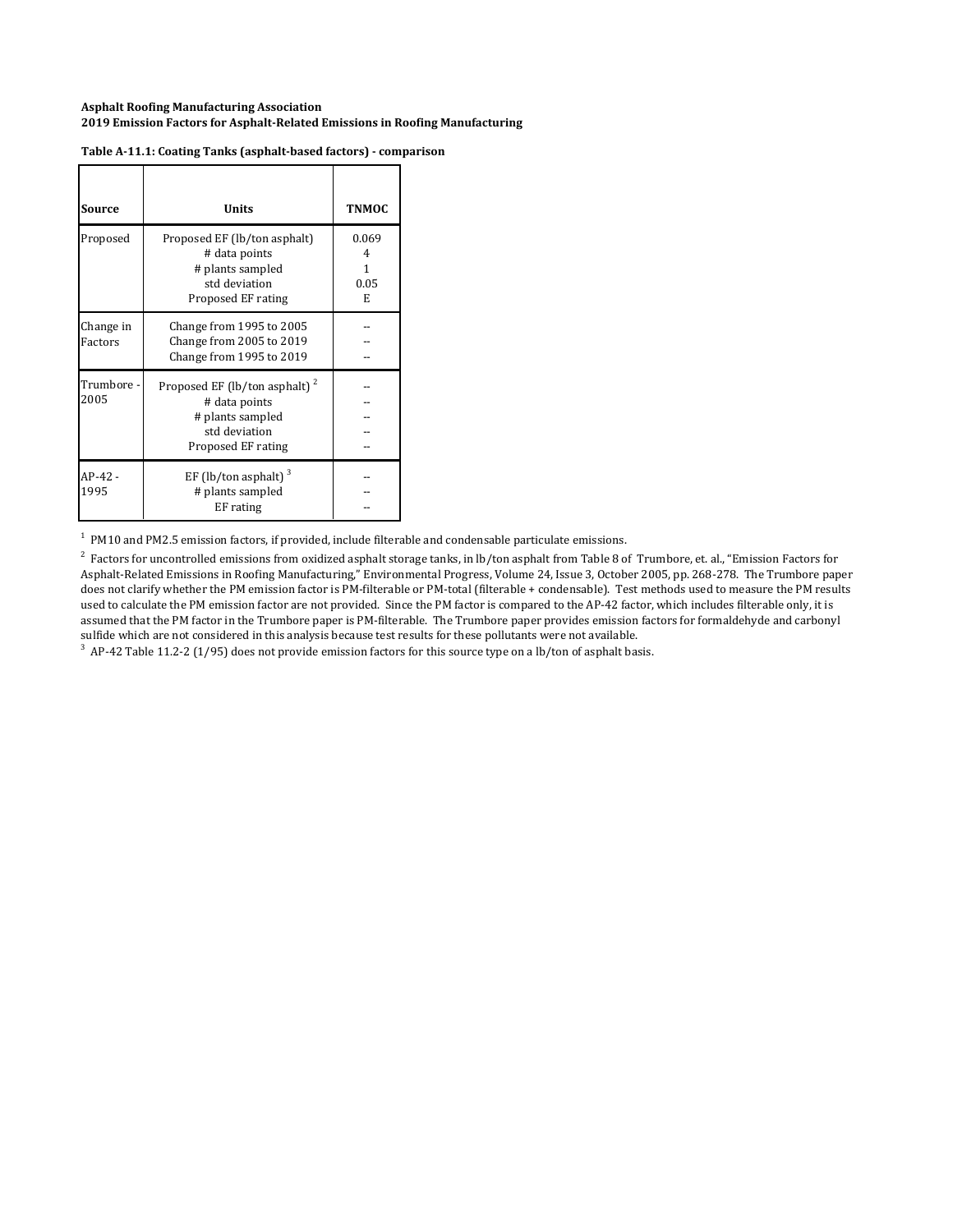| Source               | Units                                                                                                                 | <b>TNMOC</b>                 |
|----------------------|-----------------------------------------------------------------------------------------------------------------------|------------------------------|
| Proposed             | Proposed EF (lb/ton asphalt)<br># data points<br># plants sampled<br>std deviation<br>Proposed EF rating              | 0.069<br>4<br>1<br>0.05<br>E |
| Change in<br>Factors | Change from 1995 to 2005<br>Change from 2005 to 2019<br>Change from 1995 to 2019                                      |                              |
| Trumbore -<br>2005   | Proposed EF (lb/ton asphalt) <sup>2</sup><br># data points<br># plants sampled<br>std deviation<br>Proposed EF rating |                              |
| AP-42 -<br>1995      | EF (lb/ton asphalt) <sup>3</sup><br># plants sampled<br>EF rating                                                     |                              |

#### **Table A‐11.1: Coating Tanks (asphalt‐based factors) ‐ comparison**

 $<sup>1</sup>$  PM10 and PM2.5 emission factors, if provided, include filterable and condensable particulate emissions.</sup>

 $^2$  Factors for uncontrolled emissions from oxidized asphalt storage tanks, in lb/ton asphalt from Table 8 of Trumbore, et. al., "Emission Factors for Asphalt-Related Emissions in Roofing Manufacturing," Environmental Progress, Volume 24, Issue 3, October 2005, pp. 268-278. The Trumbore paper does not clarify whether the PM emission factor is PM-filterable or PM-total (filterable + condensable). Test methods used to measure the PM results used to calculate the PM emission factor are not provided. Since the PM factor is compared to the AP-42 factor, which includes filterable only, it is assumed that the PM factor in the Trumbore paper is PM-filterable. The Trumbore paper provides emission factors for formaldehyde and carbonyl sulfide which are not considered in this analysis because test results for these pollutants were not available.

 $3$  AP-42 Table 11.2-2 (1/95) does not provide emission factors for this source type on a lb/ton of asphalt basis.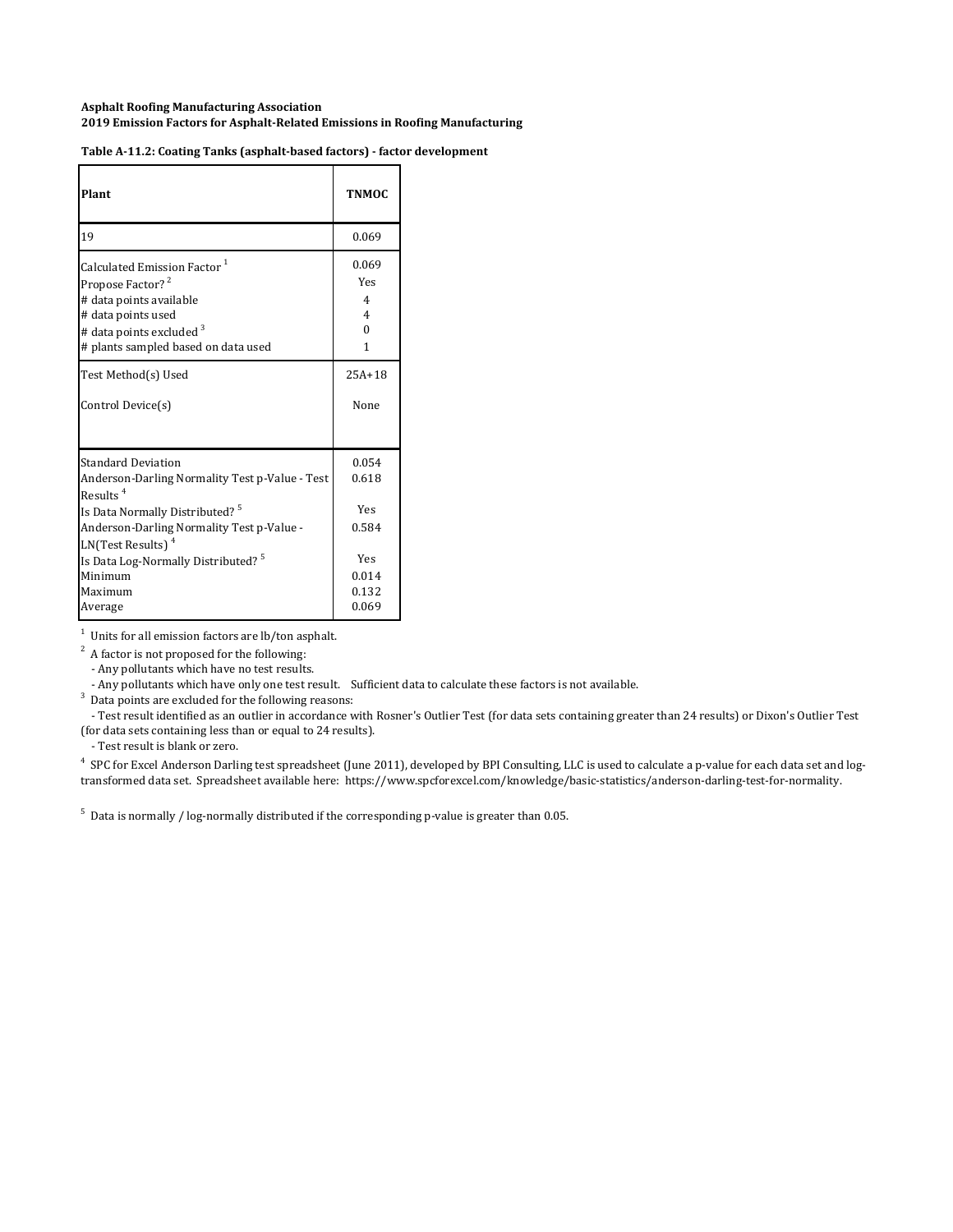| Plant                                                                                                                                                                                                                  | <b>TNMOC</b>                   |
|------------------------------------------------------------------------------------------------------------------------------------------------------------------------------------------------------------------------|--------------------------------|
| 19                                                                                                                                                                                                                     | 0.069                          |
| Calculated Emission Factor <sup>1</sup>                                                                                                                                                                                | 0.069                          |
| Propose Factor? <sup>2</sup>                                                                                                                                                                                           | Yes                            |
| # data points available                                                                                                                                                                                                | $\overline{4}$                 |
| # data points used                                                                                                                                                                                                     | $\overline{4}$                 |
| # data points excluded <sup>3</sup>                                                                                                                                                                                    | $\Omega$                       |
| # plants sampled based on data used                                                                                                                                                                                    | 1                              |
| Test Method(s) Used                                                                                                                                                                                                    | $25A+18$                       |
| Control Device(s)                                                                                                                                                                                                      | None                           |
| <b>Standard Deviation</b><br>Anderson-Darling Normality Test p-Value - Test<br>Results <sup>4</sup><br>Is Data Normally Distributed? <sup>5</sup><br>Anderson-Darling Normality Test p-Value -<br>$LN(Test Results)^4$ | 0.054<br>0.618<br>Yes<br>0.584 |
| Is Data Log-Normally Distributed? <sup>5</sup>                                                                                                                                                                         | Yes                            |
| Minimum                                                                                                                                                                                                                | 0.014                          |
| Maximum                                                                                                                                                                                                                | 0.132                          |
| Average                                                                                                                                                                                                                | 0.069                          |

 $1$  Units for all emission factors are lb/ton asphalt.

 $2^2$  A factor is not proposed for the following:

- Any pollutants which have no test results.

- Any pollutants which have only one test result. Sufficient data to calculate these factors is not available.

 $3$  Data points are excluded for the following reasons:

- Test result identified as an outlier in accordance with Rosner's Outlier Test (for data sets containing greater than 24 results) or Dixon's Outlier Test (for data sets containing less than or equal to 24 results).

- Test result is blank or zero.

<sup>4</sup> SPC for Excel Anderson Darling test spreadsheet (June 2011), developed by BPI Consulting, LLC is used to calculate a p-value for each data set and logtransformed data set. Spreadsheet available here: https://www.spcforexcel.com/knowledge/basic-statistics/anderson-darling-test-for-normality.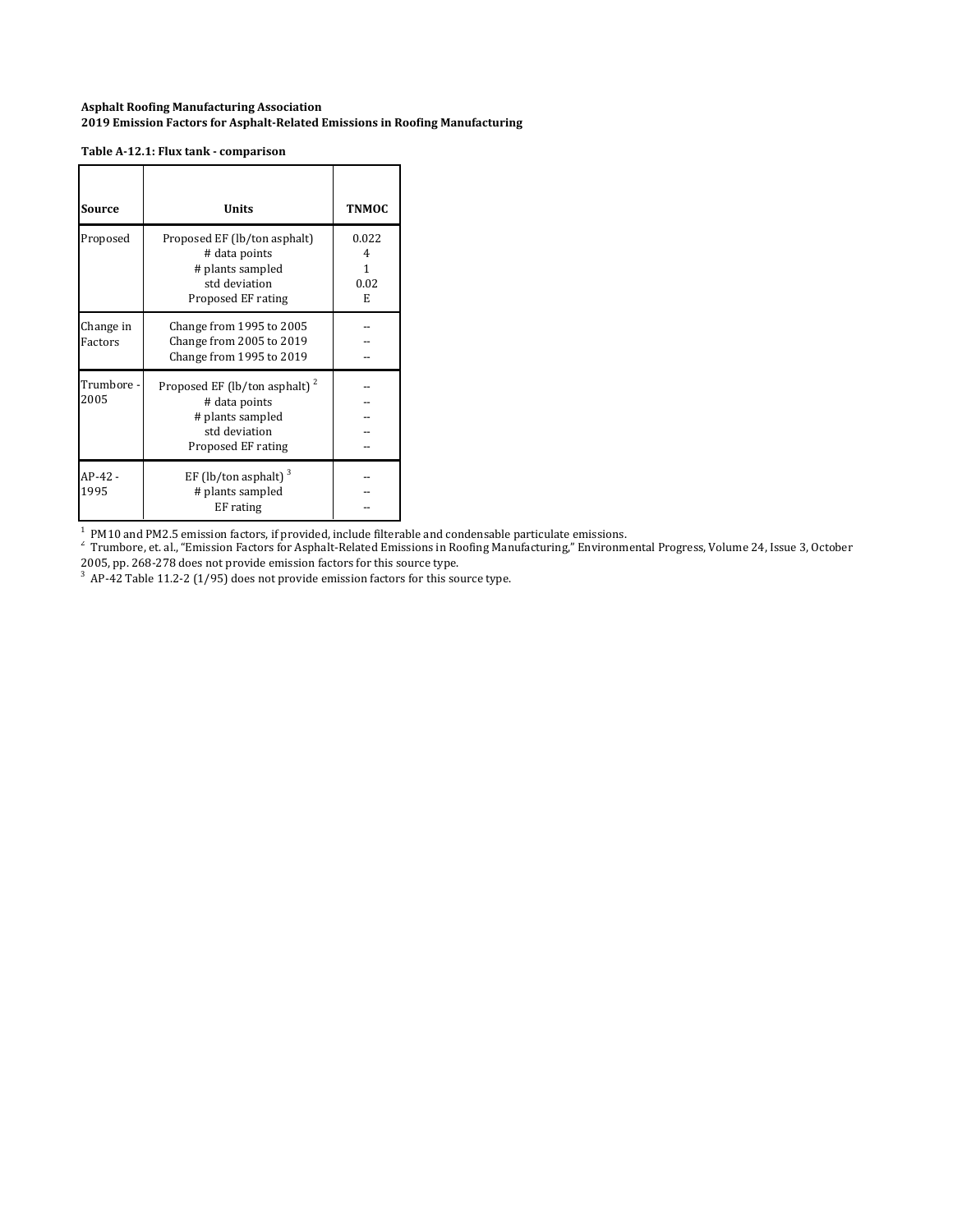#### **Table A‐12.1: Flux tank ‐ comparison**

| Source               | Units                                                                                                                 | <b>TNMOC</b>                 |
|----------------------|-----------------------------------------------------------------------------------------------------------------------|------------------------------|
| Proposed             | Proposed EF (lb/ton asphalt)<br># data points<br># plants sampled<br>std deviation<br>Proposed EF rating              | 0.022<br>4<br>1<br>0.02<br>E |
| Change in<br>Factors | Change from 1995 to 2005<br>Change from 2005 to 2019<br>Change from 1995 to 2019                                      |                              |
| Trumbore -<br>2005   | Proposed EF (lb/ton asphalt) <sup>2</sup><br># data points<br># plants sampled<br>std deviation<br>Proposed EF rating |                              |
| AP-42 -<br>1995      | EF (lb/ton asphalt) <sup>3</sup><br># plants sampled<br>EF rating                                                     |                              |

1

 $^{\rm 1}$  PM10 and PM2.5 emission factors, if provided, include filterable and condensable particulate emissions.<br><sup>2</sup> Trumbore, et. al., "Emission Factors for Asphalt-Related Emissions in Roofing Manufacturing," Environment 2005, pp. 268-278 does not provide emission factors for this source type.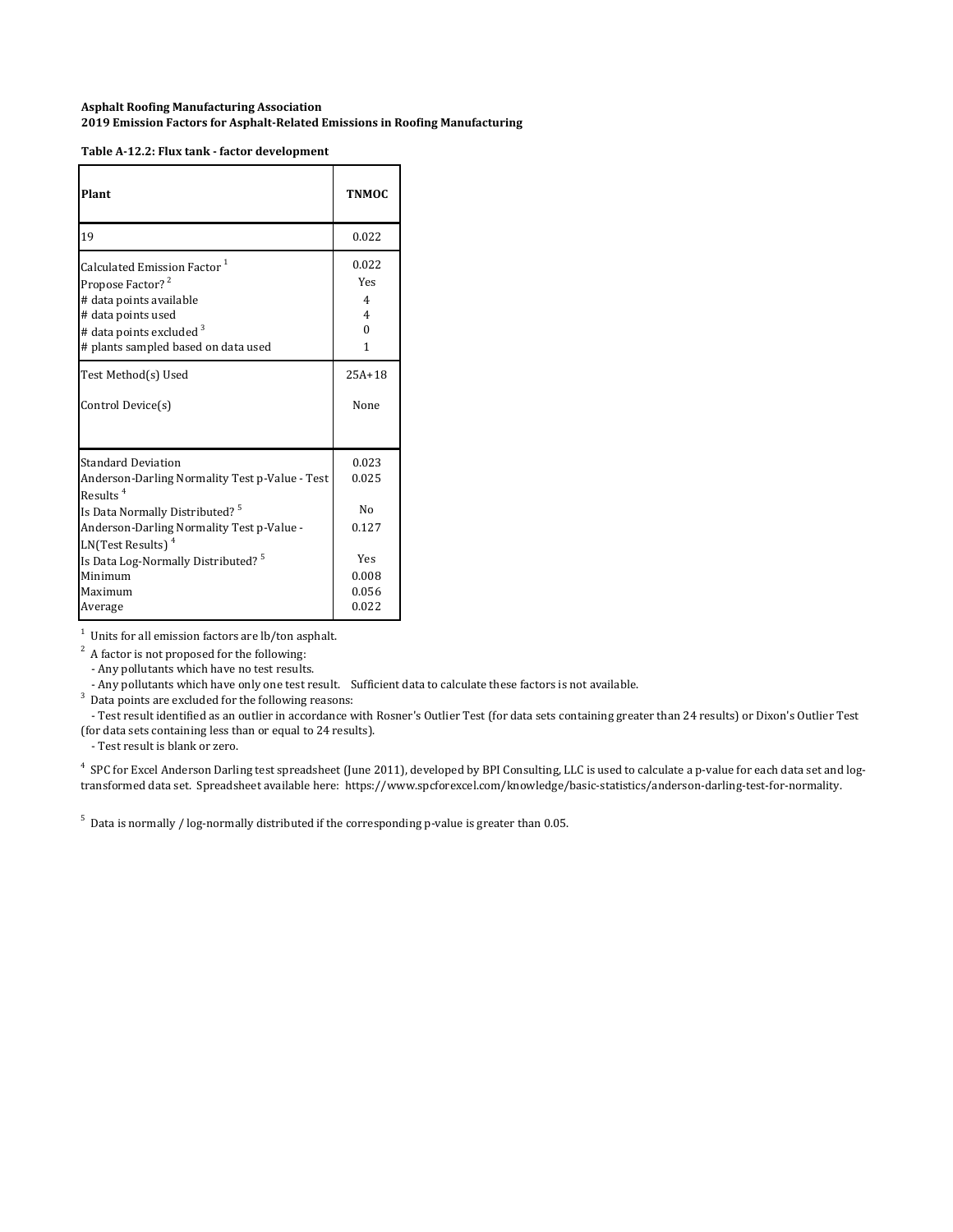| Table A-12.2: Flux tank - factor development |  |  |  |
|----------------------------------------------|--|--|--|
|                                              |  |  |  |

| Plant                                                                                                                                                                                                                    | <b>TNMOC</b>                  |
|--------------------------------------------------------------------------------------------------------------------------------------------------------------------------------------------------------------------------|-------------------------------|
| 19                                                                                                                                                                                                                       | 0.022                         |
| Calculated Emission Factor <sup>1</sup>                                                                                                                                                                                  | 0.022                         |
| Propose Factor? <sup>2</sup>                                                                                                                                                                                             | <b>Yes</b>                    |
| # data points available                                                                                                                                                                                                  | $\overline{4}$                |
| # data points used                                                                                                                                                                                                       | $\overline{4}$                |
| # data points excluded <sup>3</sup>                                                                                                                                                                                      | $\Omega$                      |
| # plants sampled based on data used                                                                                                                                                                                      | 1                             |
| Test Method(s) Used                                                                                                                                                                                                      | $25A+18$                      |
| Control Device(s)                                                                                                                                                                                                        | None                          |
| Standard Deviation<br>Anderson-Darling Normality Test p-Value - Test<br>Results <sup>4</sup><br>Is Data Normally Distributed? <sup>5</sup><br>Anderson-Darling Normality Test p-Value -<br>LN(Test Results) <sup>4</sup> | 0.023<br>0.025<br>Nο<br>0.127 |
| Is Data Log-Normally Distributed? <sup>5</sup>                                                                                                                                                                           | Yes                           |
| Minimum                                                                                                                                                                                                                  | 0.008                         |
| Maximum                                                                                                                                                                                                                  | 0.056                         |
| Average                                                                                                                                                                                                                  | 0.022                         |

 $1$  Units for all emission factors are lb/ton asphalt.

 $2^2$  A factor is not proposed for the following:

- Any pollutants which have no test results.

- Any pollutants which have only one test result. Sufficient data to calculate these factors is not available.

 $3$  Data points are excluded for the following reasons:

- Test result identified as an outlier in accordance with Rosner's Outlier Test (for data sets containing greater than 24 results) or Dixon's Outlier Test (for data sets containing less than or equal to 24 results).

- Test result is blank or zero.

<sup>4</sup> SPC for Excel Anderson Darling test spreadsheet (June 2011), developed by BPI Consulting, LLC is used to calculate a p-value for each data set and logtransformed data set. Spreadsheet available here: https://www.spcforexcel.com/knowledge/basic-statistics/anderson-darling-test-for-normality.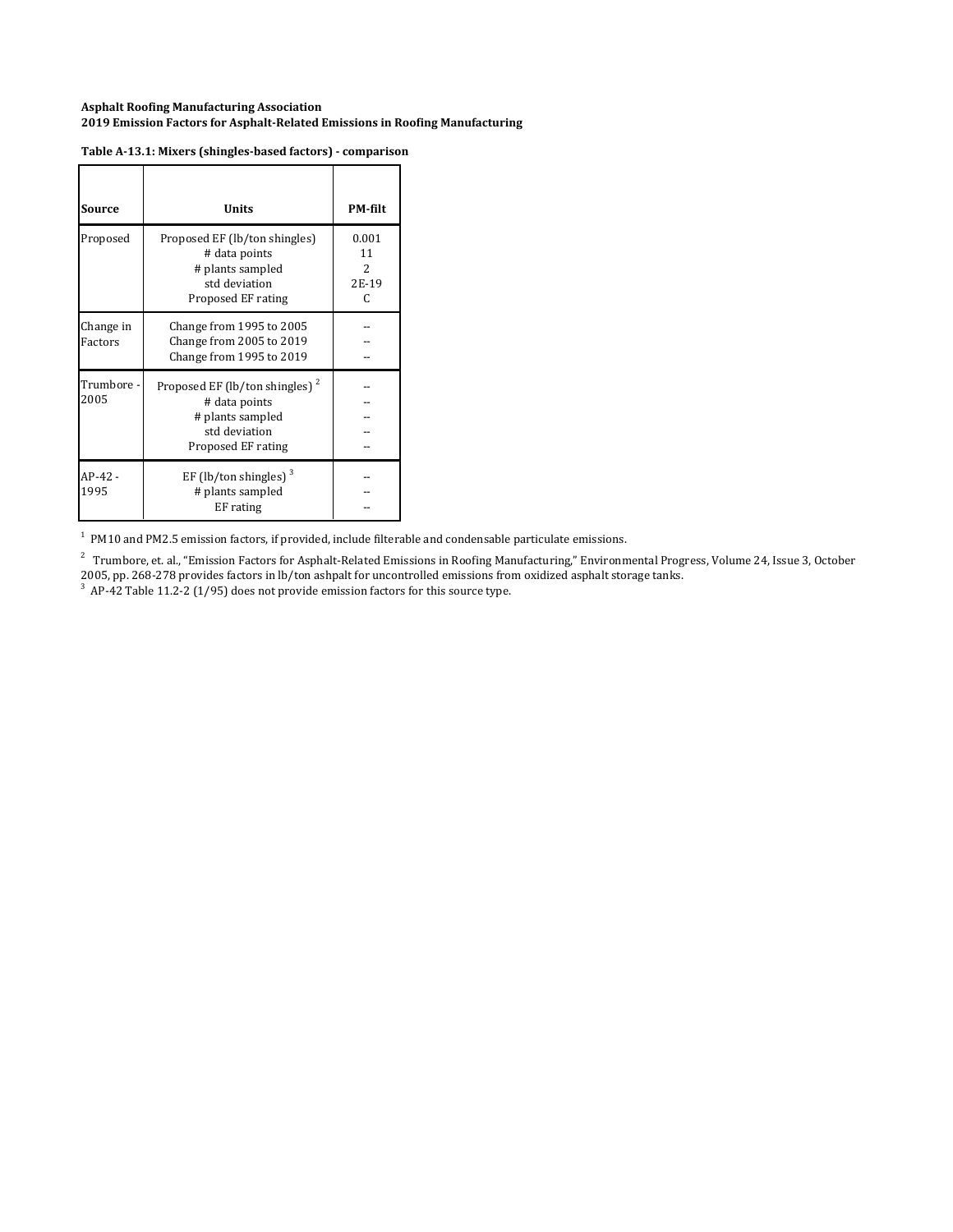| Source               | <b>Units</b>                                                                                                           | <b>PM-filt</b>                 |
|----------------------|------------------------------------------------------------------------------------------------------------------------|--------------------------------|
| Proposed             | Proposed EF (lb/ton shingles)<br># data points<br># plants sampled<br>std deviation<br>Proposed EF rating              | 0.001<br>11<br>2<br>2E-19<br>C |
| Change in<br>Factors | Change from 1995 to 2005<br>Change from 2005 to 2019<br>Change from 1995 to 2019                                       |                                |
| Trumbore -<br>2005   | Proposed EF (lb/ton shingles) <sup>2</sup><br># data points<br># plants sampled<br>std deviation<br>Proposed EF rating |                                |
| $AP-42-$<br>1995     | EF (lb/ton shingles) $3$<br># plants sampled<br>EF rating                                                              |                                |

#### **Table A‐13.1: Mixers (shingles‐based factors) ‐ comparison**

 $<sup>1</sup>$  PM10 and PM2.5 emission factors, if provided, include filterable and condensable particulate emissions.</sup>

 $^2$  Trumbore, et. al., "Emission Factors for Asphalt-Related Emissions in Roofing Manufacturing," Environmental Progress, Volume 24, Issue 3, October 2005, pp. 268-278 provides factors in lb/ton ashpalt for uncontrolled emissions from oxidized asphalt storage tanks.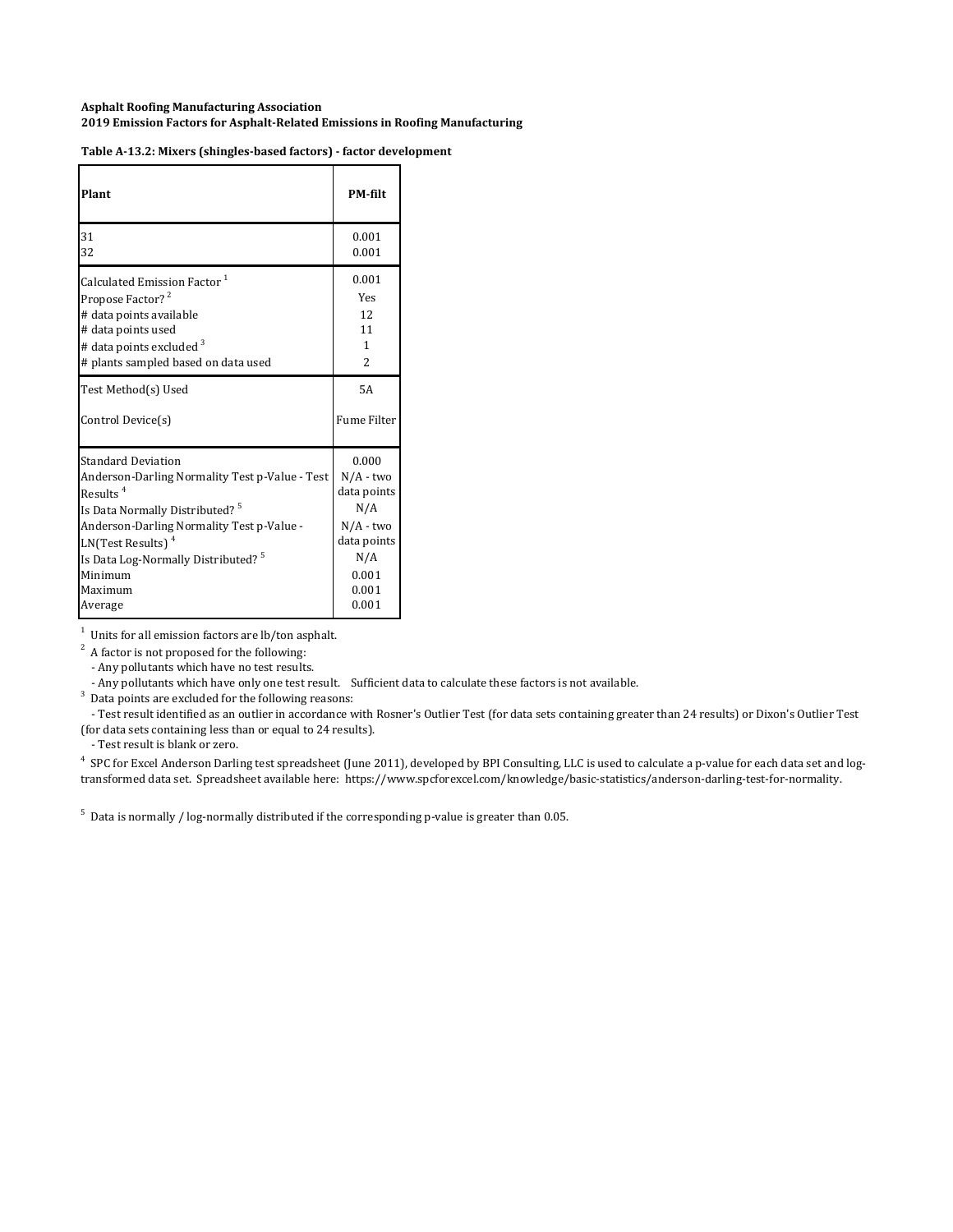| Plant                                          | <b>PM-filt</b>     |
|------------------------------------------------|--------------------|
| 31                                             | 0.001              |
| 32                                             | 0.001              |
| Calculated Emission Factor <sup>1</sup>        | 0.001              |
| Propose Factor? <sup>2</sup>                   | Yes                |
| # data points available                        | 12                 |
| # data points used                             | 11                 |
| # data points excluded <sup>3</sup>            | 1                  |
| # plants sampled based on data used            | $\overline{2}$     |
| Test Method(s) Used                            | 5A                 |
| Control Device(s)                              | <b>Fume Filter</b> |
| <b>Standard Deviation</b>                      | 0.000              |
| Anderson-Darling Normality Test p-Value - Test | $N/A$ - two        |
| Results <sup>4</sup>                           | data points        |
| Is Data Normally Distributed? <sup>5</sup>     | N/A                |
| Anderson-Darling Normality Test p-Value -      | $N/A$ - two        |
| $LN(Test Results)^4$                           | data points        |
| Is Data Log-Normally Distributed? <sup>5</sup> | N/A                |
| Minimum                                        | 0.001              |
| Maximum                                        | 0.001              |
| Average                                        | 0.001              |

**Table A‐13.2: Mixers (shingles‐based factors) ‐ factor development**

 $1$  Units for all emission factors are lb/ton asphalt.

 $2^2$  A factor is not proposed for the following:

- Any pollutants which have no test results.

- Any pollutants which have only one test result. Sufficient data to calculate these factors is not available.

 $3$  Data points are excluded for the following reasons:

- Test result identified as an outlier in accordance with Rosner's Outlier Test (for data sets containing greater than 24 results) or Dixon's Outlier Test (for data sets containing less than or equal to 24 results).

- Test result is blank or zero.

<sup>4</sup> SPC for Excel Anderson Darling test spreadsheet (June 2011), developed by BPI Consulting, LLC is used to calculate a p-value for each data set and logtransformed data set. Spreadsheet available here: https://www.spcforexcel.com/knowledge/basic-statistics/anderson-darling-test-for-normality.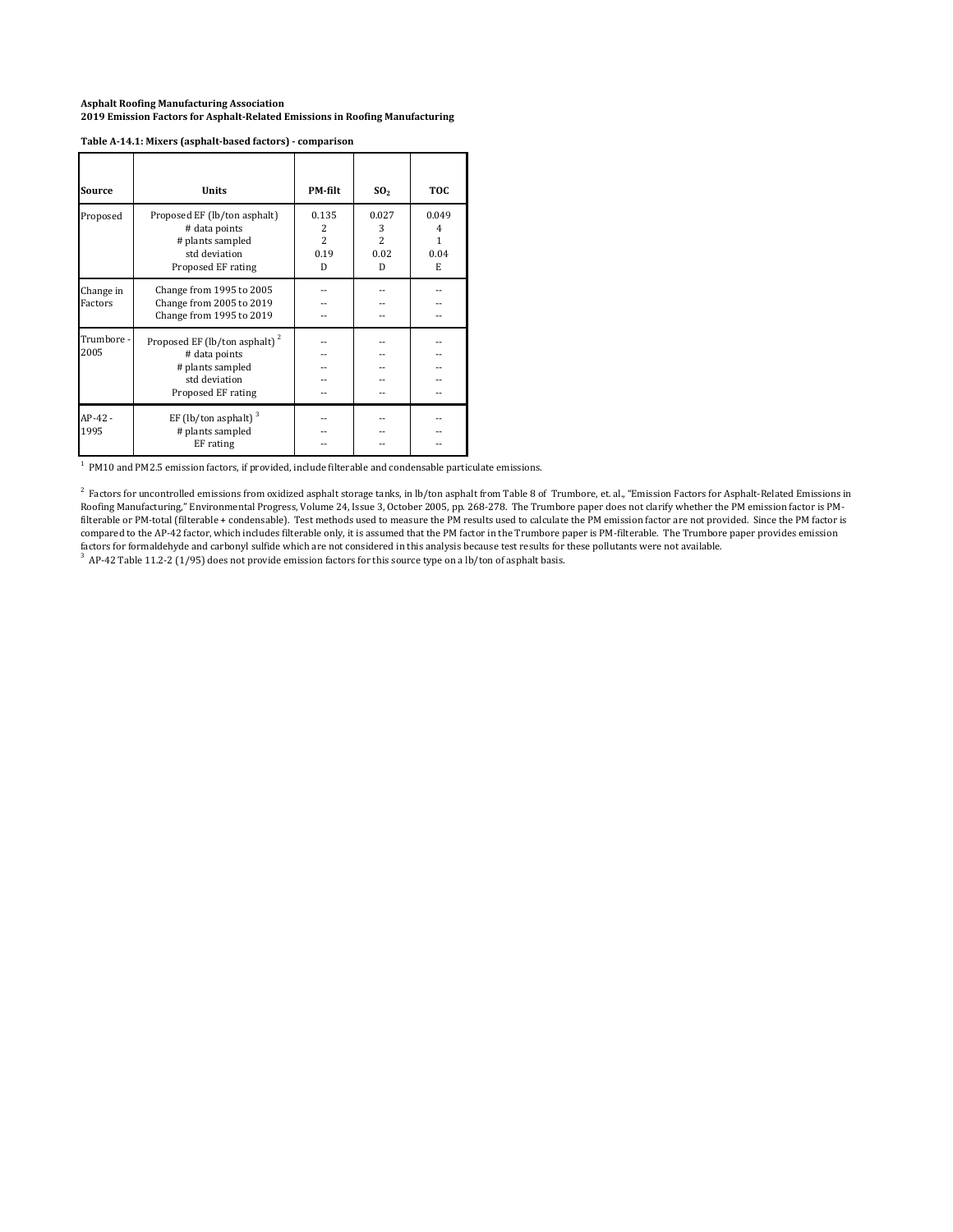#### **Table A‐14.1: Mixers (asphalt‐based factors) ‐ comparison**

| Source               | <b>Units</b>                                                                                                          | PM-filt                                  | SO <sub>2</sub>                           | <b>TOC</b>                                |
|----------------------|-----------------------------------------------------------------------------------------------------------------------|------------------------------------------|-------------------------------------------|-------------------------------------------|
| Proposed             | Proposed EF (lb/ton asphalt)<br># data points<br># plants sampled<br>std deviation<br>Proposed EF rating              | 0.135<br>2<br>$\mathcal{L}$<br>0.19<br>D | 0.027<br>3<br>$\overline{2}$<br>0.02<br>D | 0.049<br>$\overline{4}$<br>1<br>0.04<br>E |
| Change in<br>Factors | Change from 1995 to 2005<br>Change from 2005 to 2019<br>Change from 1995 to 2019                                      |                                          |                                           |                                           |
| Trumbore -<br>2005   | Proposed EF (lb/ton asphalt) <sup>2</sup><br># data points<br># plants sampled<br>std deviation<br>Proposed EF rating |                                          |                                           |                                           |
| AP-42 -<br>1995      | EF (lb/ton asphalt) $3$<br># plants sampled<br>EF rating                                                              |                                          |                                           |                                           |

 $<sup>1</sup>$  PM10 and PM2.5 emission factors, if provided, include filterable and condensable particulate emissions.</sup>

 $^2$  Factors for uncontrolled emissions from oxidized asphalt storage tanks, in lb/ton asphalt from Table 8 of Trumbore, et. al., "Emission Factors for Asphalt-Related Emissions in Roofing Manufacturing," Environmental Progress, Volume 24, Issue 3, October 2005, pp. 268-278. The Trumbore paper does not clarify whether the PM emission factor is PMfilterable or PM-total (filterable + condensable). Test methods used to measure the PM results used to calculate the PM emission factor are not provided. Since the PM factor is compared to the AP-42 factor, which includes filterable only, it is assumed that the PM factor in the Trumbore paper is PM-filterable. The Trumbore paper provides emission factors for formaldehyde and carbonyl sulfide which are not considered in this analysis because test results for these pollutants were not available.

 $3$  AP-42 Table 11.2-2 (1/95) does not provide emission factors for this source type on a lb/ton of asphalt basis.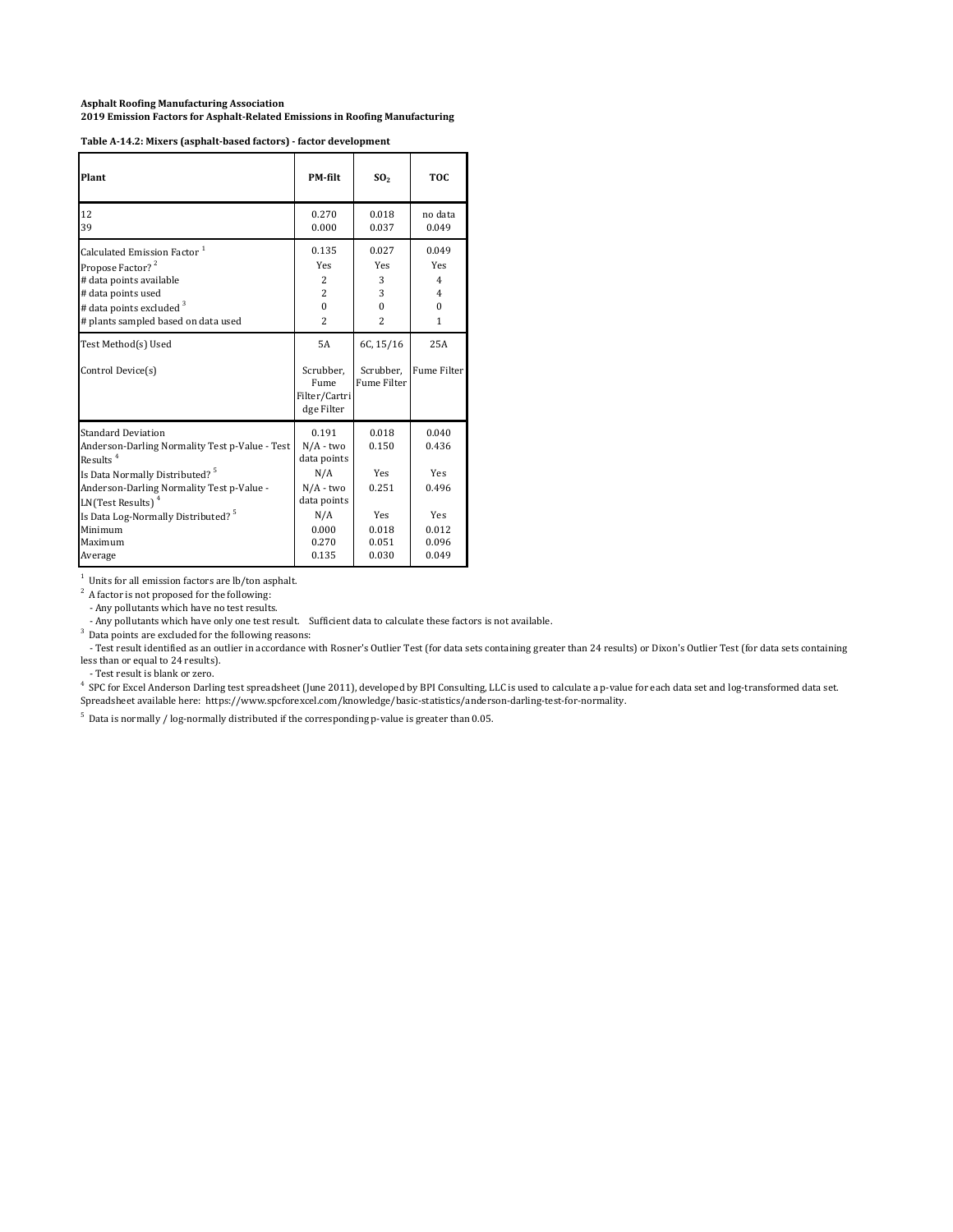**Table A‐14.2: Mixers (asphalt‐based factors) ‐ factor development**

| Plant                                                                                                                                                                                                                                                                                                     | <b>PM-filt</b>                                                                                             | SO <sub>2</sub>                                                  | TOC.                                                                    |
|-----------------------------------------------------------------------------------------------------------------------------------------------------------------------------------------------------------------------------------------------------------------------------------------------------------|------------------------------------------------------------------------------------------------------------|------------------------------------------------------------------|-------------------------------------------------------------------------|
| 12<br>39                                                                                                                                                                                                                                                                                                  | 0.270<br>0.000                                                                                             | 0.018<br>0.037                                                   | no data<br>0.049                                                        |
| Calculated Emission Factor <sup>1</sup><br>Propose Factor? <sup>2</sup><br># data points available<br># data points used<br># data points excluded <sup>3</sup><br># plants sampled based on data used                                                                                                    | 0.135<br>Yes<br>2<br>$\overline{c}$<br>$\theta$<br>2                                                       | 0.027<br>Yes<br>3<br>3<br>$\theta$<br>$\overline{c}$             | 0.049<br>Yes<br>$\overline{4}$<br>$\overline{4}$<br>$\Omega$<br>1       |
| Test Method(s) Used<br>Control Device(s)                                                                                                                                                                                                                                                                  | 5A<br>Scrubber,<br>Fume<br>Filter/Cartri<br>dge Filter                                                     | 6C, 15/16<br>Scrubber.<br><b>Fume Filter</b>                     | 25A<br><b>Fume Filter</b>                                               |
| <b>Standard Deviation</b><br>Anderson-Darling Normality Test p-Value - Test<br>Results <sup>4</sup><br>Is Data Normally Distributed? <sup>5</sup><br>Anderson-Darling Normality Test p-Value -<br>LN(Test Results) $4$<br>Is Data Log-Normally Distributed? <sup>5</sup><br>Minimum<br>Maximum<br>Average | 0.191<br>$N/A$ - two<br>data points<br>N/A<br>$N/A$ - two<br>data points<br>N/A<br>0.000<br>0.270<br>0.135 | 0.018<br>0.150<br>Yes<br>0.251<br>Yes<br>0.018<br>0.051<br>0.030 | 0.040<br>0.436<br><b>Yes</b><br>0.496<br>Yes<br>0.012<br>0.096<br>0.049 |

 $1$  Units for all emission factors are lb/ton asphalt.

 $2^2$  A factor is not proposed for the following:

- Any pollutants which have no test results.

- Any pollutants which have only one test result. Sufficient data to calculate these factors is not available.

 $3$  Data points are excluded for the following reasons:

- Test result identified as an outlier in accordance with Rosner's Outlier Test (for data sets containing greater than 24 results) or Dixon's Outlier Test (for data sets containing less than or equal to 24 results).

- Test result is blank or zero.

4 SPC for Excel Anderson Darling test spreadsheet (June 2011), developed by BPI Consulting, LLC is used to calculate a p-value for each data set and log-transformed data set. Spreadsheet available here: https://www.spcforexcel.com/knowledge/basic-statistics/anderson-darling-test-for-normality.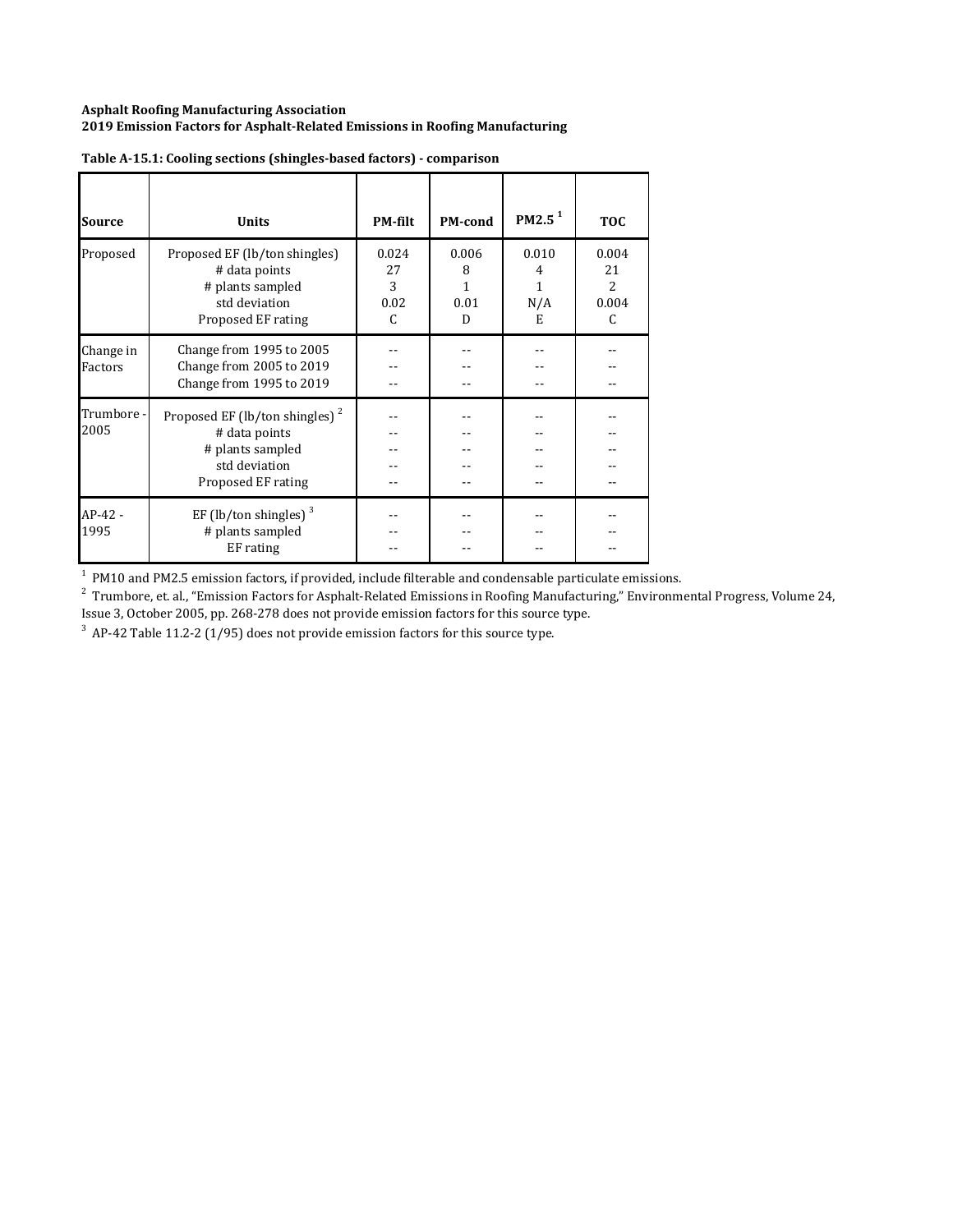| <b>Source</b>        | <b>Units</b>                                                                                                           | <b>PM-filt</b>                | PM-cond                 | PM2.5 <sup>1</sup>          | <b>TOC</b>                     |
|----------------------|------------------------------------------------------------------------------------------------------------------------|-------------------------------|-------------------------|-----------------------------|--------------------------------|
| Proposed             | Proposed EF (lb/ton shingles)<br># data points<br># plants sampled<br>std deviation<br>Proposed EF rating              | 0.024<br>27<br>3<br>0.02<br>C | 0.006<br>8<br>0.01<br>D | 0.010<br>4<br>1<br>N/A<br>E | 0.004<br>21<br>2<br>0.004<br>C |
| Change in<br>Factors | Change from 1995 to 2005<br>Change from 2005 to 2019<br>Change from 1995 to 2019                                       |                               |                         |                             |                                |
| Trumbore -<br>2005   | Proposed EF (lb/ton shingles) <sup>2</sup><br># data points<br># plants sampled<br>std deviation<br>Proposed EF rating |                               |                         |                             |                                |
| $AP-42-$<br>1995     | EF (lb/ton shingles) $3$<br># plants sampled<br>EF rating                                                              |                               |                         |                             |                                |

| Table A-15.1: Cooling sections (shingles-based factors) - comparison |  |  |
|----------------------------------------------------------------------|--|--|
|                                                                      |  |  |

 $^1$  PM10 and PM2.5 emission factors, if provided, include filterable and condensable particulate emissions.<br><sup>2</sup> Trumbore, et. al., "Emission Factors for Asphalt-Related Emissions in Roofing Manufacturing," Environmental

Issue 3, October 2005, pp. 268-278 does not provide emission factors for this source type.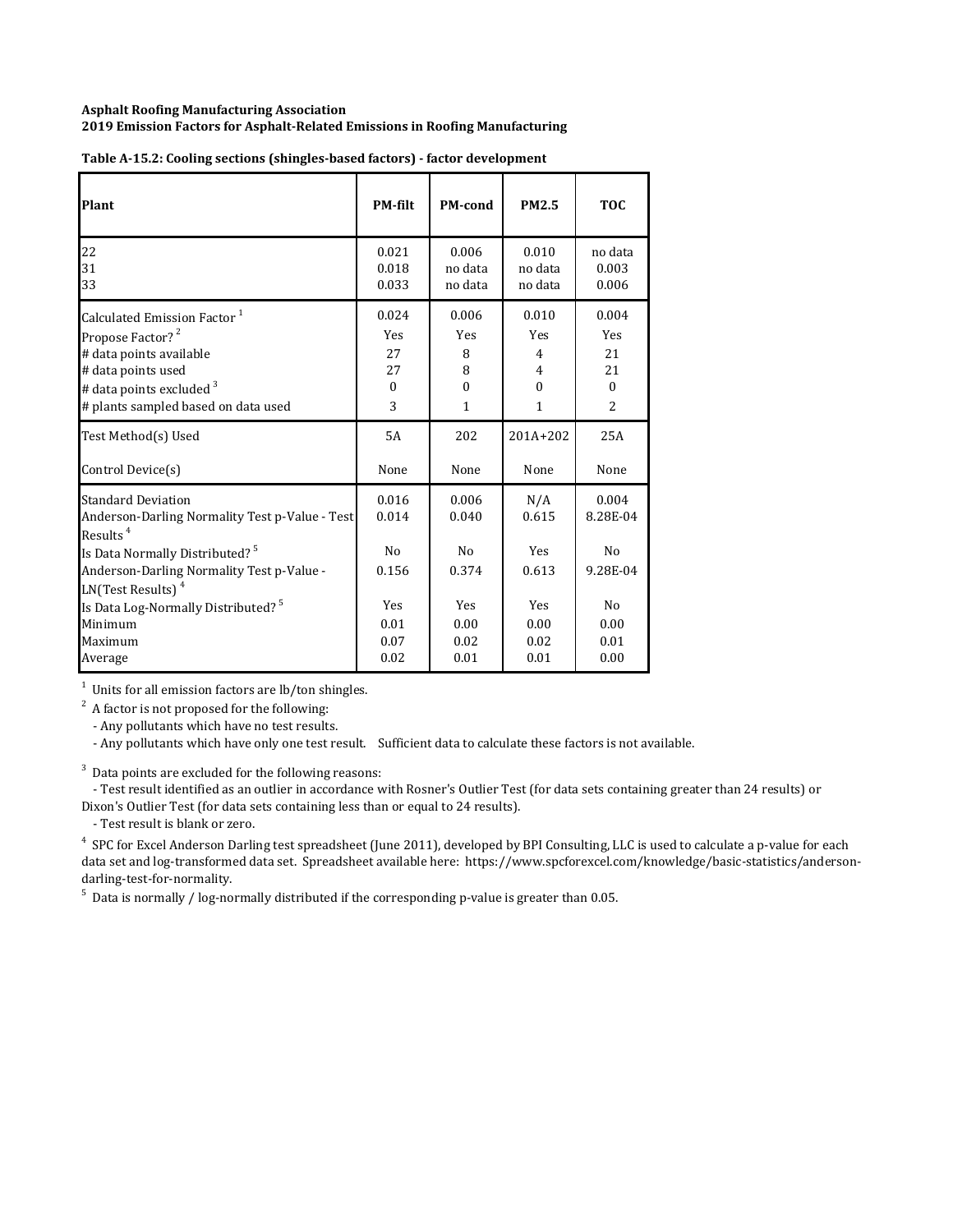| Plant                                                                                                                                                                                                                               | <b>PM-filt</b>                            | <b>PM-cond</b>                            | <b>PM2.5</b>                        | <b>TOC</b>                          |
|-------------------------------------------------------------------------------------------------------------------------------------------------------------------------------------------------------------------------------------|-------------------------------------------|-------------------------------------------|-------------------------------------|-------------------------------------|
| 22                                                                                                                                                                                                                                  | 0.021                                     | 0.006                                     | 0.010                               | no data                             |
| 31                                                                                                                                                                                                                                  | 0.018                                     | no data                                   | no data                             | 0.003                               |
| 33                                                                                                                                                                                                                                  | 0.033                                     | no data                                   | no data                             | 0.006                               |
| Calculated Emission Factor <sup>1</sup>                                                                                                                                                                                             | 0.024                                     | 0.006                                     | 0.010                               | 0.004                               |
| Propose Factor? <sup>2</sup>                                                                                                                                                                                                        | <b>Yes</b>                                | <b>Yes</b>                                | <b>Yes</b>                          | Yes                                 |
| # data points available                                                                                                                                                                                                             | 27                                        | 8                                         | 4                                   | 21                                  |
| # data points used                                                                                                                                                                                                                  | 27                                        | 8                                         | 4                                   | 21                                  |
| # data points excluded $3$                                                                                                                                                                                                          | $\Omega$                                  | $\Omega$                                  | $\Omega$                            | $\theta$                            |
| # plants sampled based on data used                                                                                                                                                                                                 | 3                                         | 1                                         | $\mathbf{1}$                        | 2                                   |
| Test Method(s) Used                                                                                                                                                                                                                 | 5A                                        | 202                                       | $201A+202$                          | 25A                                 |
| Control Device(s)                                                                                                                                                                                                                   | None                                      | None                                      | None                                | None                                |
| <b>Standard Deviation</b><br>Anderson-Darling Normality Test p-Value - Test<br>Results <sup><math>4</math></sup><br>Is Data Normally Distributed? <sup>5</sup><br>Anderson-Darling Normality Test p-Value -<br>$LN(Test Results)^4$ | 0.016<br>0.014<br>N <sub>0</sub><br>0.156 | 0.006<br>0.040<br>N <sub>0</sub><br>0.374 | N/A<br>0.615<br><b>Yes</b><br>0.613 | 0.004<br>8.28E-04<br>No<br>9.28E-04 |
| Is Data Log-Normally Distributed? <sup>5</sup>                                                                                                                                                                                      | Yes                                       | Yes                                       | Yes                                 | N <sub>o</sub>                      |
| Minimum                                                                                                                                                                                                                             | 0.01                                      | 0.00                                      | 0.00                                | 0.00                                |
| Maximum                                                                                                                                                                                                                             | 0.07                                      | 0.02                                      | 0.02                                | 0.01                                |
| Average                                                                                                                                                                                                                             | 0.02                                      | 0.01                                      | 0.01                                | 0.00                                |

| Table A-15.2: Cooling sections (shingles-based factors) - factor development |  |  |
|------------------------------------------------------------------------------|--|--|

 $1$  Units for all emission factors are lb/ton shingles.

 $2^2$  A factor is not proposed for the following:

- Any pollutants which have no test results.

- Any pollutants which have only one test result. Sufficient data to calculate these factors is not available.

 $3$  Data points are excluded for the following reasons:

- Test result identified as an outlier in accordance with Rosner's Outlier Test (for data sets containing greater than 24 results) or Dixon's Outlier Test (for data sets containing less than or equal to 24 results).

- Test result is blank or zero.

<sup>4</sup> SPC for Excel Anderson Darling test spreadsheet (June 2011), developed by BPI Consulting, LLC is used to calculate a p-value for each data set and log-transformed data set. Spreadsheet available here: https://www.spcforexcel.com/knowledge/basic-statistics/andersondarling-test-for-normality.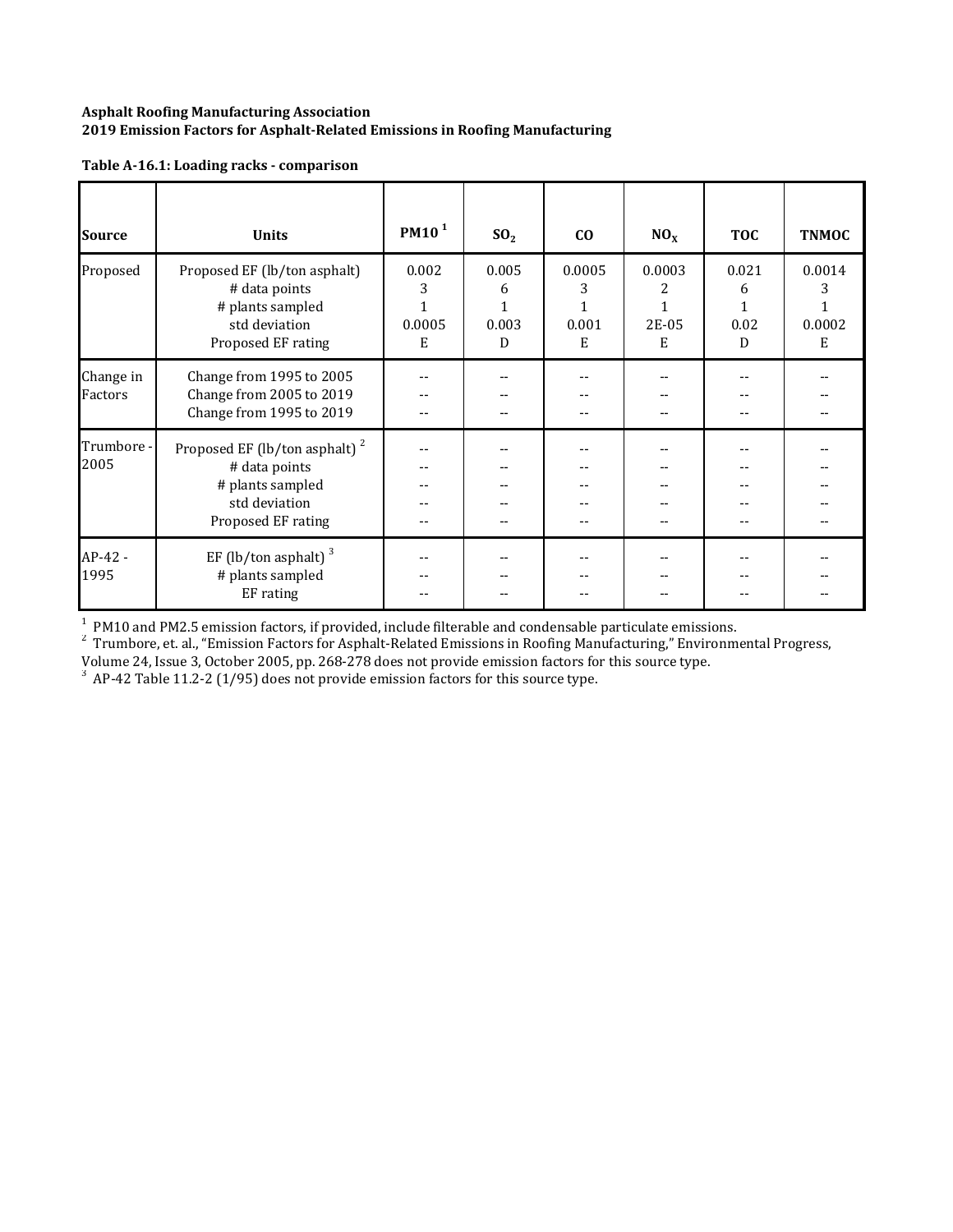| <b>Source</b>        | <b>Units</b>                                                                                                          | PM10 <sup>1</sup>         | SO <sub>2</sub>               | CO                                        | NO <sub>x</sub>                           | <b>TOC</b>              | <b>TNMOC</b>               |
|----------------------|-----------------------------------------------------------------------------------------------------------------------|---------------------------|-------------------------------|-------------------------------------------|-------------------------------------------|-------------------------|----------------------------|
| Proposed             | Proposed EF (lb/ton asphalt)<br># data points<br># plants sampled<br>std deviation<br>Proposed EF rating              | 0.002<br>3<br>0.0005<br>E | 0.005<br>6<br>1<br>0.003<br>D | 0.0005<br>3<br>$\mathbf{1}$<br>0.001<br>E | 0.0003<br>2<br>$\mathbf{1}$<br>2E-05<br>E | 0.021<br>6<br>0.02<br>D | 0.0014<br>3<br>0.0002<br>E |
| Change in<br>Factors | Change from 1995 to 2005<br>Change from 2005 to 2019<br>Change from 1995 to 2019                                      | --                        |                               |                                           |                                           |                         |                            |
| Trumbore -<br>2005   | Proposed EF (lb/ton asphalt) <sup>2</sup><br># data points<br># plants sampled<br>std deviation<br>Proposed EF rating |                           |                               |                                           |                                           |                         |                            |
| AP-42 -<br>1995      | EF (lb/ton asphalt) $3$<br># plants sampled<br>EF rating                                                              |                           |                               |                                           |                                           |                         |                            |

 $1$  PM10 and PM2.5 emission factors, if provided, include filterable and condensable particulate emissions.

<sup>2</sup> Trumbore, et. al., "Emission Factors for Asphalt-Related Emissions in Roofing Manufacturing," Environmental Progress,

Volume 24, Issue 3, October 2005, pp. 268-278 does not provide emission factors for this source type.<br> $^3$  AP-42 Table 11.2-2 (1/95) does not provide emission factors for this source type.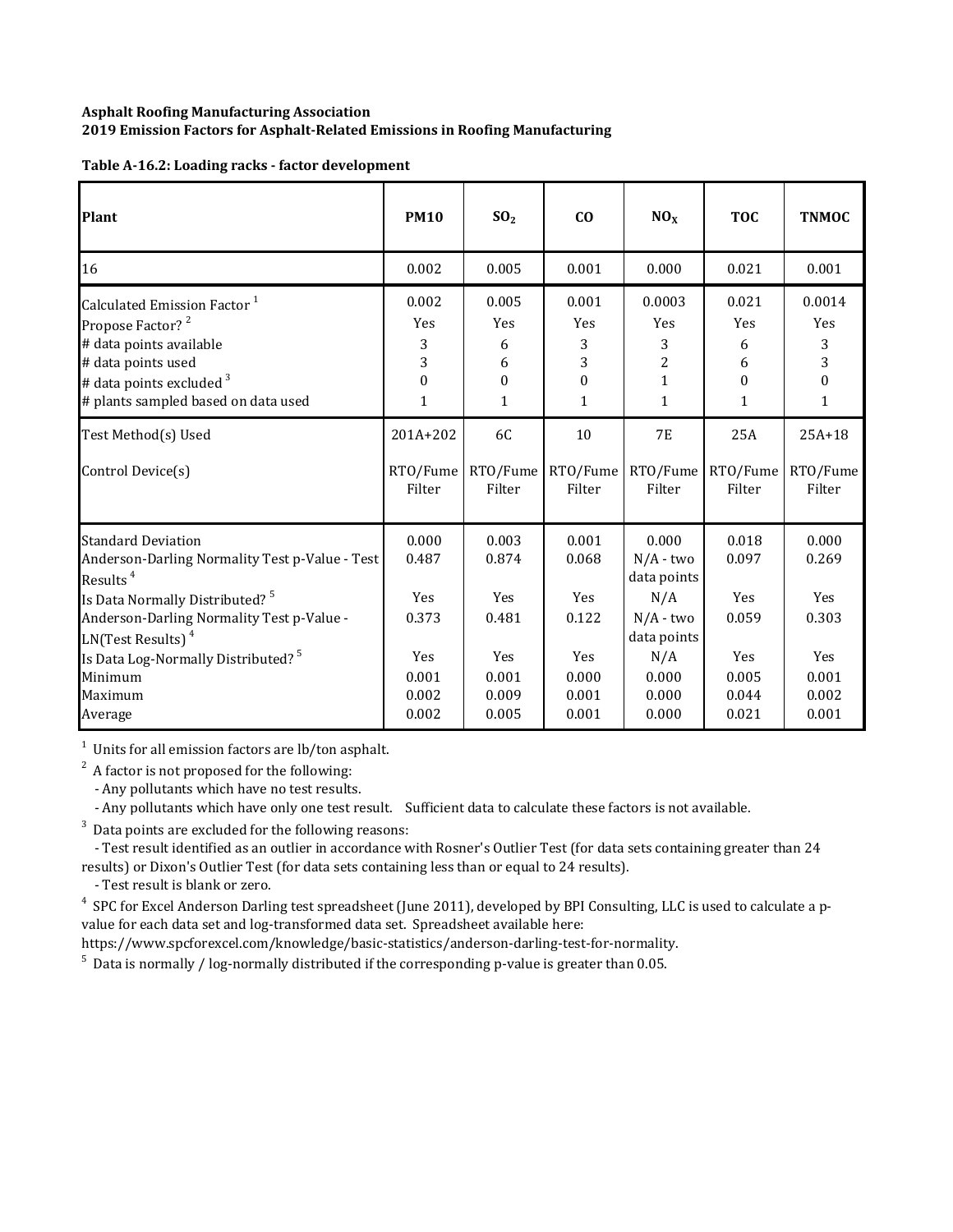| Table A-16.2: Loading racks - factor development |  |  |
|--------------------------------------------------|--|--|
|                                                  |  |  |
|                                                  |  |  |

| Plant                                                                                                                                                                                                                  | <b>PM10</b>                                    | SO <sub>2</sub>                                | C <sub>0</sub>                                         | NO <sub>x</sub>                                                          | <b>TOC</b>                                                | <b>TNMOC</b>                             |
|------------------------------------------------------------------------------------------------------------------------------------------------------------------------------------------------------------------------|------------------------------------------------|------------------------------------------------|--------------------------------------------------------|--------------------------------------------------------------------------|-----------------------------------------------------------|------------------------------------------|
| 16                                                                                                                                                                                                                     | 0.002                                          | 0.005                                          | 0.001                                                  | 0.000                                                                    | 0.021                                                     | 0.001                                    |
| Calculated Emission Factor <sup>1</sup><br>Propose Factor? <sup>2</sup><br># data points available<br># data points used<br># data points excluded <sup>3</sup><br># plants sampled based on data used                 | 0.002<br><b>Yes</b><br>3<br>3<br>$\Omega$<br>1 | 0.005<br><b>Yes</b><br>6<br>6<br>$\theta$<br>1 | 0.001<br>Yes<br>3<br>3<br>$\mathbf{0}$<br>$\mathbf{1}$ | 0.0003<br>Yes<br>3<br>$\overline{c}$<br>$\mathbf{1}$<br>$\mathbf{1}$     | 0.021<br><b>Yes</b><br>6<br>6<br>$\Omega$<br>$\mathbf{1}$ | 0.0014<br>Yes<br>3<br>3<br>$\Omega$<br>1 |
| Test Method(s) Used<br>Control Device(s)                                                                                                                                                                               | 201A+202<br>RTO/Fume<br>Filter                 | 6C<br>RTO/Fume<br>Filter                       | 10<br>RTO/Fume<br>Filter                               | <b>7E</b><br>RTO/Fume<br>Filter                                          | 25A<br>RTO/Fume<br>Filter                                 | $25A+18$<br>RTO/Fume<br>Filter           |
| <b>Standard Deviation</b><br>Anderson-Darling Normality Test p-Value - Test<br>Results <sup>4</sup><br>Is Data Normally Distributed? <sup>5</sup><br>Anderson-Darling Normality Test p-Value -<br>$LN(Test Results)^4$ | 0.000<br>0.487<br>Yes<br>0.373                 | 0.003<br>0.874<br>Yes<br>0.481                 | 0.001<br>0.068<br><b>Yes</b><br>0.122                  | 0.000<br>$N/A$ - two<br>data points<br>N/A<br>$N/A$ - two<br>data points | 0.018<br>0.097<br><b>Yes</b><br>0.059                     | 0.000<br>0.269<br><b>Yes</b><br>0.303    |
| Is Data Log-Normally Distributed? <sup>5</sup><br>Minimum<br>Maximum<br>Average                                                                                                                                        | Yes<br>0.001<br>0.002<br>0.002                 | Yes<br>0.001<br>0.009<br>0.005                 | <b>Yes</b><br>0.000<br>0.001<br>0.001                  | N/A<br>0.000<br>0.000<br>0.000                                           | <b>Yes</b><br>0.005<br>0.044<br>0.021                     | Yes<br>0.001<br>0.002<br>0.001           |

 $1$  Units for all emission factors are lb/ton asphalt.

 $2^2$  A factor is not proposed for the following:

- Any pollutants which have no test results.

- Any pollutants which have only one test result. Sufficient data to calculate these factors is not available.

 $3$  Data points are excluded for the following reasons:

- Test result identified as an outlier in accordance with Rosner's Outlier Test (for data sets containing greater than 24 results) or Dixon's Outlier Test (for data sets containing less than or equal to 24 results).

- Test result is blank or zero.

<sup>4</sup> SPC for Excel Anderson Darling test spreadsheet (June 2011), developed by BPI Consulting, LLC is used to calculate a pvalue for each data set and log-transformed data set. Spreadsheet available here:

https://www.spcforexcel.com/knowledge/basic‐statistics/anderson‐darling‐test‐for‐normality.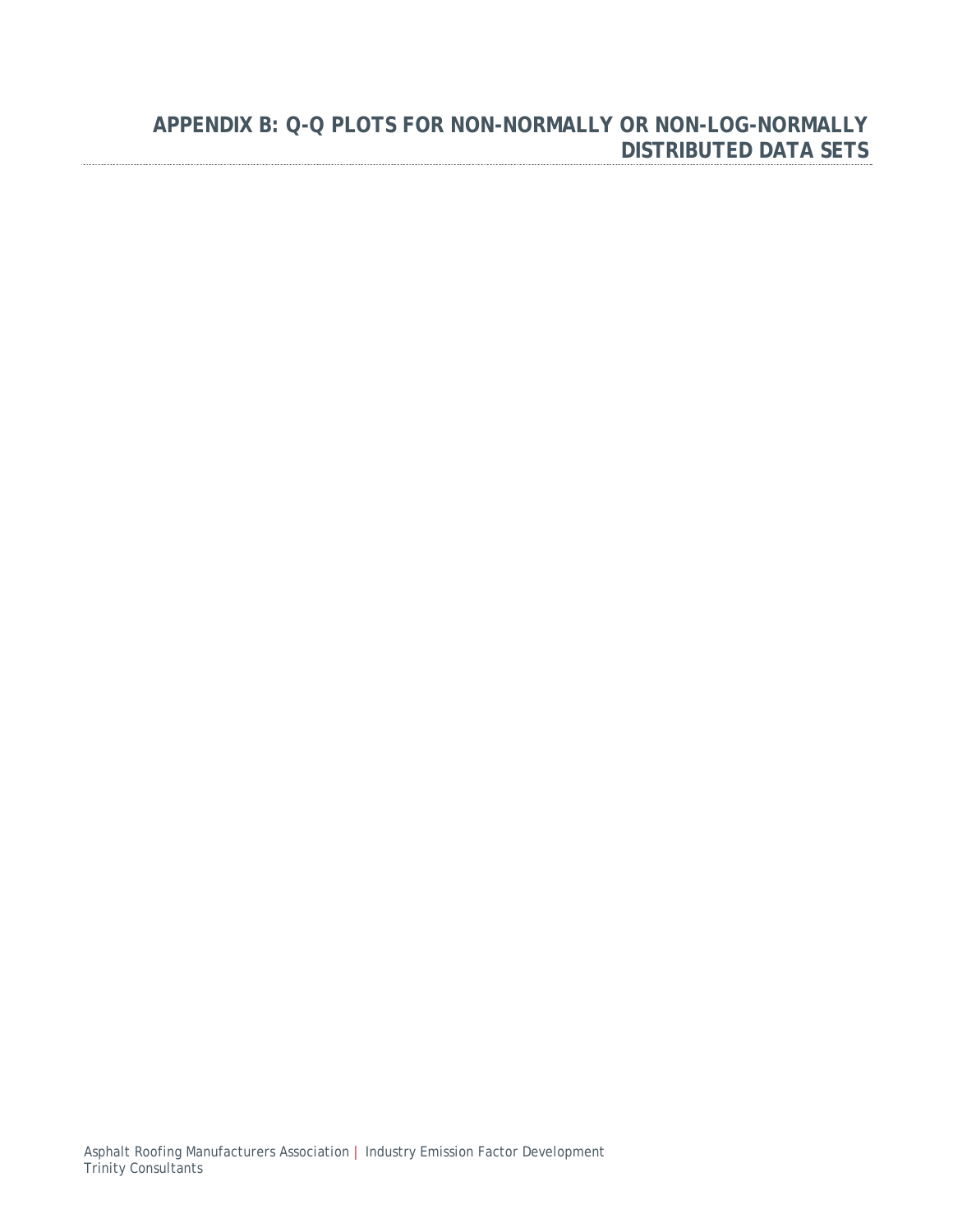## **APPENDIX B: Q-Q PLOTS FOR NON-NORMALLY OR NON-LOG-NORMALLY DISTRIBUTED DATA SETS**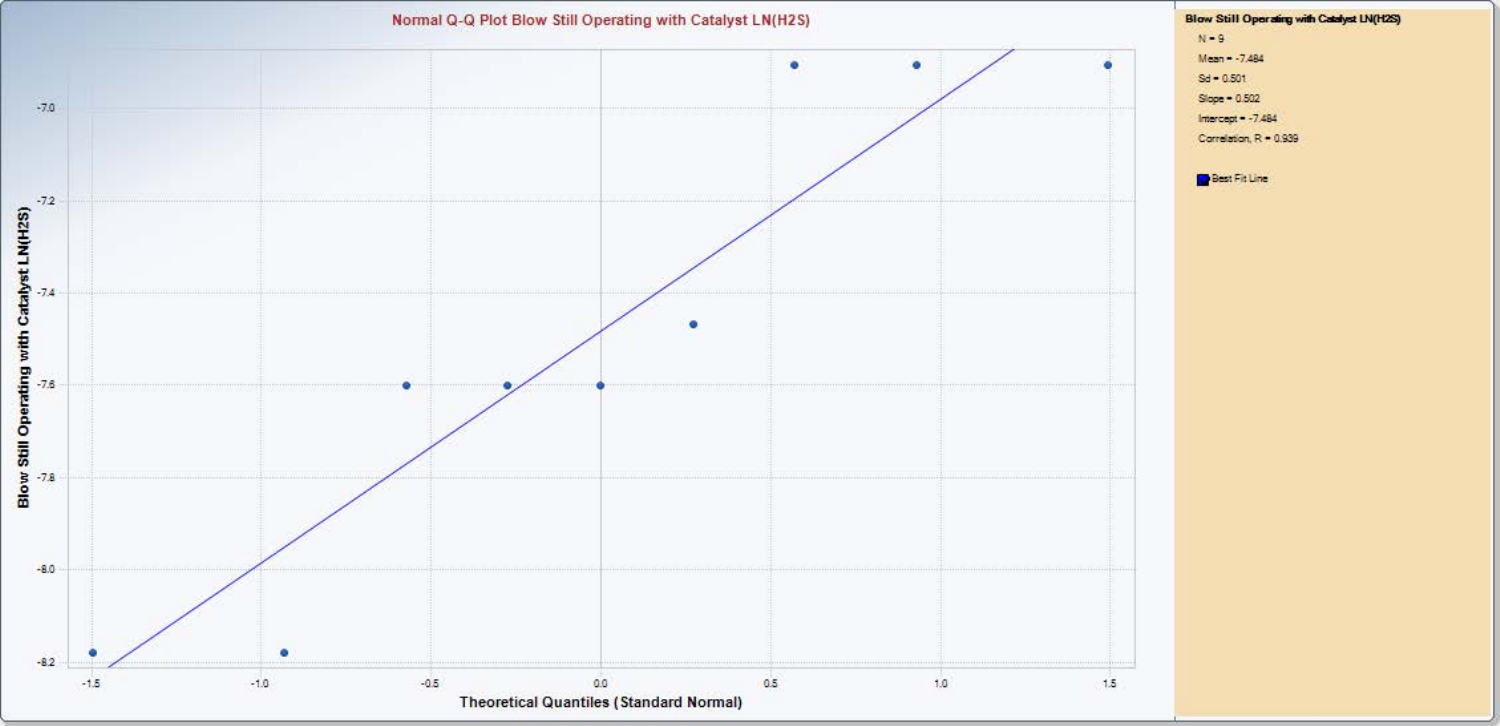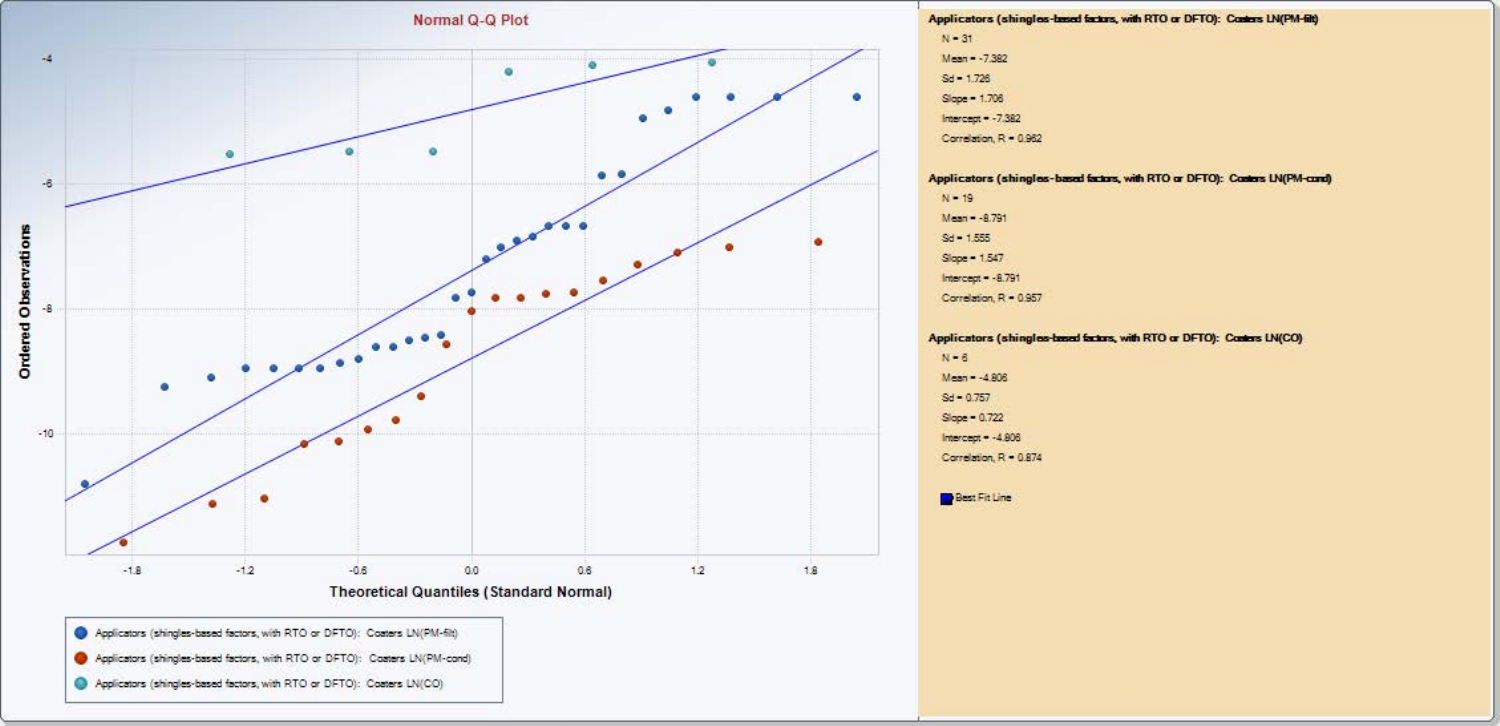

Applicators (shingles-based factors, with RTO or DFTO): Conters LN(PM-fit)  $N = 31$  $Mean - -7.382$ 

 $Sd = 1.726$ 

Slope = 1.706 Intercept  $-7.382$ 

Correlation, R = 0.962

#### Applicators (shingles-based factors, with RTO or DFTO): Conters LN(PM-cond)

 $N - 19$  $M<sub>max</sub> = -8.791$ 

 $Sd = 1.555$ 

Slope = 1.547

Intercept  $-8.791$ 

Correlation, R = 0.957

Applicators (shingles-based factors, with RTO or DFTO): Conters LN(CO)

 $N - 6$  $Mean - 4.806$ 

 $Sd = 0.757$ 

Slope = 0.722

Intercept  $-4.806$ 

Correlation, R = 0.874

**Best Fit Line**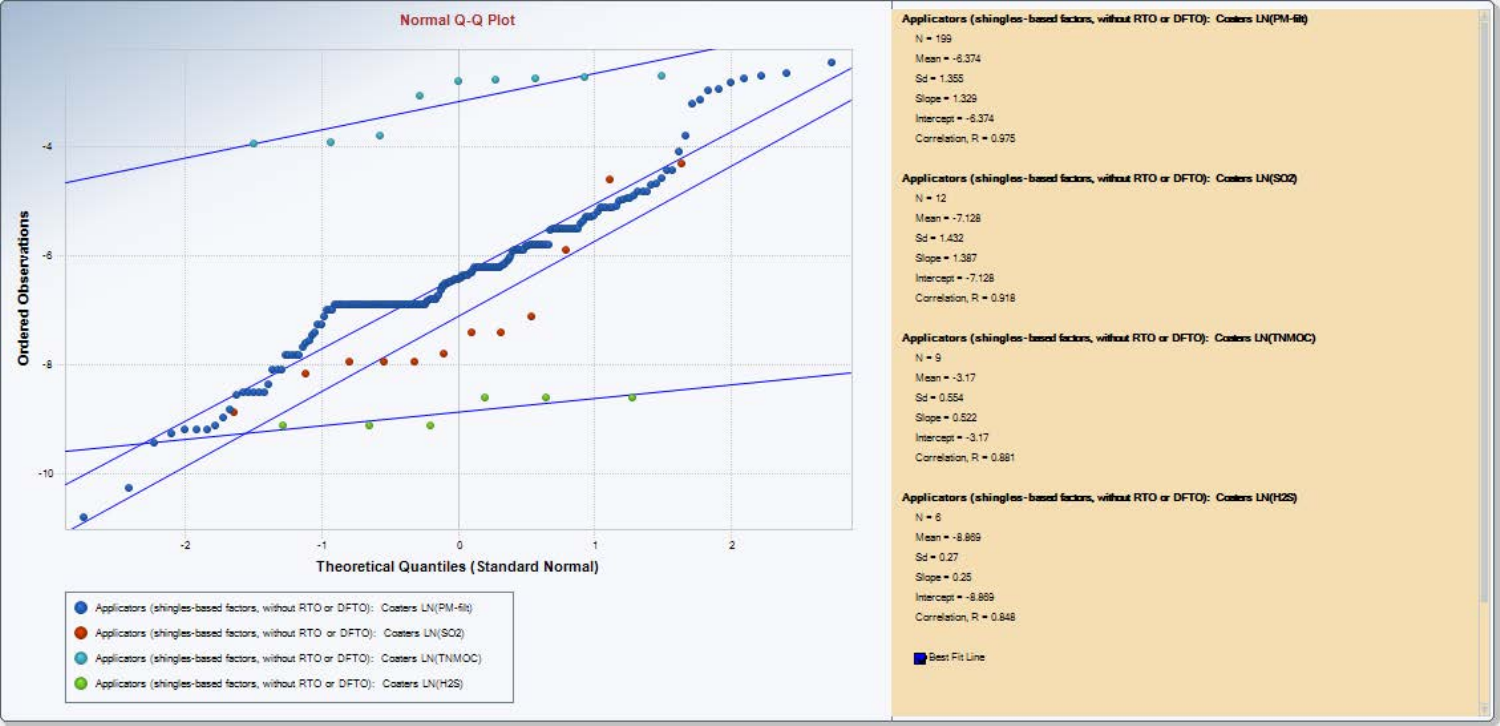

- Applicators (shingles-based factors, without RTO or DFTO): Coaters LN(SO2)
- Applicators (shingles-based factors, without RTO or DFTO): Coaters LN(TNMOC)
- Applicators (shingles-based factors, without RTO or DFTO): Coaters LN(H2S)

Applicators (shingles-based factors, without RTO or DFTO): Conters LN(PM-fitt)  $N - 199$  $Mean - 6.374$ 

Applicators (shingles-based factors, without RTO or DFTO): Conters LN(SO2)

Applicators (shingles-based factors, without RTO or DFTO): Costers LN(TNMOC)

Applicators (shingles-based factors, without RTO or DFTO): Conters LN(H2S)

 $Sd = 1.355$ Slope = 1.329 Intercept  $-6.374$ Carrelation, R = 0.975

 $N = 12$ 

 $N - 9$ 

 $N - 6$ Mean - - 8.869

 $Sd = 0.27$ 

 $Slope = 0.25$ Intercept  $-8.869$ 

Best Fit Line

Carrelation, R = 0.848

 $Mean = -3.17$  $Sd = 0.554$ 

Slope = 0.522  $Intercept = -3.17$ Carrelation, R = 0.881

 $Mean = -7.128$  $Sd = 1.432$ 

Slope = 1,387  $Intercent = -7.128$ Carrelation, R = 0.918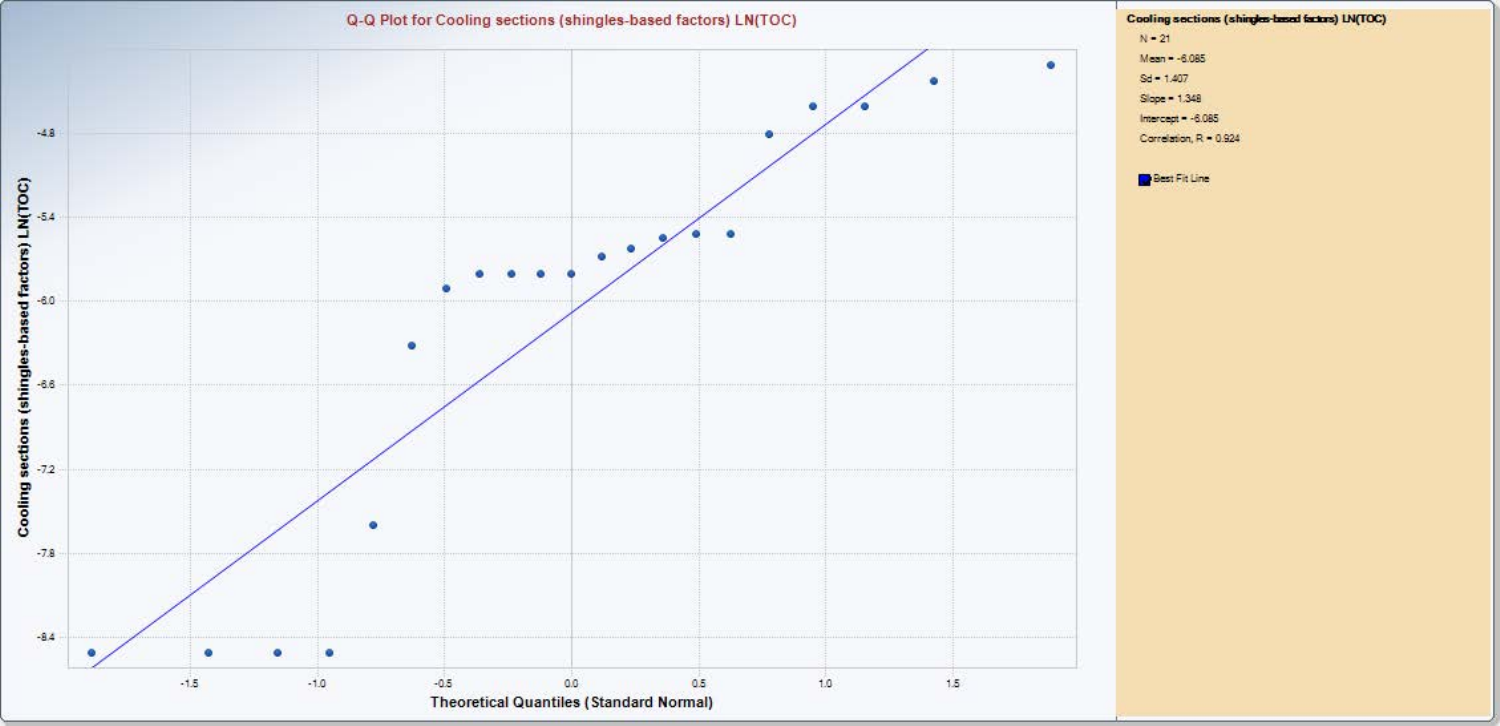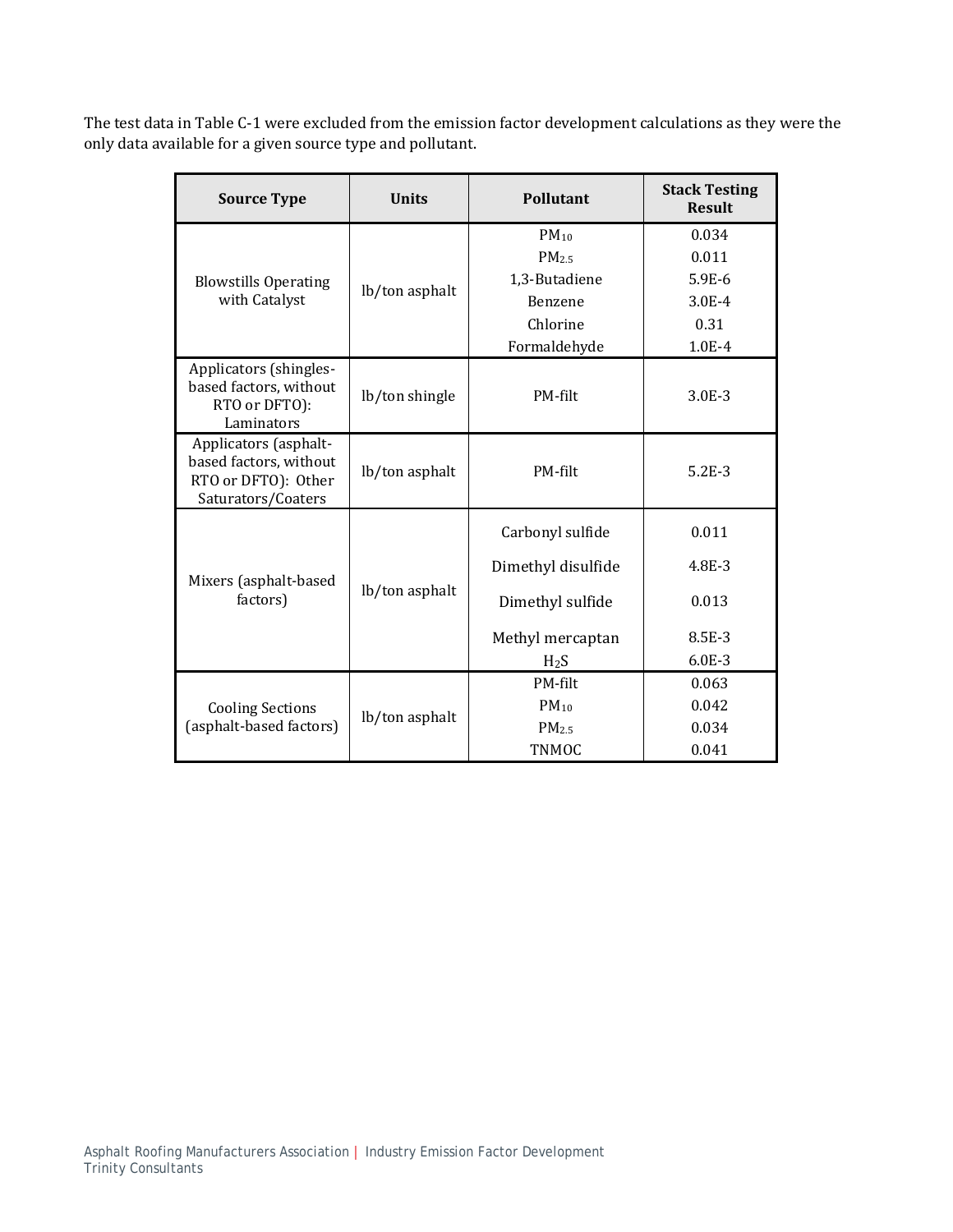The test data in Table C-1 were excluded from the emission factor development calculations as they were the only data available for a given source type and pollutant.

| <b>Source Type</b>                                                                           | <b>Units</b>   | <b>Pollutant</b>   | <b>Stack Testing</b><br><b>Result</b> |
|----------------------------------------------------------------------------------------------|----------------|--------------------|---------------------------------------|
|                                                                                              |                | $PM_{10}$          | 0.034                                 |
|                                                                                              | lb/ton asphalt | PM <sub>2.5</sub>  | 0.011                                 |
| <b>Blowstills Operating</b>                                                                  |                | 1,3-Butadiene      | 5.9E-6                                |
| with Catalyst                                                                                |                | Benzene            | 3.0E-4                                |
|                                                                                              |                | Chlorine           | 0.31                                  |
|                                                                                              |                | Formaldehyde       | $1.0E-4$                              |
| Applicators (shingles-<br>based factors, without<br>RTO or DFTO):<br>Laminators              | lb/ton shingle | PM-filt            | 3.0E-3                                |
| Applicators (asphalt-<br>based factors, without<br>RTO or DFTO): Other<br>Saturators/Coaters | lb/ton asphalt | PM-filt            | $5.2E-3$                              |
|                                                                                              |                | Carbonyl sulfide   | 0.011                                 |
| Mixers (asphalt-based                                                                        | lb/ton asphalt | Dimethyl disulfide | 4.8E-3                                |
| factors)                                                                                     |                | Dimethyl sulfide   | 0.013                                 |
|                                                                                              |                | Methyl mercaptan   | 8.5E-3                                |
|                                                                                              |                | H <sub>2</sub> S   | $6.0E-3$                              |
|                                                                                              |                | PM-filt            | 0.063                                 |
| <b>Cooling Sections</b>                                                                      | lb/ton asphalt | $PM_{10}$          | 0.042                                 |
| (asphalt-based factors)                                                                      |                | PM25               | 0.034                                 |
|                                                                                              |                | TNMOC              | 0.041                                 |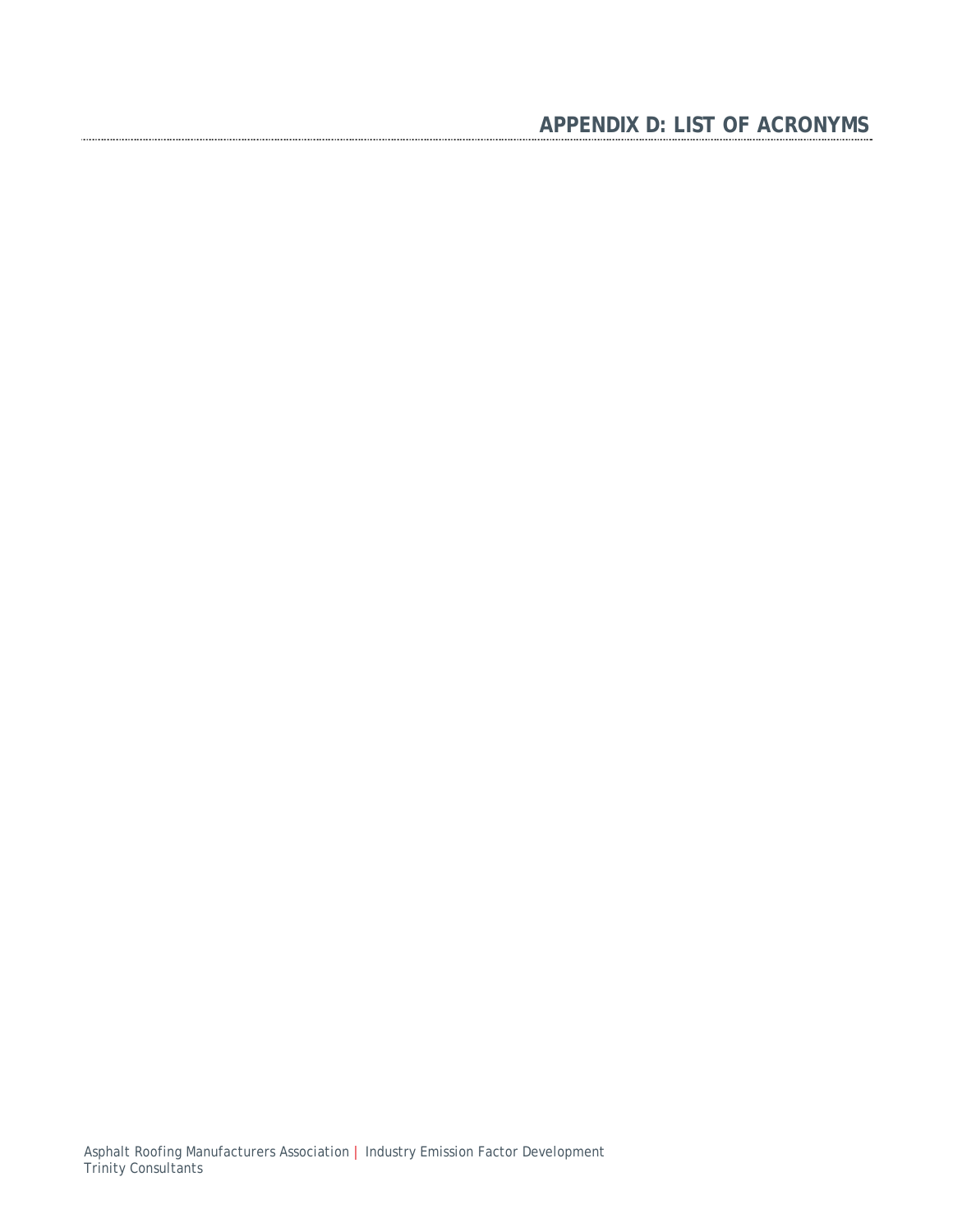# **APPENDIX D: LIST OF ACRONYMS**